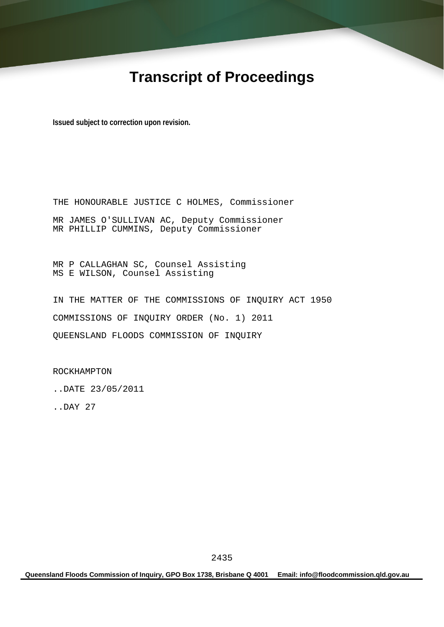# **Transcript of Proceedings**

**Issued subject to correction upon revision.** 

THE HONOURABLE JUSTICE C HOLMES, Commissioner MR JAMES O'SULLIVAN AC, Deputy Commissioner MR PHILLIP CUMMINS, Deputy Commissioner

MR P CALLAGHAN SC, Counsel Assisting MS E WILSON, Counsel Assisting

IN THE MATTER OF THE COMMISSIONS OF INQUIRY ACT 1950 COMMISSIONS OF INQUIRY ORDER (No. 1) 2011 QUEENSLAND FLOODS COMMISSION OF INQUIRY

ROCKHAMPTON

..DATE 23/05/2011

..DAY 27

**Queensland Floods Commission of Inquiry, GPO Box 1738, Brisbane Q 4001 Email: info@floodcommission.qld.gov.au**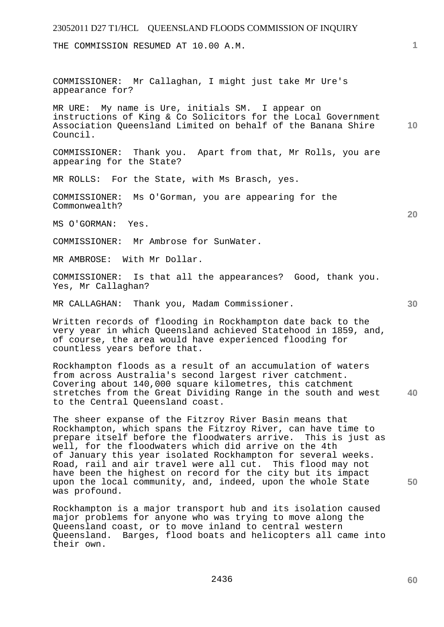THE COMMISSION RESUMED AT 10.00 A.M.

COMMISSIONER: Mr Callaghan, I might just take Mr Ure's appearance for?

**10**  MR URE: My name is Ure, initials SM. I appear on instructions of King & Co Solicitors for the Local Government Association Queensland Limited on behalf of the Banana Shire Council.

COMMISSIONER: Thank you. Apart from that, Mr Rolls, you are appearing for the State?

MR ROLLS: For the State, with Ms Brasch, yes.

COMMISSIONER: Ms O'Gorman, you are appearing for the Commonwealth?

MS O'GORMAN: Yes.

COMMISSIONER: Mr Ambrose for SunWater.

MR AMBROSE: With Mr Dollar.

COMMISSIONER: Is that all the appearances? Good, thank you. Yes, Mr Callaghan?

MR CALLAGHAN: Thank you, Madam Commissioner.

Written records of flooding in Rockhampton date back to the very year in which Queensland achieved Statehood in 1859, and, of course, the area would have experienced flooding for countless years before that.

**40**  Rockhampton floods as a result of an accumulation of waters from across Australia's second largest river catchment. Covering about 140,000 square kilometres, this catchment stretches from the Great Dividing Range in the south and west to the Central Queensland coast.

The sheer expanse of the Fitzroy River Basin means that Rockhampton, which spans the Fitzroy River, can have time to prepare itself before the floodwaters arrive. This is just as well, for the floodwaters which did arrive on the 4th of January this year isolated Rockhampton for several weeks. Road, rail and air travel were all cut. This flood may not have been the highest on record for the city but its impact upon the local community, and, indeed, upon the whole State was profound.

Rockhampton is a major transport hub and its isolation caused major problems for anyone who was trying to move along the Queensland coast, or to move inland to central western Queensland. Barges, flood boats and helicopters all came into their own.

**60** 

**50** 

**1**

**20**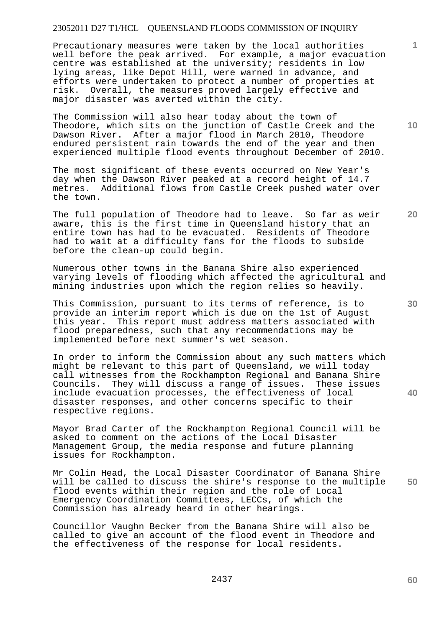Precautionary measures were taken by the local authorities well before the peak arrived. For example, a major evacuation centre was established at the university; residents in low lying areas, like Depot Hill, were warned in advance, and efforts were undertaken to protect a number of properties at risk. Overall, the measures proved largely effective and major disaster was averted within the city.

The Commission will also hear today about the town of Theodore, which sits on the junction of Castle Creek and the Dawson River. After a major flood in March 2010, Theodore endured persistent rain towards the end of the year and then experienced multiple flood events throughout December of 2010.

The most significant of these events occurred on New Year's day when the Dawson River peaked at a record height of 14.7 metres. Additional flows from Castle Creek pushed water over the town.

The full population of Theodore had to leave. So far as weir aware, this is the first time in Queensland history that an entire town has had to be evacuated. Residents of Theodore had to wait at a difficulty fans for the floods to subside before the clean-up could begin.

Numerous other towns in the Banana Shire also experienced varying levels of flooding which affected the agricultural and mining industries upon which the region relies so heavily.

This Commission, pursuant to its terms of reference, is to provide an interim report which is due on the 1st of August this year. This report must address matters associated with flood preparedness, such that any recommendations may be implemented before next summer's wet season.

In order to inform the Commission about any such matters which might be relevant to this part of Queensland, we will today call witnesses from the Rockhampton Regional and Banana Shire Councils. They will discuss a range of issues. These issues include evacuation processes, the effectiveness of local disaster responses, and other concerns specific to their respective regions.

Mayor Brad Carter of the Rockhampton Regional Council will be asked to comment on the actions of the Local Disaster Management Group, the media response and future planning issues for Rockhampton.

**50**  Mr Colin Head, the Local Disaster Coordinator of Banana Shire will be called to discuss the shire's response to the multiple flood events within their region and the role of Local Emergency Coordination Committees, LECCs, of which the Commission has already heard in other hearings.

Councillor Vaughn Becker from the Banana Shire will also be called to give an account of the flood event in Theodore and the effectiveness of the response for local residents.

**20** 

**40** 

**1**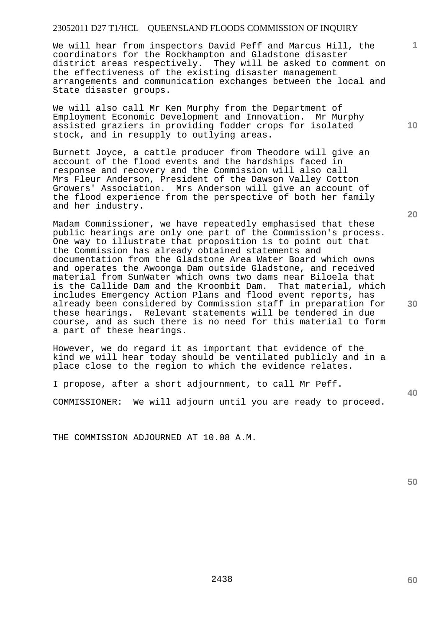We will hear from inspectors David Peff and Marcus Hill, the coordinators for the Rockhampton and Gladstone disaster district areas respectively. They will be asked to comment on the effectiveness of the existing disaster management arrangements and communication exchanges between the local and State disaster groups.

We will also call Mr Ken Murphy from the Department of Employment Economic Development and Innovation. Mr Murphy assisted graziers in providing fodder crops for isolated stock, and in resupply to outlying areas.

Burnett Joyce, a cattle producer from Theodore will give an account of the flood events and the hardships faced in response and recovery and the Commission will also call Mrs Fleur Anderson, President of the Dawson Valley Cotton Growers' Association. Mrs Anderson will give an account of the flood experience from the perspective of both her family and her industry.

Madam Commissioner, we have repeatedly emphasised that these public hearings are only one part of the Commission's process. One way to illustrate that proposition is to point out that the Commission has already obtained statements and documentation from the Gladstone Area Water Board which owns and operates the Awoonga Dam outside Gladstone, and received material from SunWater which owns two dams near Biloela that is the Callide Dam and the Kroombit Dam. That material, which includes Emergency Action Plans and flood event reports, has already been considered by Commission staff in preparation for these hearings. Relevant statements will be tendered in due course, and as such there is no need for this material to form a part of these hearings.

However, we do regard it as important that evidence of the kind we will hear today should be ventilated publicly and in a place close to the region to which the evidence relates.

I propose, after a short adjournment, to call Mr Peff.

COMMISSIONER: We will adjourn until you are ready to proceed.

THE COMMISSION ADJOURNED AT 10.08 A.M.

**50** 

**1**

**20**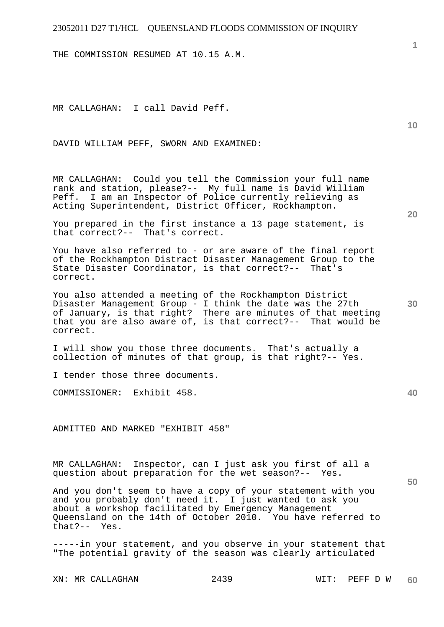THE COMMISSION RESUMED AT 10.15 A.M.

MR CALLAGHAN: I call David Peff.

DAVID WILLIAM PEFF, SWORN AND EXAMINED:

MR CALLAGHAN: Could you tell the Commission your full name rank and station, please?-- My full name is David William Peff. I am an Inspector of Police currently relieving as Acting Superintendent, District Officer, Rockhampton.

You prepared in the first instance a 13 page statement, is that correct?-- That's correct.

You have also referred to - or are aware of the final report of the Rockhampton Distract Disaster Management Group to the State Disaster Coordinator, is that correct?-- That's correct.

You also attended a meeting of the Rockhampton District Disaster Management Group - I think the date was the 27th of January, is that right? There are minutes of that meeting that you are also aware of, is that correct?-- That would be correct.

I will show you those three documents. That's actually a collection of minutes of that group, is that right?-- Yes.

I tender those three documents.

COMMISSIONER: Exhibit 458.

ADMITTED AND MARKED "EXHIBIT 458"

MR CALLAGHAN: Inspector, can I just ask you first of all a question about preparation for the wet season?-- Yes.

And you don't seem to have a copy of your statement with you and you probably don't need it. I just wanted to ask you about a workshop facilitated by Emergency Management Queensland on the 14th of October 2010. You have referred to<br>that?-- Yes.  $that? --$ 

-----in your statement, and you observe in your statement that "The potential gravity of the season was clearly articulated

XN: MR CALLAGHAN 2439 WIT: PEFF D W

**10** 

**1**

**30** 

**50**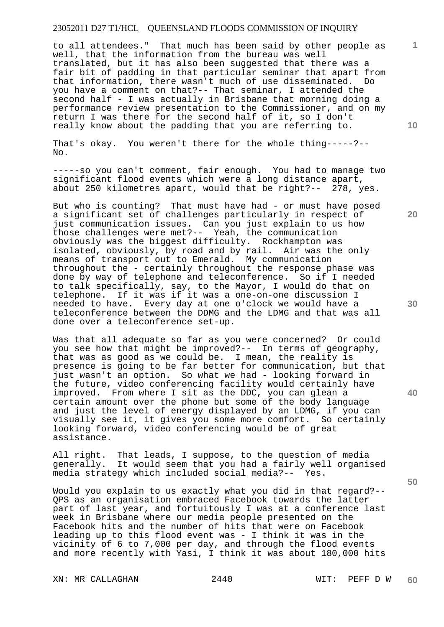to all attendees." That much has been said by other people as well, that the information from the bureau was well translated, but it has also been suggested that there was a fair bit of padding in that particular seminar that apart from that information, there wasn't much of use disseminated. Do you have a comment on that?-- That seminar, I attended the second half - I was actually in Brisbane that morning doing a performance review presentation to the Commissioner, and on my return I was there for the second half of it, so I don't really know about the padding that you are referring to.

That's okay. You weren't there for the whole thing-----?-- No.

-----so you can't comment, fair enough. You had to manage two significant flood events which were a long distance apart, about 250 kilometres apart, would that be right?-- 278, yes.

But who is counting? That must have had - or must have posed a significant set of challenges particularly in respect of just communication issues. Can you just explain to us how those challenges were met?-- Yeah, the communication obviously was the biggest difficulty. Rockhampton was isolated, obviously, by road and by rail. Air was the only means of transport out to Emerald. My communication throughout the - certainly throughout the response phase was done by way of telephone and teleconference. So if I needed to talk specifically, say, to the Mayor, I would do that on telephone. If it was if it was a one-on-one discussion I needed to have. Every day at one o'clock we would have a teleconference between the DDMG and the LDMG and that was all done over a teleconference set-up.

Was that all adequate so far as you were concerned? Or could you see how that might be improved?-- In terms of geography, that was as good as we could be. I mean, the reality is presence is going to be far better for communication, but that just wasn't an option. So what we had - looking forward in the future, video conferencing facility would certainly have improved. From where I sit as the DDC, you can glean a certain amount over the phone but some of the body language and just the level of energy displayed by an LDMG, if you can visually see it, it gives you some more comfort. So certainly looking forward, video conferencing would be of great assistance.

All right. That leads, I suppose, to the question of media generally. It would seem that you had a fairly well organised media strategy which included social media?-- Yes.

Would you explain to us exactly what you did in that regard?-- QPS as an organisation embraced Facebook towards the latter part of last year, and fortuitously I was at a conference last week in Brisbane where our media people presented on the Facebook hits and the number of hits that were on Facebook leading up to this flood event was - I think it was in the vicinity of 6 to 7,000 per day, and through the flood events and more recently with Yasi, I think it was about 180,000 hits **10** 

**1**

**20** 

**30** 

**40**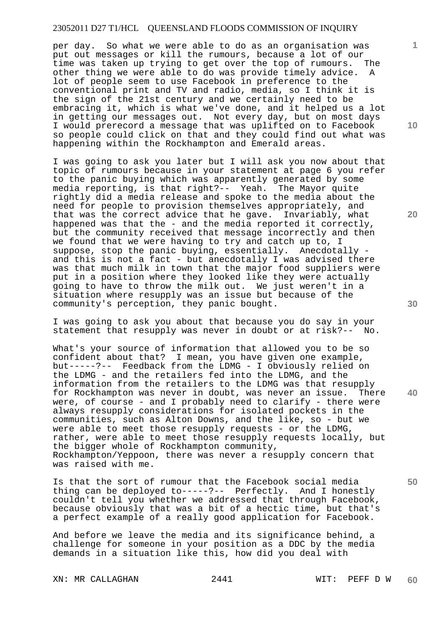per day. So what we were able to do as an organisation was put out messages or kill the rumours, because a lot of our time was taken up trying to get over the top of rumours. The other thing we were able to do was provide timely advice. A lot of people seem to use Facebook in preference to the conventional print and TV and radio, media, so I think it is the sign of the 21st century and we certainly need to be embracing it, which is what we've done, and it helped us a lot in getting our messages out. Not every day, but on most days I would prerecord a message that was uplifted on to Facebook so people could click on that and they could find out what was happening within the Rockhampton and Emerald areas.

I was going to ask you later but I will ask you now about that topic of rumours because in your statement at page 6 you refer to the panic buying which was apparently generated by some media reporting, is that right?-- Yeah. The Mayor quite rightly did a media release and spoke to the media about the need for people to provision themselves appropriately, and that was the correct advice that he gave. Invariably, what happened was that the - and the media reported it correctly, but the community received that message incorrectly and then we found that we were having to try and catch up to, I suppose, stop the panic buying, essentially. Anecdotally and this is not a fact - but anecdotally I was advised there was that much milk in town that the major food suppliers were put in a position where they looked like they were actually going to have to throw the milk out. We just weren't in a situation where resupply was an issue but because of the community's perception, they panic bought.

I was going to ask you about that because you do say in your statement that resupply was never in doubt or at risk?-- No.

What's your source of information that allowed you to be so confident about that? I mean, you have given one example, but-----?-- Feedback from the LDMG - I obviously relied on the LDMG - and the retailers fed into the LDMG, and the information from the retailers to the LDMG was that resupply for Rockhampton was never in doubt, was never an issue. There were, of course - and I probably need to clarify - there were always resupply considerations for isolated pockets in the communities, such as Alton Downs, and the like, so - but we were able to meet those resupply requests - or the LDMG, rather, were able to meet those resupply requests locally, but the bigger whole of Rockhampton community, Rockhampton/Yeppoon, there was never a resupply concern that was raised with me.

Is that the sort of rumour that the Facebook social media thing can be deployed to-----?-- Perfectly. And I honestly couldn't tell you whether we addressed that through Facebook, because obviously that was a bit of a hectic time, but that's a perfect example of a really good application for Facebook.

And before we leave the media and its significance behind, a challenge for someone in your position as a DDC by the media demands in a situation like this, how did you deal with

XN: MR CALLAGHAN 2441 22441 WIT: PEFF D W

**10** 

**1**

**20** 

**30** 

**50**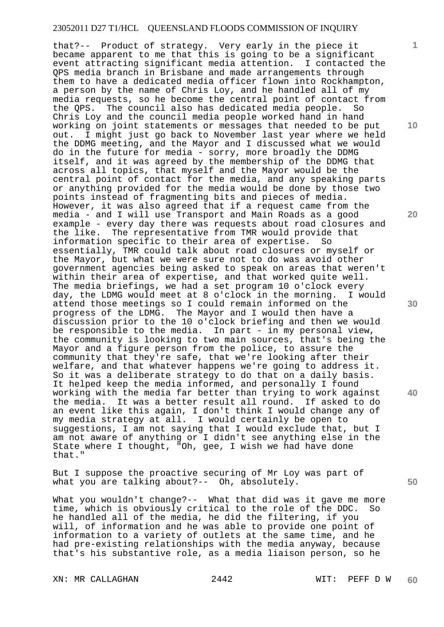that?-- Product of strategy. Very early in the piece it became apparent to me that this is going to be a significant event attracting significant media attention. I contacted the QPS media branch in Brisbane and made arrangements through them to have a dedicated media officer flown into Rockhampton, a person by the name of Chris Loy, and he handled all of my media requests, so he become the central point of contact from the QPS. The council also has dedicated media people. So Chris Loy and the council media people worked hand in hand working on joint statements or messages that needed to be put out. I might just go back to November last year where we held the DDMG meeting, and the Mayor and I discussed what we would do in the future for media - sorry, more broadly the DDMG itself, and it was agreed by the membership of the DDMG that across all topics, that myself and the Mayor would be the central point of contact for the media, and any speaking parts or anything provided for the media would be done by those two points instead of fragmenting bits and pieces of media. However, it was also agreed that if a request came from the media - and I will use Transport and Main Roads as a good example - every day there was requests about road closures and the like. The representative from TMR would provide that information specific to their area of expertise. So essentially, TMR could talk about road closures or myself or the Mayor, but what we were sure not to do was avoid other government agencies being asked to speak on areas that weren't within their area of expertise, and that worked quite well. The media briefings, we had a set program 10 o'clock every day, the LDMG would meet at 8 o'clock in the morning. I would attend those meetings so I could remain informed on the progress of the LDMG. The Mayor and I would then have a discussion prior to the 10 o'clock briefing and then we would be responsible to the media. In part - in my personal view, the community is looking to two main sources, that's being the Mayor and a figure person from the police, to assure the community that they're safe, that we're looking after their welfare, and that whatever happens we're going to address it. So it was a deliberate strategy to do that on a daily basis. It helped keep the media informed, and personally I found working with the media far better than trying to work against the media. It was a better result all round. If asked to do an event like this again, I don't think I would change any of my media strategy at all. I would certainly be open to suggestions, I am not saying that I would exclude that, but I am not aware of anything or I didn't see anything else in the State where I thought, "Oh, gee, I wish we had have done that."

But I suppose the proactive securing of Mr Loy was part of what you are talking about?-- Oh, absolutely.

What you wouldn't change?-- What that did was it gave me more time, which is obviously critical to the role of the DDC. So he handled all of the media, he did the filtering, if you will, of information and he was able to provide one point of information to a variety of outlets at the same time, and he had pre-existing relationships with the media anyway, because that's his substantive role, as a media liaison person, so he

XN: MR CALLAGHAN 2442 WIT: PEFF D W

**10** 

**1**

**20** 

**30** 

**40**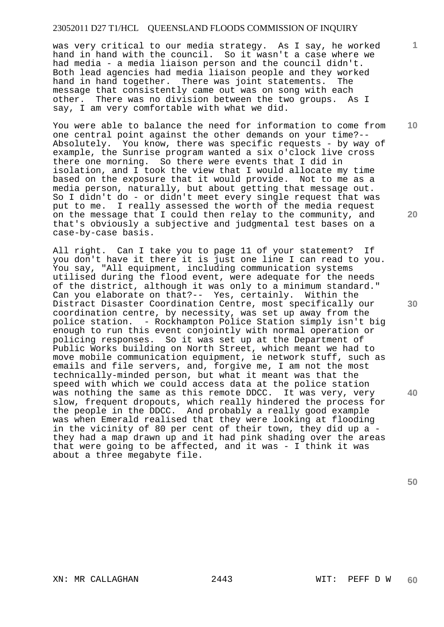was very critical to our media strategy. As I say, he worked hand in hand with the council. So it wasn't a case where we had media - a media liaison person and the council didn't. Both lead agencies had media liaison people and they worked hand in hand together. There was joint statements. The message that consistently came out was on song with each other. There was no division between the two groups. As I say, I am very comfortable with what we did.

You were able to balance the need for information to come from one central point against the other demands on your time?-- Absolutely. You know, there was specific requests - by way of example, the Sunrise program wanted a six o'clock live cross there one morning. So there were events that I did in isolation, and I took the view that I would allocate my time based on the exposure that it would provide. Not to me as a media person, naturally, but about getting that message out. So I didn't do - or didn't meet every single request that was put to me. I really assessed the worth of the media request on the message that I could then relay to the community, and that's obviously a subjective and judgmental test bases on a case-by-case basis.

All right. Can I take you to page 11 of your statement? If you don't have it there it is just one line I can read to you. You say, "All equipment, including communication systems utilised during the flood event, were adequate for the needs of the district, although it was only to a minimum standard." Can you elaborate on that?-- Yes, certainly. Within the Distract Disaster Coordination Centre, most specifically our coordination centre, by necessity, was set up away from the police station. - Rockhampton Police Station simply isn't big enough to run this event conjointly with normal operation or policing responses. So it was set up at the Department of Public Works building on North Street, which meant we had to move mobile communication equipment, ie network stuff, such as emails and file servers, and, forgive me, I am not the most technically-minded person, but what it meant was that the speed with which we could access data at the police station was nothing the same as this remote DDCC. It was very, very slow, frequent dropouts, which really hindered the process for the people in the DDCC. And probably a really good example was when Emerald realised that they were looking at flooding in the vicinity of 80 per cent of their town, they did up a they had a map drawn up and it had pink shading over the areas that were going to be affected, and it was - I think it was about a three megabyte file.

**20** 

**1**

**10** 

**30** 

**40**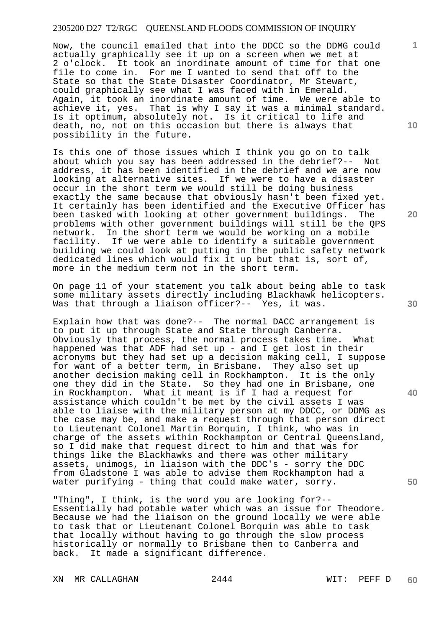Now, the council emailed that into the DDCC so the DDMG could actually graphically see it up on a screen when we met at 2 o'clock. It took an inordinate amount of time for that one file to come in. For me I wanted to send that off to the State so that the State Disaster Coordinator, Mr Stewart, could graphically see what I was faced with in Emerald. Again, it took an inordinate amount of time. We were able to achieve it, yes. That is why I say it was a minimal standard. Is it optimum, absolutely not. Is it critical to life and death, no, not on this occasion but there is always that possibility in the future.

Is this one of those issues which I think you go on to talk about which you say has been addressed in the debrief?-- Not address, it has been identified in the debrief and we are now looking at alternative sites. If we were to have a disaster occur in the short term we would still be doing business exactly the same because that obviously hasn't been fixed yet. It certainly has been identified and the Executive Officer has been tasked with looking at other government buildings. The problems with other government buildings will still be the QPS network. In the short term we would be working on a mobile In the short term we would be working on a mobile facility. If we were able to identify a suitable government building we could look at putting in the public safety network dedicated lines which would fix it up but that is, sort of, more in the medium term not in the short term.

On page 11 of your statement you talk about being able to task some military assets directly including Blackhawk helicopters. Was that through a liaison officer?-- Yes, it was.

Explain how that was done?-- The normal DACC arrangement is to put it up through State and State through Canberra. Obviously that process, the normal process takes time. What happened was that ADF had set up - and I get lost in their acronyms but they had set up a decision making cell, I suppose for want of a better term, in Brisbane. They also set up another decision making cell in Rockhampton. It is the only one they did in the State. So they had one in Brisbane, one in Rockhampton. What it meant is if I had a request for assistance which couldn't be met by the civil assets I was able to liaise with the military person at my DDCC, or DDMG as the case may be, and make a request through that person direct to Lieutenant Colonel Martin Borquin, I think, who was in charge of the assets within Rockhampton or Central Queensland, so I did make that request direct to him and that was for things like the Blackhawks and there was other military assets, unimogs, in liaison with the DDC's - sorry the DDC from Gladstone I was able to advise them Rockhampton had a water purifying - thing that could make water, sorry.

"Thing", I think, is the word you are looking for?-- Essentially had potable water which was an issue for Theodore. Because we had the liaison on the ground locally we were able to task that or Lieutenant Colonel Borquin was able to task that locally without having to go through the slow process historically or normally to Brisbane then to Canberra and back. It made a significant difference.

XN MR CALLAGHAN 2444 WIT: PEFF D

**20** 

**10** 

**1**

**40** 

**30**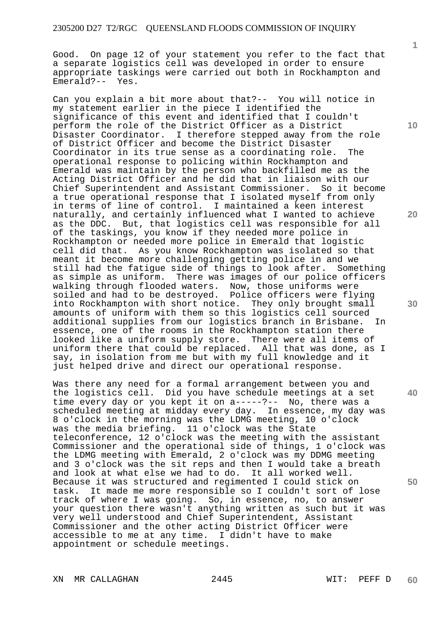Good. On page 12 of your statement you refer to the fact that a separate logistics cell was developed in order to ensure appropriate taskings were carried out both in Rockhampton and Emerald?-- Yes.

Can you explain a bit more about that?-- You will notice in my statement earlier in the piece I identified the significance of this event and identified that I couldn't perform the role of the District Officer as a District Disaster Coordinator. I therefore stepped away from the role of District Officer and become the District Disaster Coordinator in its true sense as a coordinating role. The operational response to policing within Rockhampton and Emerald was maintain by the person who backfilled me as the Acting District Officer and he did that in liaison with our Chief Superintendent and Assistant Commissioner. So it become a true operational response that I isolated myself from only in terms of line of control. I maintained a keen interest naturally, and certainly influenced what I wanted to achieve as the DDC. But, that logistics cell was responsible for all of the taskings, you know if they needed more police in Rockhampton or needed more police in Emerald that logistic cell did that. As you know Rockhampton was isolated so that meant it become more challenging getting police in and we still had the fatigue side of things to look after. Something as simple as uniform. There was images of our police officers walking through flooded waters. Now, those uniforms were soiled and had to be destroyed. Police officers were flying into Rockhampton with short notice. They only brought small amounts of uniform with them so this logistics cell sourced<br>additional supplies from our logistics branch in Brisbane. In additional supplies from our logistics branch in Brisbane. essence, one of the rooms in the Rockhampton station there looked like a uniform supply store. There were all items of uniform there that could be replaced. All that was done, as I say, in isolation from me but with my full knowledge and it just helped drive and direct our operational response.

Was there any need for a formal arrangement between you and the logistics cell. Did you have schedule meetings at a set time every day or you kept it on a-----?-- No, there was a scheduled meeting at midday every day. In essence, my day was 8 o'clock in the morning was the LDMG meeting, 10 o'clock was the media briefing. 11 o'clock was the State teleconference, 12 o'clock was the meeting with the assistant Commissioner and the operational side of things, 1 o'clock was the LDMG meeting with Emerald, 2 o'clock was my DDMG meeting and 3 o'clock was the sit reps and then I would take a breath and look at what else we had to do. It all worked well. Because it was structured and regimented I could stick on task. It made me more responsible so I couldn't sort of lose track of where I was going. So, in essence, no, to answer your question there wasn't anything written as such but it was very well understood and Chief Superintendent, Assistant Commissioner and the other acting District Officer were accessible to me at any time. I didn't have to make appointment or schedule meetings.

**20** 

**1**

**10** 

**30** 

**50** 

XN MR CALLAGHAN 2445 WIT: PEFF D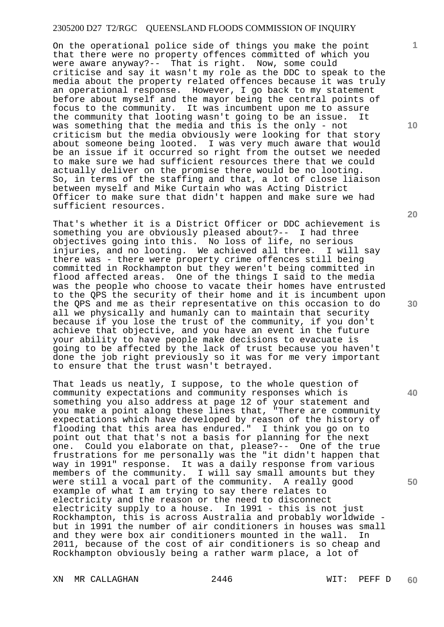On the operational police side of things you make the point that there were no property offences committed of which you were aware anyway?-- That is right. Now, some could criticise and say it wasn't my role as the DDC to speak to the media about the property related offences because it was truly an operational response. However, I go back to my statement before about myself and the mayor being the central points of focus to the community. It was incumbent upon me to assure the community that looting wasn't going to be an issue. It was something that the media and this is the only - not criticism but the media obviously were looking for that story about someone being looted. I was very much aware that would be an issue if it occurred so right from the outset we needed to make sure we had sufficient resources there that we could actually deliver on the promise there would be no looting. So, in terms of the staffing and that, a lot of close liaison between myself and Mike Curtain who was Acting District Officer to make sure that didn't happen and make sure we had sufficient resources.

That's whether it is a District Officer or DDC achievement is something you are obviously pleased about?-- I had three objectives going into this. No loss of life, no serious injuries, and no looting. We achieved all three. I will say there was - there were property crime offences still being committed in Rockhampton but they weren't being committed in flood affected areas. One of the things I said to the media was the people who choose to vacate their homes have entrusted to the QPS the security of their home and it is incumbent upon the QPS and me as their representative on this occasion to do all we physically and humanly can to maintain that security because if you lose the trust of the community, if you don't achieve that objective, and you have an event in the future your ability to have people make decisions to evacuate is going to be affected by the lack of trust because you haven't done the job right previously so it was for me very important to ensure that the trust wasn't betrayed.

That leads us neatly, I suppose, to the whole question of community expectations and community responses which is something you also address at page 12 of your statement and you make a point along these lines that, "There are community expectations which have developed by reason of the history of flooding that this area has endured." I think you go on to point out that that's not a basis for planning for the next one. Could you elaborate on that, please?-- One of the true frustrations for me personally was the "it didn't happen that way in 1991" response. It was a daily response from various members of the community. I will say small amounts but they were still a vocal part of the community. A really good example of what I am trying to say there relates to electricity and the reason or the need to disconnect electricity supply to a house. In 1991 - this is not just Rockhampton, this is across Australia and probably worldwide but in 1991 the number of air conditioners in houses was small and they were box air conditioners mounted in the wall. In 2011, because of the cost of air conditioners is so cheap and Rockhampton obviously being a rather warm place, a lot of

XN MR CALLAGHAN 2446 WIT: PEFF D

**20** 

**40** 

**50** 

**30**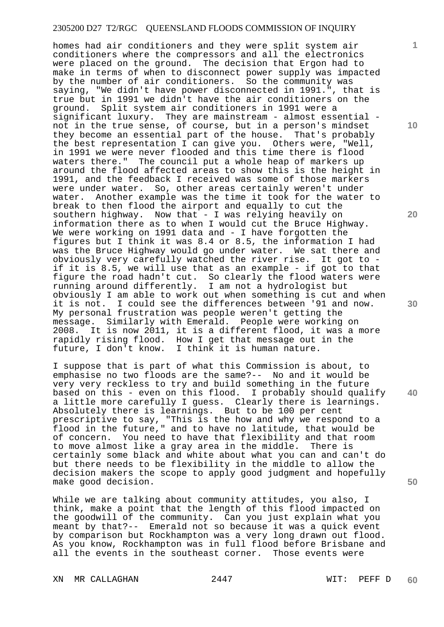homes had air conditioners and they were split system air conditioners where the compressors and all the electronics were placed on the ground. The decision that Ergon had to make in terms of when to disconnect power supply was impacted by the number of air conditioners. So the community was saying, "We didn't have power disconnected in 1991.", that is true but in 1991 we didn't have the air conditioners on the ground. Split system air conditioners in 1991 were a significant luxury. They are mainstream - almost essential not in the true sense, of course, but in a person's mindset they become an essential part of the house. That's probably the best representation I can give you. Others were, "Well, in 1991 we were never flooded and this time there is flood waters there." The council put a whole heap of markers up around the flood affected areas to show this is the height in 1991, and the feedback I received was some of those markers were under water. So, other areas certainly weren't under water. Another example was the time it took for the water to break to then flood the airport and equally to cut the southern highway. Now that - I was relying heavily on information there as to when I would cut the Bruce Highway. We were working on 1991 data and - I have forgotten the figures but I think it was 8.4 or 8.5, the information I had was the Bruce Highway would go under water. We sat there and obviously very carefully watched the river rise. It got to if it is 8.5, we will use that as an example - if got to that figure the road hadn't cut. So clearly the flood waters were running around differently. I am not a hydrologist but obviously I am able to work out when something is cut and when it is not. I could see the differences between '91 and now. My personal frustration was people weren't getting the message. Similarly with Emerald. People were working on 2008. It is now 2011, it is a different flood, it was a more rapidly rising flood. How I get that message out in the future, I don't know. I think it is human nature.

I suppose that is part of what this Commission is about, to emphasise no two floods are the same?-- No and it would be very very reckless to try and build something in the future based on this - even on this flood. I probably should qualify a little more carefully I guess. Clearly there is learnings. Absolutely there is learnings. But to be 100 per cent prescriptive to say, "This is the how and why we respond to a flood in the future," and to have no latitude, that would be of concern. You need to have that flexibility and that room to move almost like a gray area in the middle. There is certainly some black and white about what you can and can't do but there needs to be flexibility in the middle to allow the decision makers the scope to apply good judgment and hopefully make good decision.

While we are talking about community attitudes, you also, I think, make a point that the length of this flood impacted on the goodwill of the community. Can you just explain what you meant by that?-- Emerald not so because it was a quick event by comparison but Rockhampton was a very long drawn out flood. As you know, Rockhampton was in full flood before Brisbane and all the events in the southeast corner. Those events were

XN MR CALLAGHAN 2447 WIT: PEFF D

**10** 

**1**

**20** 

**30** 

**40**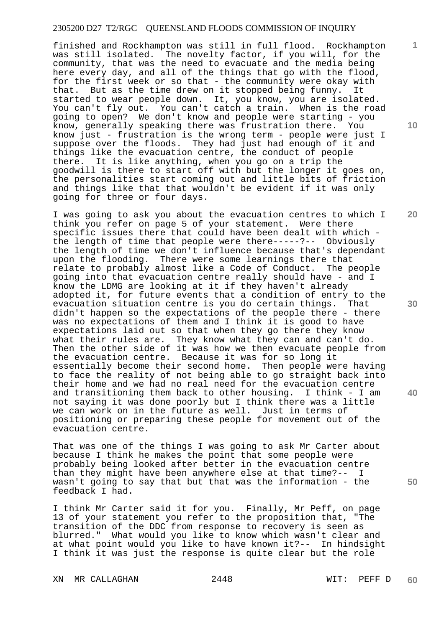finished and Rockhampton was still in full flood. Rockhampton was still isolated. The novelty factor, if you will, for the community, that was the need to evacuate and the media being here every day, and all of the things that go with the flood, for the first week or so that - the community were okay with that. But as the time drew on it stopped being funny. It started to wear people down. It, you know, you are isolated. You can't fly out. You can't catch a train. When is the road going to open? We don't know and people were starting - you know, generally speaking there was frustration there. You know just - frustration is the wrong term - people were just I suppose over the floods. They had just had enough of it and things like the evacuation centre, the conduct of people there. It is like anything, when you go on a trip the goodwill is there to start off with but the longer it goes on, the personalities start coming out and little bits of friction and things like that that wouldn't be evident if it was only going for three or four days.

I was going to ask you about the evacuation centres to which I think you refer on page 5 of your statement. Were there specific issues there that could have been dealt with which the length of time that people were there-----?-- Obviously the length of time we don't influence because that's dependant upon the flooding. There were some learnings there that relate to probably almost like a Code of Conduct. The people going into that evacuation centre really should have - and I know the LDMG are looking at it if they haven't already adopted it, for future events that a condition of entry to the evacuation situation centre is you do certain things. That didn't happen so the expectations of the people there - there was no expectations of them and I think it is good to have expectations laid out so that when they go there they know what their rules are. They know what they can and can't do. Then the other side of it was how we then evacuate people from the evacuation centre. Because it was for so long it essentially become their second home. Then people were having to face the reality of not being able to go straight back into their home and we had no real need for the evacuation centre and transitioning them back to other housing. I think - I am not saying it was done poorly but I think there was a little we can work on in the future as well. Just in terms of positioning or preparing these people for movement out of the evacuation centre.

That was one of the things I was going to ask Mr Carter about because I think he makes the point that some people were probably being looked after better in the evacuation centre than they might have been anywhere else at that time?-- I wasn't going to say that but that was the information - the feedback I had.

I think Mr Carter said it for you. Finally, Mr Peff, on page 13 of your statement you refer to the proposition that, "The transition of the DDC from response to recovery is seen as blurred." What would you like to know which wasn't clear and at what point would you like to have known it?-- In hindsight I think it was just the response is quite clear but the role

XN MR CALLAGHAN 2448 WIT: PEFF D

**10** 

**1**

**20** 

**30** 

**40**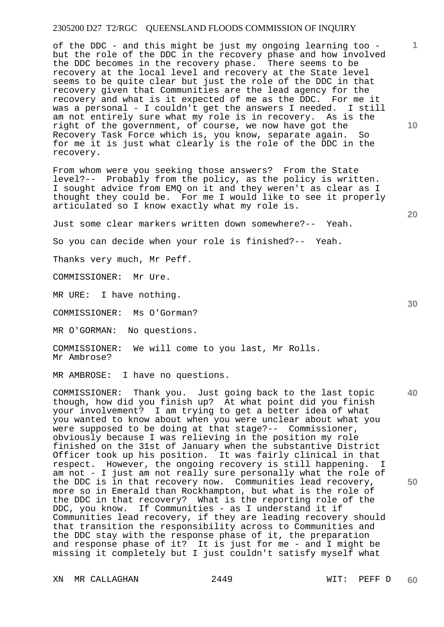of the DDC - and this might be just my ongoing learning too but the role of the DDC in the recovery phase and how involved the DDC becomes in the recovery phase. There seems to be recovery at the local level and recovery at the State level seems to be quite clear but just the role of the DDC in that recovery given that Communities are the lead agency for the recovery and what is it expected of me as the DDC. For me it was a personal - I couldn't get the answers I needed. I still am not entirely sure what my role is in recovery. As is the right of the government, of course, we now have got the Recovery Task Force which is, you know, separate again. So for me it is just what clearly is the role of the DDC in the recovery.

From whom were you seeking those answers? From the State level?-- Probably from the policy, as the policy is written. I sought advice from EMQ on it and they weren't as clear as I thought they could be. For me I would like to see it properly articulated so I know exactly what my role is.

Just some clear markers written down somewhere?-- Yeah.

So you can decide when your role is finished?-- Yeah.

Thanks very much, Mr Peff.

COMMISSIONER: Mr Ure.

MR URE: I have nothing.

COMMISSIONER: Ms O'Gorman?

MR O'GORMAN: No questions.

COMMISSIONER: We will come to you last, Mr Rolls. Mr Ambrose?

MR AMBROSE: I have no questions.

**40**  COMMISSIONER: Thank you. Just going back to the last topic though, how did you finish up? At what point did you finish your involvement? I am trying to get a better idea of what you wanted to know about when you were unclear about what you were supposed to be doing at that stage?-- Commissioner, obviously because I was relieving in the position my role finished on the 31st of January when the substantive District Officer took up his position. It was fairly clinical in that respect. However, the ongoing recovery is still happening. I am not - I just am not really sure personally what the role of the DDC is in that recovery now. Communities lead recovery, more so in Emerald than Rockhampton, but what is the role of the DDC in that recovery? What is the reporting role of the DDC, you know. If Communities - as I understand it if Communities lead recovery, if they are leading recovery should that transition the responsibility across to Communities and the DDC stay with the response phase of it, the preparation and response phase of it? It is just for me - and I might be missing it completely but I just couldn't satisfy myself what

XN MR CALLAGHAN 2449 WIT: PEFF D

**20** 

**10** 

**50**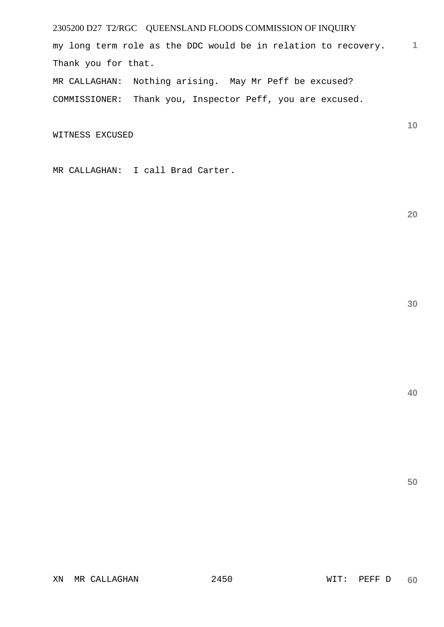**1** my long term role as the DDC would be in relation to recovery. Thank you for that.

MR CALLAGHAN: Nothing arising. May Mr Peff be excused? COMMISSIONER: Thank you, Inspector Peff, you are excused.

WITNESS EXCUSED

MR CALLAGHAN: I call Brad Carter.

**20** 

**10**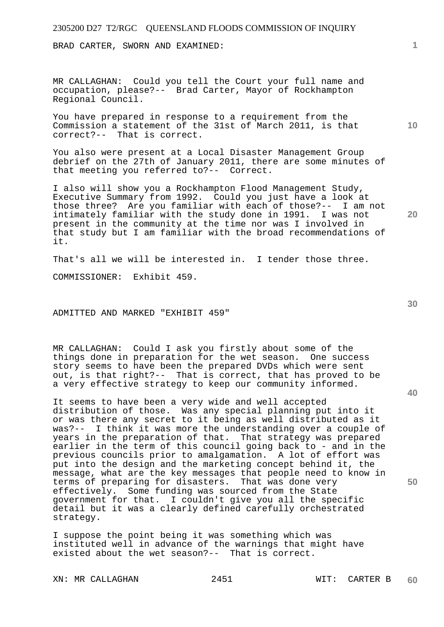BRAD CARTER, SWORN AND EXAMINED:

MR CALLAGHAN: Could you tell the Court your full name and occupation, please?-- Brad Carter, Mayor of Rockhampton Regional Council.

You have prepared in response to a requirement from the Commission a statement of the 31st of March 2011, is that correct?-- That is correct.

You also were present at a Local Disaster Management Group debrief on the 27th of January 2011, there are some minutes of that meeting you referred to?-- Correct.

I also will show you a Rockhampton Flood Management Study, Executive Summary from 1992. Could you just have a look at those three? Are you familiar with each of those?-- I am not intimately familiar with the study done in 1991. I was not present in the community at the time nor was I involved in that study but I am familiar with the broad recommendations of it.

That's all we will be interested in. I tender those three.

COMMISSIONER: Exhibit 459.

ADMITTED AND MARKED "EXHIBIT 459"

MR CALLAGHAN: Could I ask you firstly about some of the things done in preparation for the wet season. One success story seems to have been the prepared DVDs which were sent out, is that right?-- That is correct, that has proved to be a very effective strategy to keep our community informed.

It seems to have been a very wide and well accepted distribution of those. Was any special planning put into it or was there any secret to it being as well distributed as it was?-- I think it was more the understanding over a couple of years in the preparation of that. That strategy was prepared earlier in the term of this council going back to - and in the previous councils prior to amalgamation. A lot of effort was put into the design and the marketing concept behind it, the message, what are the key messages that people need to know in terms of preparing for disasters. That was done very effectively. Some funding was sourced from the State government for that. I couldn't give you all the specific detail but it was a clearly defined carefully orchestrated strategy.

I suppose the point being it was something which was instituted well in advance of the warnings that might have existed about the wet season?-- That is correct.

XN: MR CALLAGHAN 2451 WIT: CARTER B

**10** 

**30** 

**20** 

**40**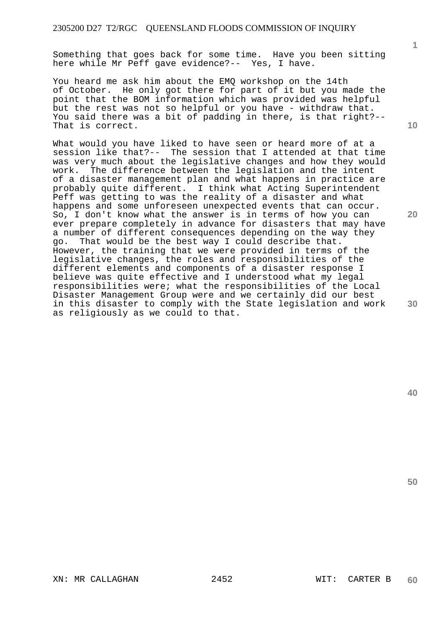Something that goes back for some time. Have you been sitting here while Mr Peff gave evidence?-- Yes, I have.

You heard me ask him about the EMQ workshop on the 14th of October. He only got there for part of it but you made the point that the BOM information which was provided was helpful but the rest was not so helpful or you have - withdraw that. You said there was a bit of padding in there, is that right?-- That is correct.

What would you have liked to have seen or heard more of at a session like that?-- The session that I attended at that time was very much about the legislative changes and how they would work. The difference between the legislation and the intent of a disaster management plan and what happens in practice are probably quite different. I think what Acting Superintendent Peff was getting to was the reality of a disaster and what happens and some unforeseen unexpected events that can occur. So, I don't know what the answer is in terms of how you can ever prepare completely in advance for disasters that may have a number of different consequences depending on the way they go. That would be the best way I could describe that. However, the training that we were provided in terms of the legislative changes, the roles and responsibilities of the different elements and components of a disaster response I believe was quite effective and I understood what my legal responsibilities were; what the responsibilities of the Local Disaster Management Group were and we certainly did our best in this disaster to comply with the State legislation and work as religiously as we could to that.

**10** 

**1**

**20** 

**30**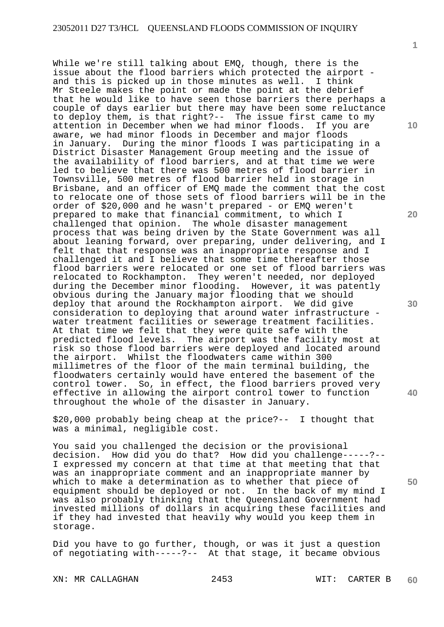While we're still talking about EMQ, though, there is the issue about the flood barriers which protected the airport and this is picked up in those minutes as well. I think Mr Steele makes the point or made the point at the debrief that he would like to have seen those barriers there perhaps a couple of days earlier but there may have been some reluctance to deploy them, is that right?-- The issue first came to my attention in December when we had minor floods. If you are aware, we had minor floods in December and major floods in January. During the minor floods I was participating in a District Disaster Management Group meeting and the issue of the availability of flood barriers, and at that time we were led to believe that there was 500 metres of flood barrier in Townsville, 500 metres of flood barrier held in storage in Brisbane, and an officer of EMQ made the comment that the cost to relocate one of those sets of flood barriers will be in the order of \$20,000 and he wasn't prepared - or EMQ weren't prepared to make that financial commitment, to which I challenged that opinion. The whole disaster management process that was being driven by the State Government was all about leaning forward, over preparing, under delivering, and I felt that that response was an inappropriate response and I challenged it and I believe that some time thereafter those flood barriers were relocated or one set of flood barriers was relocated to Rockhampton. They weren't needed, nor deployed during the December minor flooding. However, it was patently obvious during the January major flooding that we should deploy that around the Rockhampton airport. We did give consideration to deploying that around water infrastructure water treatment facilities or sewerage treatment facilities. At that time we felt that they were quite safe with the predicted flood levels. The airport was the facility most at risk so those flood barriers were deployed and located around the airport. Whilst the floodwaters came within 300 millimetres of the floor of the main terminal building, the floodwaters certainly would have entered the basement of the control tower. So, in effect, the flood barriers proved very effective in allowing the airport control tower to function throughout the whole of the disaster in January.

\$20,000 probably being cheap at the price?-- I thought that was a minimal, negligible cost.

You said you challenged the decision or the provisional decision. How did you do that? How did you challenge-----?-- I expressed my concern at that time at that meeting that that was an inappropriate comment and an inappropriate manner by which to make a determination as to whether that piece of equipment should be deployed or not. In the back of my mind I was also probably thinking that the Queensland Government had invested millions of dollars in acquiring these facilities and if they had invested that heavily why would you keep them in storage.

Did you have to go further, though, or was it just a question of negotiating with-----?-- At that stage, it became obvious

XN: MR CALLAGHAN 2453 WIT: CARTER B

**60** 

**10** 

**1**

**20** 

**40**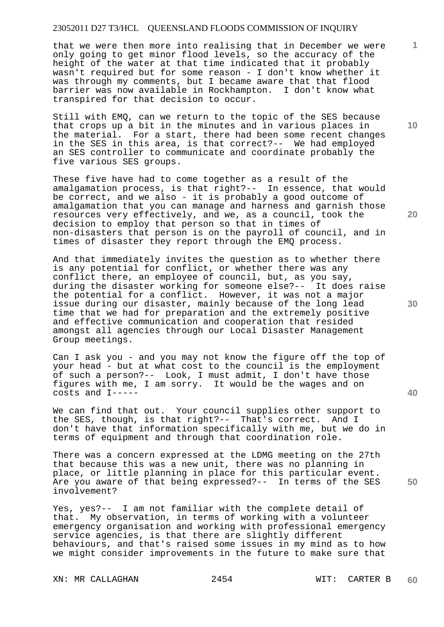that we were then more into realising that in December we were only going to get minor flood levels, so the accuracy of the height of the water at that time indicated that it probably wasn't required but for some reason - I don't know whether it was through my comments, but I became aware that that flood barrier was now available in Rockhampton. I don't know what transpired for that decision to occur.

Still with EMQ, can we return to the topic of the SES because that crops up a bit in the minutes and in various places in the material. For a start, there had been some recent changes in the SES in this area, is that correct?-- We had employed an SES controller to communicate and coordinate probably the five various SES groups.

These five have had to come together as a result of the amalgamation process, is that right?-- In essence, that would be correct, and we also - it is probably a good outcome of amalgamation that you can manage and harness and garnish those resources very effectively, and we, as a council, took the decision to employ that person so that in times of non-disasters that person is on the payroll of council, and in times of disaster they report through the EMQ process.

And that immediately invites the question as to whether there is any potential for conflict, or whether there was any conflict there, an employee of council, but, as you say, during the disaster working for someone else?-- It does raise the potential for a conflict. However, it was not a major issue during our disaster, mainly because of the long lead time that we had for preparation and the extremely positive and effective communication and cooperation that resided amongst all agencies through our Local Disaster Management Group meetings.

Can I ask you - and you may not know the figure off the top of your head - but at what cost to the council is the employment of such a person?-- Look, I must admit, I don't have those figures with me, I am sorry. It would be the wages and on costs and I-----

We can find that out. Your council supplies other support to the SES, though, is that right?-- That's correct. And I don't have that information specifically with me, but we do in terms of equipment and through that coordination role.

There was a concern expressed at the LDMG meeting on the 27th that because this was a new unit, there was no planning in place, or little planning in place for this particular event. Are you aware of that being expressed?-- In terms of the SES involvement?

Yes, yes?-- I am not familiar with the complete detail of that. My observation, in terms of working with a volunteer emergency organisation and working with professional emergency service agencies, is that there are slightly different behaviours, and that's raised some issues in my mind as to how we might consider improvements in the future to make sure that

XN: MR CALLAGHAN 2454 WIT: CARTER B

**10** 

**1**

**20** 

**40**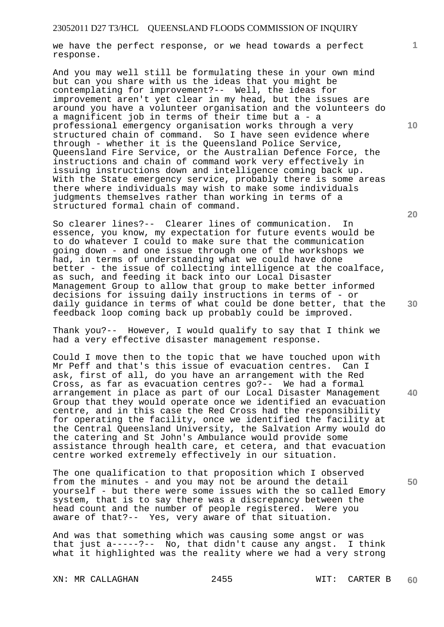we have the perfect response, or we head towards a perfect response.

And you may well still be formulating these in your own mind but can you share with us the ideas that you might be contemplating for improvement?-- Well, the ideas for improvement aren't yet clear in my head, but the issues are around you have a volunteer organisation and the volunteers do a magnificent job in terms of their time but a - a professional emergency organisation works through a very structured chain of command. So I have seen evidence where through - whether it is the Queensland Police Service, Queensland Fire Service, or the Australian Defence Force, the instructions and chain of command work very effectively in issuing instructions down and intelligence coming back up. With the State emergency service, probably there is some areas there where individuals may wish to make some individuals judgments themselves rather than working in terms of a structured formal chain of command.

So clearer lines?-- Clearer lines of communication. In essence, you know, my expectation for future events would be to do whatever I could to make sure that the communication going down - and one issue through one of the workshops we had, in terms of understanding what we could have done better - the issue of collecting intelligence at the coalface, as such, and feeding it back into our Local Disaster Management Group to allow that group to make better informed decisions for issuing daily instructions in terms of - or daily guidance in terms of what could be done better, that the feedback loop coming back up probably could be improved.

Thank you?-- However, I would qualify to say that I think we had a very effective disaster management response.

Could I move then to the topic that we have touched upon with Mr Peff and that's this issue of evacuation centres. Can I ask, first of all, do you have an arrangement with the Red Cross, as far as evacuation centres go?-- We had a formal arrangement in place as part of our Local Disaster Management Group that they would operate once we identified an evacuation centre, and in this case the Red Cross had the responsibility for operating the facility, once we identified the facility at the Central Queensland University, the Salvation Army would do the catering and St John's Ambulance would provide some assistance through health care, et cetera, and that evacuation centre worked extremely effectively in our situation.

The one qualification to that proposition which I observed from the minutes - and you may not be around the detail yourself - but there were some issues with the so called Emory system, that is to say there was a discrepancy between the head count and the number of people registered. Were you aware of that?-- Yes, very aware of that situation.

And was that something which was causing some angst or was that just a-----?-- No, that didn't cause any angst. I think what it highlighted was the reality where we had a very strong

XN: MR CALLAGHAN 2455 WIT: CARTER B

**20** 

**10** 

**1**

**30** 

**40**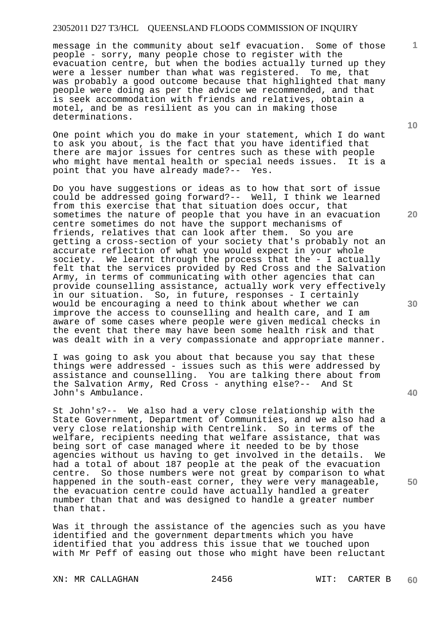message in the community about self evacuation. Some of those people - sorry, many people chose to register with the evacuation centre, but when the bodies actually turned up they were a lesser number than what was registered. To me, that was probably a good outcome because that highlighted that many people were doing as per the advice we recommended, and that is seek accommodation with friends and relatives, obtain a motel, and be as resilient as you can in making those determinations.

One point which you do make in your statement, which I do want to ask you about, is the fact that you have identified that there are major issues for centres such as these with people who might have mental health or special needs issues. It is a point that you have already made?-- Yes.

Do you have suggestions or ideas as to how that sort of issue could be addressed going forward?-- Well, I think we learned from this exercise that that situation does occur, that sometimes the nature of people that you have in an evacuation centre sometimes do not have the support mechanisms of friends, relatives that can look after them. So you are getting a cross-section of your society that's probably not an accurate reflection of what you would expect in your whole society. We learnt through the process that the - I actually felt that the services provided by Red Cross and the Salvation Army, in terms of communicating with other agencies that can provide counselling assistance, actually work very effectively in our situation. So, in future, responses - I certainly would be encouraging a need to think about whether we can improve the access to counselling and health care, and I am aware of some cases where people were given medical checks in the event that there may have been some health risk and that was dealt with in a very compassionate and appropriate manner.

I was going to ask you about that because you say that these things were addressed - issues such as this were addressed by assistance and counselling. You are talking there about from the Salvation Army, Red Cross - anything else?-- And St John's Ambulance.

St John's?-- We also had a very close relationship with the State Government, Department of Communities, and we also had a very close relationship with Centrelink. So in terms of the welfare, recipients needing that welfare assistance, that was being sort of case managed where it needed to be by those agencies without us having to get involved in the details. We had a total of about 187 people at the peak of the evacuation centre. So those numbers were not great by comparison to what happened in the south-east corner, they were very manageable, the evacuation centre could have actually handled a greater number than that and was designed to handle a greater number than that.

Was it through the assistance of the agencies such as you have identified and the government departments which you have identified that you address this issue that we touched upon with Mr Peff of easing out those who might have been reluctant

XN: MR CALLAGHAN 2456 WIT: CARTER B

**10** 

**1**

**20** 

**50**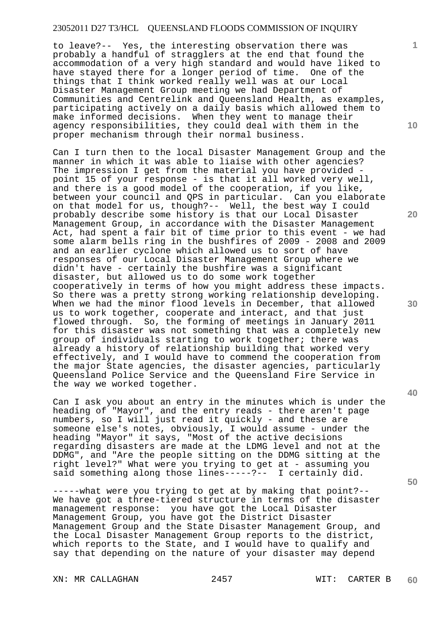to leave?-- Yes, the interesting observation there was probably a handful of stragglers at the end that found the accommodation of a very high standard and would have liked to have stayed there for a longer period of time. One of the things that I think worked really well was at our Local Disaster Management Group meeting we had Department of Communities and Centrelink and Queensland Health, as examples, participating actively on a daily basis which allowed them to make informed decisions. When they went to manage their agency responsibilities, they could deal with them in the proper mechanism through their normal business.

Can I turn then to the local Disaster Management Group and the manner in which it was able to liaise with other agencies? The impression I get from the material you have provided point 15 of your response - is that it all worked very well, and there is a good model of the cooperation, if you like, between your council and QPS in particular. Can you elaborate on that model for us, though?-- Well, the best way I could probably describe some history is that our Local Disaster Management Group, in accordance with the Disaster Management Act, had spent a fair bit of time prior to this event - we had some alarm bells ring in the bushfires of 2009 - 2008 and 2009 and an earlier cyclone which allowed us to sort of have responses of our Local Disaster Management Group where we didn't have - certainly the bushfire was a significant disaster, but allowed us to do some work together cooperatively in terms of how you might address these impacts. So there was a pretty strong working relationship developing. When we had the minor flood levels in December, that allowed us to work together, cooperate and interact, and that just flowed through. So, the forming of meetings in January 2011 for this disaster was not something that was a completely new group of individuals starting to work together; there was already a history of relationship building that worked very effectively, and I would have to commend the cooperation from the major State agencies, the disaster agencies, particularly Queensland Police Service and the Queensland Fire Service in the way we worked together.

Can I ask you about an entry in the minutes which is under the heading of "Mayor", and the entry reads - there aren't page numbers, so I will just read it quickly - and these are someone else's notes, obviously, I would assume - under the heading "Mayor" it says, "Most of the active decisions regarding disasters are made at the LDMG level and not at the DDMG", and "Are the people sitting on the DDMG sitting at the right level?" What were you trying to get at - assuming you said something along those lines-----?-- I certainly did.

-----what were you trying to get at by making that point?-- We have got a three-tiered structure in terms of the disaster management response: you have got the Local Disaster Management Group, you have got the District Disaster Management Group and the State Disaster Management Group, and the Local Disaster Management Group reports to the district, which reports to the State, and I would have to qualify and say that depending on the nature of your disaster may depend

XN: MR CALLAGHAN 2457 WIT: CARTER B

**10** 

**1**

**20** 

**30** 

**40**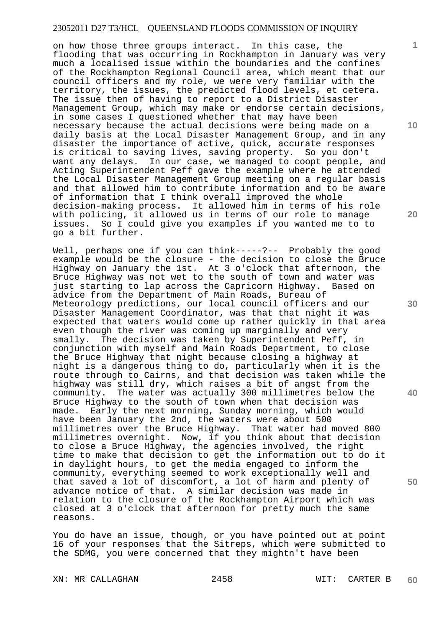on how those three groups interact. In this case, the flooding that was occurring in Rockhampton in January was very much a localised issue within the boundaries and the confines of the Rockhampton Regional Council area, which meant that our council officers and my role, we were very familiar with the territory, the issues, the predicted flood levels, et cetera. The issue then of having to report to a District Disaster Management Group, which may make or endorse certain decisions, in some cases I questioned whether that may have been necessary because the actual decisions were being made on a daily basis at the Local Disaster Management Group, and in any disaster the importance of active, quick, accurate responses is critical to saving lives, saving property. So you don't want any delays. In our case, we managed to coopt people, and Acting Superintendent Peff gave the example where he attended the Local Disaster Management Group meeting on a regular basis and that allowed him to contribute information and to be aware of information that I think overall improved the whole decision-making process. It allowed him in terms of his role with policing, it allowed us in terms of our role to manage issues. So I could give you examples if you wanted me to to go a bit further.

Well, perhaps one if you can think-----?-- Probably the good example would be the closure - the decision to close the Bruce Highway on January the 1st. At 3 o'clock that afternoon, the Bruce Highway was not wet to the south of town and water was just starting to lap across the Capricorn Highway. Based on advice from the Department of Main Roads, Bureau of Meteorology predictions, our local council officers and our Disaster Management Coordinator, was that that night it was expected that waters would come up rather quickly in that area even though the river was coming up marginally and very smally. The decision was taken by Superintendent Peff, in conjunction with myself and Main Roads Department, to close the Bruce Highway that night because closing a highway at night is a dangerous thing to do, particularly when it is the route through to Cairns, and that decision was taken while the highway was still dry, which raises a bit of angst from the community. The water was actually 300 millimetres below the Bruce Highway to the south of town when that decision was made. Early the next morning, Sunday morning, which would have been January the 2nd, the waters were about 500 millimetres over the Bruce Highway. That water had moved 800 millimetres overnight. Now, if you think about that decision to close a Bruce Highway, the agencies involved, the right time to make that decision to get the information out to do it in daylight hours, to get the media engaged to inform the community, everything seemed to work exceptionally well and that saved a lot of discomfort, a lot of harm and plenty of advance notice of that. A similar decision was made in relation to the closure of the Rockhampton Airport which was closed at 3 o'clock that afternoon for pretty much the same reasons.

You do have an issue, though, or you have pointed out at point 16 of your responses that the Sitreps, which were submitted to the SDMG, you were concerned that they mightn't have been

XN: MR CALLAGHAN 2458 WIT: CARTER B

**1**

**10** 

**20** 

**30** 

**40**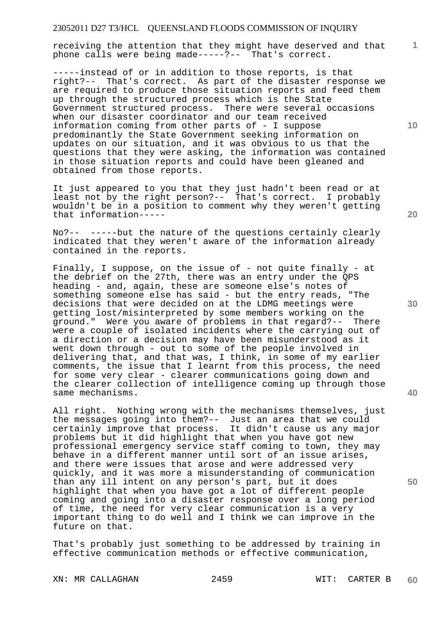receiving the attention that they might have deserved and that phone calls were being made-----?-- That's correct.

-----instead of or in addition to those reports, is that right?-- That's correct. As part of the disaster response we are required to produce those situation reports and feed them up through the structured process which is the State Government structured process. There were several occasions when our disaster coordinator and our team received information coming from other parts of - I suppose predominantly the State Government seeking information on updates on our situation, and it was obvious to us that the questions that they were asking, the information was contained in those situation reports and could have been gleaned and obtained from those reports.

It just appeared to you that they just hadn't been read or at least not by the right person?-- That's correct. I probably wouldn't be in a position to comment why they weren't getting that information-----

No?-- -----but the nature of the questions certainly clearly indicated that they weren't aware of the information already contained in the reports.

Finally, I suppose, on the issue of - not quite finally - at the debrief on the 27th, there was an entry under the QPS heading - and, again, these are someone else's notes of something someone else has said - but the entry reads, "The decisions that were decided on at the LDMG meetings were getting lost/misinterpreted by some members working on the ground." Were you aware of problems in that regard?-- There were a couple of isolated incidents where the carrying out of a direction or a decision may have been misunderstood as it went down through - out to some of the people involved in delivering that, and that was, I think, in some of my earlier comments, the issue that I learnt from this process, the need for some very clear - clearer communications going down and the clearer collection of intelligence coming up through those same mechanisms.

All right. Nothing wrong with the mechanisms themselves, just the messages going into them?-- Just an area that we could certainly improve that process. It didn't cause us any major problems but it did highlight that when you have got new professional emergency service staff coming to town, they may behave in a different manner until sort of an issue arises, and there were issues that arose and were addressed very quickly, and it was more a misunderstanding of communication than any ill intent on any person's part, but it does highlight that when you have got a lot of different people coming and going into a disaster response over a long period of time, the need for very clear communication is a very important thing to do well and I think we can improve in the future on that.

That's probably just something to be addressed by training in effective communication methods or effective communication,

XN: MR CALLAGHAN 2459 WIT: CARTER B

**20** 

**10** 

**1**

**50**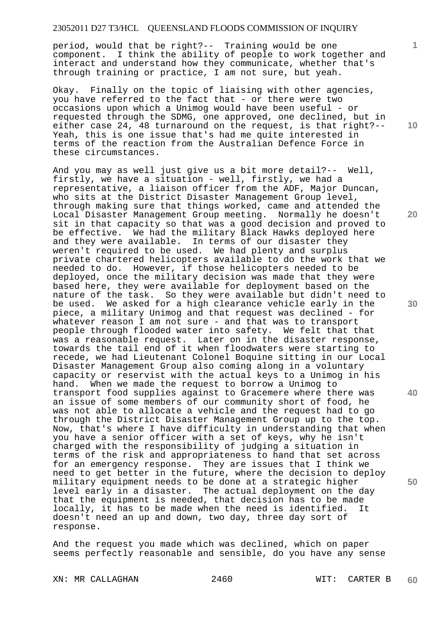period, would that be right?-- Training would be one component. I think the ability of people to work together and interact and understand how they communicate, whether that's through training or practice, I am not sure, but yeah.

Okay. Finally on the topic of liaising with other agencies, you have referred to the fact that - or there were two occasions upon which a Unimog would have been useful - or requested through the SDMG, one approved, one declined, but in either case 24, 48 turnaround on the request, is that right?-- Yeah, this is one issue that's had me quite interested in terms of the reaction from the Australian Defence Force in these circumstances.

And you may as well just give us a bit more detail?-- Well, firstly, we have a situation - well, firstly, we had a representative, a liaison officer from the ADF, Major Duncan, who sits at the District Disaster Management Group level, through making sure that things worked, came and attended the Local Disaster Management Group meeting. Normally he doesn't sit in that capacity so that was a good decision and proved to be effective. We had the military Black Hawks deployed here and they were available. In terms of our disaster they weren't required to be used. We had plenty and surplus private chartered helicopters available to do the work that we needed to do. However, if those helicopters needed to be deployed, once the military decision was made that they were based here, they were available for deployment based on the nature of the task. So they were available but didn't need to be used. We asked for a high clearance vehicle early in the piece, a military Unimog and that request was declined - for whatever reason I am not sure - and that was to transport people through flooded water into safety. We felt that that was a reasonable request. Later on in the disaster response, towards the tail end of it when floodwaters were starting to recede, we had Lieutenant Colonel Boquine sitting in our Local Disaster Management Group also coming along in a voluntary capacity or reservist with the actual keys to a Unimog in his hand. When we made the request to borrow a Unimog to transport food supplies against to Gracemere where there was an issue of some members of our community short of food, he was not able to allocate a vehicle and the request had to go through the District Disaster Management Group up to the top. Now, that's where I have difficulty in understanding that when you have a senior officer with a set of keys, why he isn't charged with the responsibility of judging a situation in terms of the risk and appropriateness to hand that set across for an emergency response. They are issues that I think we need to get better in the future, where the decision to deploy military equipment needs to be done at a strategic higher level early in a disaster. The actual deployment on the day that the equipment is needed, that decision has to be made locally, it has to be made when the need is identified. It doesn't need an up and down, two day, three day sort of response.

And the request you made which was declined, which on paper seems perfectly reasonable and sensible, do you have any sense

XN: MR CALLAGHAN 2460 WIT: CARTER B

**10** 

**1**

**20** 

**30** 

**40**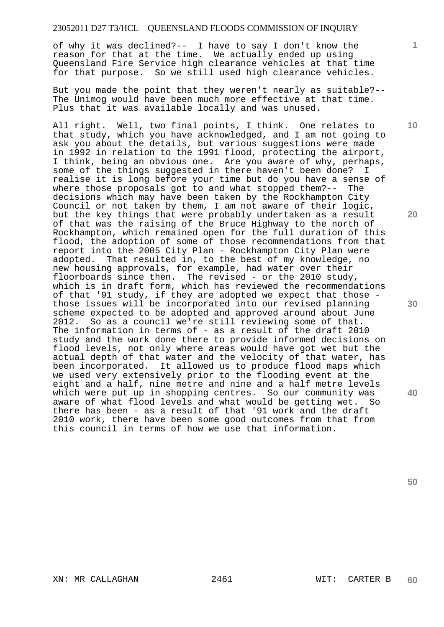of why it was declined?-- I have to say I don't know the reason for that at the time. We actually ended up using Queensland Fire Service high clearance vehicles at that time for that purpose. So we still used high clearance vehicles.

But you made the point that they weren't nearly as suitable?-- The Unimog would have been much more effective at that time. Plus that it was available locally and was unused.

All right. Well, two final points, I think. One relates to that study, which you have acknowledged, and I am not going to ask you about the details, but various suggestions were made in 1992 in relation to the 1991 flood, protecting the airport, I think, being an obvious one. Are you aware of why, perhaps, some of the things suggested in there haven't been done? I realise it is long before your time but do you have a sense of where those proposals got to and what stopped them?-- The decisions which may have been taken by the Rockhampton City Council or not taken by them, I am not aware of their logic, but the key things that were probably undertaken as a result of that was the raising of the Bruce Highway to the north of Rockhampton, which remained open for the full duration of this flood, the adoption of some of those recommendations from that report into the 2005 City Plan - Rockhampton City Plan were adopted. That resulted in, to the best of my knowledge, no new housing approvals, for example, had water over their floorboards since then. The revised - or the 2010 study, which is in draft form, which has reviewed the recommendations of that '91 study, if they are adopted we expect that those those issues will be incorporated into our revised planning scheme expected to be adopted and approved around about June 2012. So as a council we're still reviewing some of that. The information in terms of - as a result of the draft 2010 study and the work done there to provide informed decisions on flood levels, not only where areas would have got wet but the actual depth of that water and the velocity of that water, has been incorporated. It allowed us to produce flood maps which we used very extensively prior to the flooding event at the eight and a half, nine metre and nine and a half metre levels which were put up in shopping centres. So our community was aware of what flood levels and what would be getting wet. So there has been - as a result of that '91 work and the draft 2010 work, there have been some good outcomes from that from this council in terms of how we use that information.

**10** 

**1**

**20** 

**40**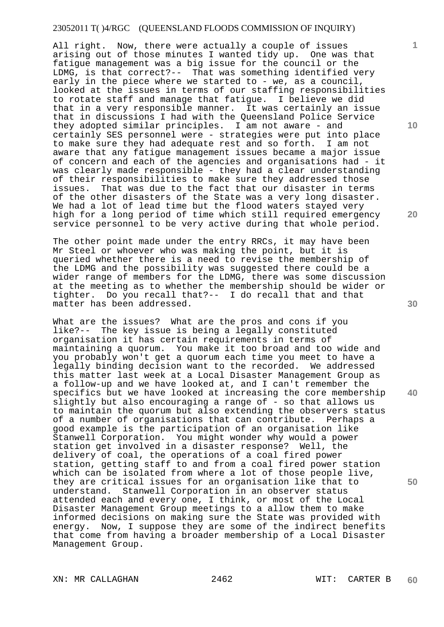All right. Now, there were actually a couple of issues arising out of those minutes I wanted tidy up. One was that fatigue management was a big issue for the council or the LDMG, is that correct?-- That was something identified very early in the piece where we started to - we, as a council, looked at the issues in terms of our staffing responsibilities to rotate staff and manage that fatigue. I believe we did that in a very responsible manner. It was certainly an issue that in discussions I had with the Queensland Police Service they adopted similar principles. I am not aware - and certainly SES personnel were - strategies were put into place to make sure they had adequate rest and so forth. I am not aware that any fatigue management issues became a major issue of concern and each of the agencies and organisations had - it was clearly made responsible - they had a clear understanding of their responsibilities to make sure they addressed those issues. That was due to the fact that our disaster in terms of the other disasters of the State was a very long disaster. We had a lot of lead time but the flood waters stayed very high for a long period of time which still required emergency service personnel to be very active during that whole period.

The other point made under the entry RRCs, it may have been Mr Steel or whoever who was making the point, but it is queried whether there is a need to revise the membership of the LDMG and the possibility was suggested there could be a wider range of members for the LDMG, there was some discussion at the meeting as to whether the membership should be wider or tighter. Do you recall that?-- I do recall that and that matter has been addressed.

What are the issues? What are the pros and cons if you like?-- The key issue is being a legally constituted organisation it has certain requirements in terms of maintaining a quorum. You make it too broad and too wide and you probably won't get a quorum each time you meet to have a legally binding decision want to the recorded. We addressed this matter last week at a Local Disaster Management Group as a follow-up and we have looked at, and I can't remember the specifics but we have looked at increasing the core membership slightly but also encouraging a range of - so that allows us to maintain the quorum but also extending the observers status of a number of organisations that can contribute. Perhaps a good example is the participation of an organisation like Stanwell Corporation. You might wonder why would a power station get involved in a disaster response? Well, the delivery of coal, the operations of a coal fired power station, getting staff to and from a coal fired power station which can be isolated from where a lot of those people live, they are critical issues for an organisation like that to understand. Stanwell Corporation in an observer status attended each and every one, I think, or most of the Local Disaster Management Group meetings to a allow them to make informed decisions on making sure the State was provided with energy. Now, I suppose they are some of the indirect benefits that come from having a broader membership of a Local Disaster Management Group.

XN: MR CALLAGHAN 2462 WIT: CARTER B

**10** 

**1**

**20** 

**30** 

**40**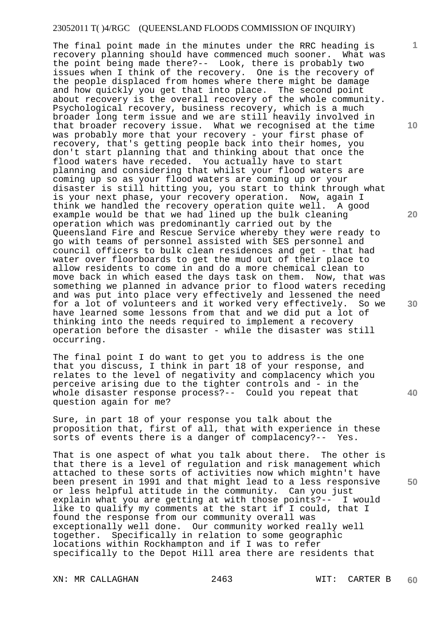The final point made in the minutes under the RRC heading is recovery planning should have commenced much sooner. What was the point being made there?-- Look, there is probably two issues when I think of the recovery. One is the recovery of the people displaced from homes where there might be damage and how quickly you get that into place. The second point about recovery is the overall recovery of the whole community. Psychological recovery, business recovery, which is a much broader long term issue and we are still heavily involved in that broader recovery issue. What we recognised at the time was probably more that your recovery - your first phase of recovery, that's getting people back into their homes, you don't start planning that and thinking about that once the flood waters have receded. You actually have to start planning and considering that whilst your flood waters are coming up so as your flood waters are coming up or your disaster is still hitting you, you start to think through what is your next phase, your recovery operation. Now, again I think we handled the recovery operation quite well. A good example would be that we had lined up the bulk cleaning operation which was predominantly carried out by the Queensland Fire and Rescue Service whereby they were ready to go with teams of personnel assisted with SES personnel and council officers to bulk clean residences and get - that had water over floorboards to get the mud out of their place to allow residents to come in and do a more chemical clean to move back in which eased the days task on them. Now, that was something we planned in advance prior to flood waters receding and was put into place very effectively and lessened the need for a lot of volunteers and it worked very effectively. So we have learned some lessons from that and we did put a lot of thinking into the needs required to implement a recovery operation before the disaster - while the disaster was still occurring.

The final point I do want to get you to address is the one that you discuss, I think in part 18 of your response, and relates to the level of negativity and complacency which you perceive arising due to the tighter controls and - in the whole disaster response process?-- Could you repeat that question again for me?

Sure, in part 18 of your response you talk about the proposition that, first of all, that with experience in these sorts of events there is a danger of complacency?-- Yes.

That is one aspect of what you talk about there. The other is that there is a level of regulation and risk management which attached to these sorts of activities now which mightn't have been present in 1991 and that might lead to a less responsive or less helpful attitude in the community. Can you just explain what you are getting at with those points?-- I would like to qualify my comments at the start if I could, that I found the response from our community overall was exceptionally well done. Our community worked really well together. Specifically in relation to some geographic locations within Rockhampton and if I was to refer specifically to the Depot Hill area there are residents that

XN: MR CALLAGHAN 2463 WIT: CARTER B

**10** 

**1**

**20** 

**30** 

**40**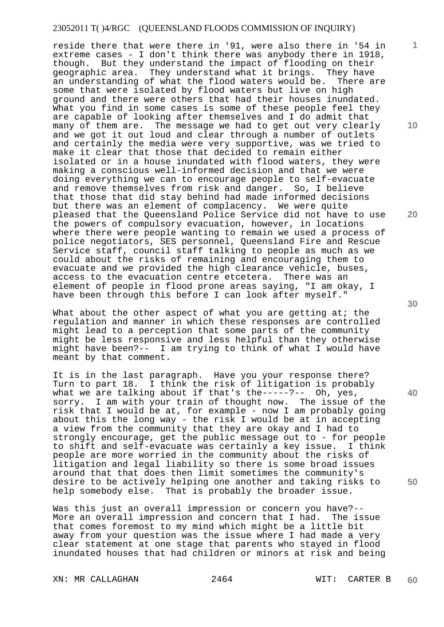reside there that were there in '91, were also there in '54 in extreme cases - I don't think there was anybody there in 1918, though. But they understand the impact of flooding on their geographic area. They understand what it brings. They have an understanding of what the flood waters would be. There are some that were isolated by flood waters but live on high ground and there were others that had their houses inundated. What you find in some cases is some of these people feel they are capable of looking after themselves and I do admit that many of them are. The message we had to get out very clearly and we got it out loud and clear through a number of outlets and certainly the media were very supportive, was we tried to make it clear that those that decided to remain either isolated or in a house inundated with flood waters, they were making a conscious well-informed decision and that we were doing everything we can to encourage people to self-evacuate and remove themselves from risk and danger. So, I believe that those that did stay behind had made informed decisions but there was an element of complacency. We were quite pleased that the Queensland Police Service did not have to use the powers of compulsory evacuation, however, in locations where there were people wanting to remain we used a process of police negotiators, SES personnel, Queensland Fire and Rescue Service staff, council staff talking to people as much as we could about the risks of remaining and encouraging them to evacuate and we provided the high clearance vehicle, buses, access to the evacuation centre etcetera. There was an element of people in flood prone areas saying, "I am okay, I have been through this before I can look after myself."

What about the other aspect of what you are getting at; the regulation and manner in which these responses are controlled might lead to a perception that some parts of the community might be less responsive and less helpful than they otherwise might have been?-- I am trying to think of what I would have meant by that comment.

It is in the last paragraph. Have you your response there? Turn to part 18. I think the risk of litigation is probably what we are talking about if that's the-----?-- Oh, yes, sorry. I am with your train of thought now. The issue of the risk that I would be at, for example - now I am probably going about this the long way - the risk I would be at in accepting a view from the community that they are okay and I had to strongly encourage, get the public message out to - for people to shift and self-evacuate was certainly a key issue. I think people are more worried in the community about the risks of litigation and legal liability so there is some broad issues around that that does then limit sometimes the community's desire to be actively helping one another and taking risks to help somebody else. That is probably the broader issue.

Was this just an overall impression or concern you have?-- More an overall impression and concern that I had. The issue that comes foremost to my mind which might be a little bit away from your question was the issue where I had made a very clear statement at one stage that parents who stayed in flood inundated houses that had children or minors at risk and being

XN: MR CALLAGHAN 2464 WIT: CARTER B

**10** 

**1**

**20** 

**30** 

**40**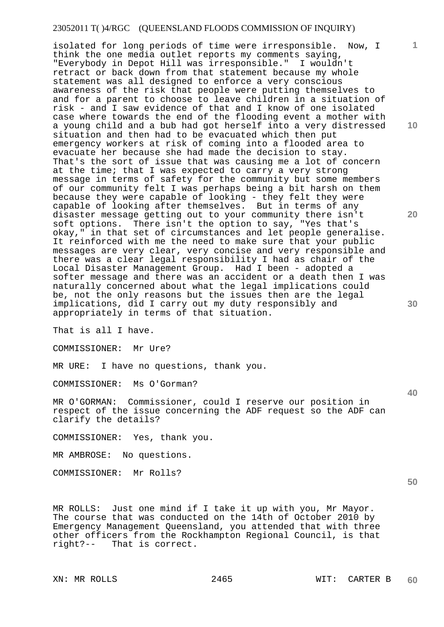isolated for long periods of time were irresponsible. Now, I think the one media outlet reports my comments saying, "Everybody in Depot Hill was irresponsible." I wouldn't retract or back down from that statement because my whole statement was all designed to enforce a very conscious awareness of the risk that people were putting themselves to and for a parent to choose to leave children in a situation of risk - and I saw evidence of that and I know of one isolated case where towards the end of the flooding event a mother with a young child and a bub had got herself into a very distressed situation and then had to be evacuated which then put emergency workers at risk of coming into a flooded area to evacuate her because she had made the decision to stay. That's the sort of issue that was causing me a lot of concern at the time; that I was expected to carry a very strong message in terms of safety for the community but some members of our community felt I was perhaps being a bit harsh on them because they were capable of looking - they felt they were capable of looking after themselves. But in terms of any disaster message getting out to your community there isn't soft options. There isn't the option to say, "Yes that's okay," in that set of circumstances and let people generalise. It reinforced with me the need to make sure that your public messages are very clear, very concise and very responsible and there was a clear legal responsibility I had as chair of the Local Disaster Management Group. Had I been - adopted a softer message and there was an accident or a death then I was naturally concerned about what the legal implications could be, not the only reasons but the issues then are the legal implications, did I carry out my duty responsibly and appropriately in terms of that situation.

That is all I have.

COMMISSIONER: Mr Ure?

MR URE: I have no questions, thank you.

COMMISSIONER: Ms O'Gorman?

MR O'GORMAN: Commissioner, could I reserve our position in respect of the issue concerning the ADF request so the ADF can clarify the details?

COMMISSIONER: Yes, thank you.

MR AMBROSE: No questions.

COMMISSIONER: Mr Rolls?

MR ROLLS: Just one mind if I take it up with you, Mr Mayor. The course that was conducted on the 14th of October 2010 by Emergency Management Queensland, you attended that with three other officers from the Rockhampton Regional Council, is that right?-- That is correct.

**10** 

**20** 

**30** 

**1**

**40**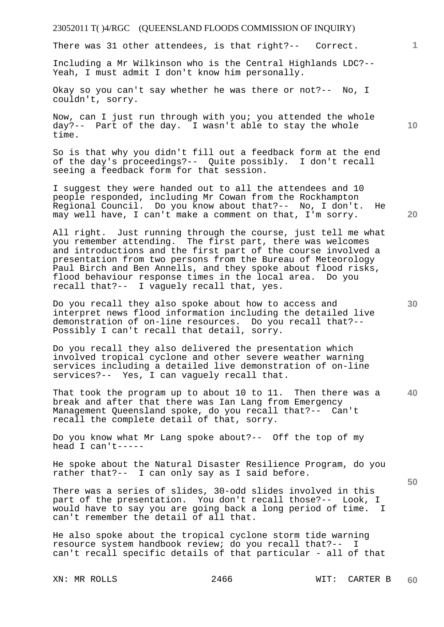There was 31 other attendees, is that right?-- Correct.

Including a Mr Wilkinson who is the Central Highlands LDC?-- Yeah, I must admit I don't know him personally.

Okay so you can't say whether he was there or not?-- No, I couldn't, sorry.

Now, can I just run through with you; you attended the whole day?-- Part of the day. I wasn't able to stay the whole time.

So is that why you didn't fill out a feedback form at the end<br>of the day's proceedings?-- Ouite possibly. I don't recall of the day's proceedings?-- Quite possibly. seeing a feedback form for that session.

I suggest they were handed out to all the attendees and 10 people responded, including Mr Cowan from the Rockhampton Regional Council. Do you know about that?-- No, I don't. He may well have, I can't make a comment on that, I'm sorry.

All right. Just running through the course, just tell me what you remember attending. The first part, there was welcomes and introductions and the first part of the course involved a presentation from two persons from the Bureau of Meteorology Paul Birch and Ben Annells, and they spoke about flood risks, flood behaviour response times in the local area. Do you recall that?-- I vaguely recall that, yes.

Do you recall they also spoke about how to access and interpret news flood information including the detailed live demonstration of on-line resources. Do you recall that?-- Possibly I can't recall that detail, sorry.

Do you recall they also delivered the presentation which involved tropical cyclone and other severe weather warning services including a detailed live demonstration of on-line services?-- Yes, I can vaguely recall that.

**40**  That took the program up to about 10 to 11. Then there was a break and after that there was Ian Lang from Emergency Management Queensland spoke, do you recall that?-- Can't recall the complete detail of that, sorry.

Do you know what Mr Lang spoke about?-- Off the top of my head I can't-----

He spoke about the Natural Disaster Resilience Program, do you rather that?-- I can only say as I said before.

There was a series of slides, 30-odd slides involved in this part of the presentation. You don't recall those?-- Look, I would have to say you are going back a long period of time. I can't remember the detail of all that.

He also spoke about the tropical cyclone storm tide warning resource system handbook review; do you recall that?-- I can't recall specific details of that particular - all of that

**10** 

**1**

**50**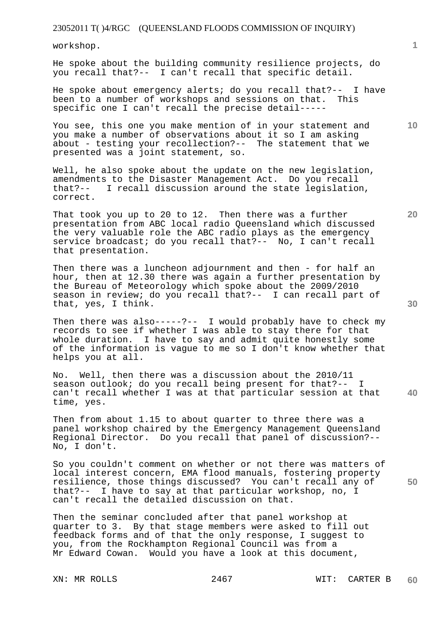workshop.

He spoke about the building community resilience projects, do you recall that?-- I can't recall that specific detail.

He spoke about emergency alerts; do you recall that?-- I have<br>been to a number of workshops and sessions on that. This been to a number of workshops and sessions on that. specific one I can't recall the precise detail-----

You see, this one you make mention of in your statement and you make a number of observations about it so I am asking about - testing your recollection?-- The statement that we presented was a joint statement, so.

Well, he also spoke about the update on the new legislation, amendments to the Disaster Management Act. Do you recall that?-- I recall discussion around the state legislation, correct.

That took you up to 20 to 12. Then there was a further presentation from ABC local radio Queensland which discussed the very valuable role the ABC radio plays as the emergency service broadcast; do you recall that?-- No, I can't recall that presentation.

Then there was a luncheon adjournment and then - for half an hour, then at 12.30 there was again a further presentation by the Bureau of Meteorology which spoke about the 2009/2010 season in review; do you recall that?-- I can recall part of that, yes, I think.

Then there was also-----?-- I would probably have to check my records to see if whether I was able to stay there for that whole duration. I have to say and admit quite honestly some of the information is vague to me so I don't know whether that helps you at all.

**40**  No. Well, then there was a discussion about the 2010/11 season outlook; do you recall being present for that?-can't recall whether I was at that particular session at that time, yes.

Then from about 1.15 to about quarter to three there was a panel workshop chaired by the Emergency Management Queensland Regional Director. Do you recall that panel of discussion?-- No, I don't.

So you couldn't comment on whether or not there was matters of local interest concern, EMA flood manuals, fostering property resilience, those things discussed? You can't recall any of that?-- I have to say at that particular workshop, no, I can't recall the detailed discussion on that.

Then the seminar concluded after that panel workshop at quarter to 3. By that stage members were asked to fill out feedback forms and of that the only response, I suggest to you, from the Rockhampton Regional Council was from a Mr Edward Cowan. Would you have a look at this document,

**10** 

**20**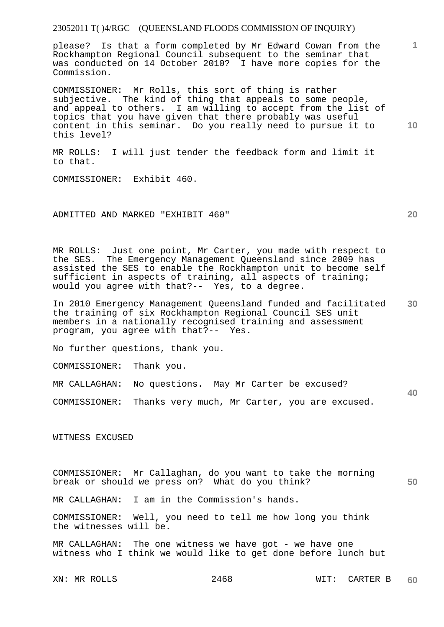please? Is that a form completed by Mr Edward Cowan from the Rockhampton Regional Council subsequent to the seminar that was conducted on 14 October 2010? I have more copies for the Commission.

**10**  COMMISSIONER: Mr Rolls, this sort of thing is rather subjective. The kind of thing that appeals to some people, and appeal to others. I am willing to accept from the list of topics that you have given that there probably was useful content in this seminar. Do you really need to pursue it to this level?

MR ROLLS: I will just tender the feedback form and limit it to that.

COMMISSIONER: Exhibit 460.

ADMITTED AND MARKED "EXHIBIT 460"

MR ROLLS: Just one point, Mr Carter, you made with respect to the SES. The Emergency Management Queensland since 2009 has assisted the SES to enable the Rockhampton unit to become self sufficient in aspects of training, all aspects of training; would you agree with that?-- Yes, to a degree.

**30**  In 2010 Emergency Management Queensland funded and facilitated the training of six Rockhampton Regional Council SES unit members in a nationally recognised training and assessment program, you agree with that?-- Yes.

No further questions, thank you.

COMMISSIONER: Thank you.

MR CALLAGHAN: No questions. May Mr Carter be excused?

COMMISSIONER: Thanks very much, Mr Carter, you are excused.

WITNESS EXCUSED

COMMISSIONER: Mr Callaghan, do you want to take the morning break or should we press on? What do you think?

**50** 

**40** 

**1**

**20** 

MR CALLAGHAN: I am in the Commission's hands.

COMMISSIONER: Well, you need to tell me how long you think the witnesses will be.

MR CALLAGHAN: The one witness we have got - we have one witness who I think we would like to get done before lunch but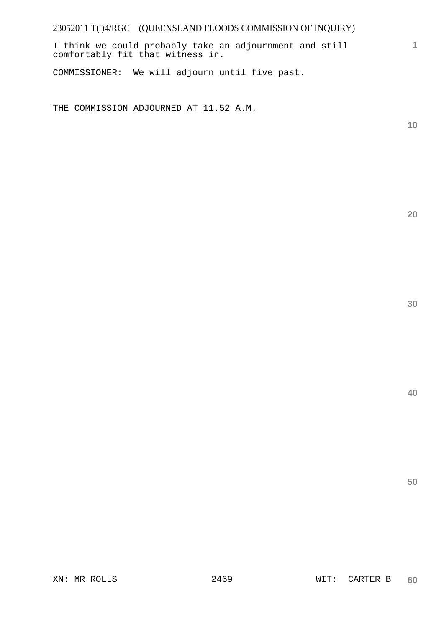I think we could probably take an adjournment and still comfortably fit that witness in.

COMMISSIONER: We will adjourn until five past.

THE COMMISSION ADJOURNED AT 11.52 A.M.

**10** 

**1**

**20**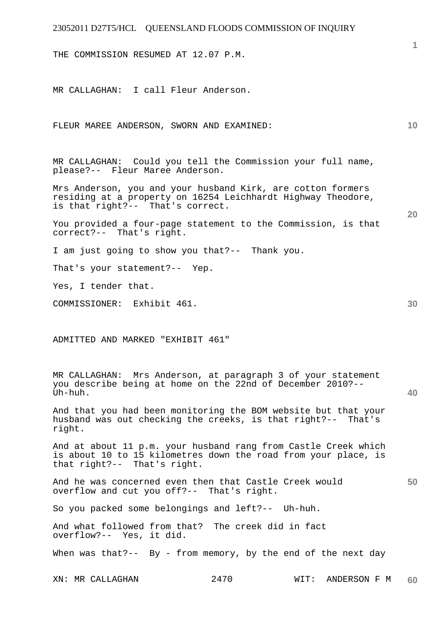THE COMMISSION RESUMED AT 12.07 P.M.

MR CALLAGHAN: I call Fleur Anderson.

FLEUR MAREE ANDERSON, SWORN AND EXAMINED:

MR CALLAGHAN: Could you tell the Commission your full name, please?-- Fleur Maree Anderson.

Mrs Anderson, you and your husband Kirk, are cotton formers residing at a property on 16254 Leichhardt Highway Theodore, is that right?-- That's correct.

You provided a four-page statement to the Commission, is that correct?-- That's right.

I am just going to show you that?-- Thank you.

That's your statement?-- Yep.

Yes, I tender that.

COMMISSIONER: Exhibit 461.

ADMITTED AND MARKED "EXHIBIT 461"

MR CALLAGHAN: Mrs Anderson, at paragraph 3 of your statement you describe being at home on the 22nd of December 2010?-- Uh-huh.

And that you had been monitoring the BOM website but that your husband was out checking the creeks, is that right?-- That's right.

And at about 11 p.m. your husband rang from Castle Creek which is about 10 to 15 kilometres down the road from your place, is that right?-- That's right.

**50**  And he was concerned even then that Castle Creek would overflow and cut you off?-- That's right.

So you packed some belongings and left?-- Uh-huh.

And what followed from that? The creek did in fact overflow?-- Yes, it did.

When was that?-- By - from memory, by the end of the next day

XN: MR CALLAGHAN 2470 WIT: ANDERSON F M **60** 

**30** 

**40** 

**10**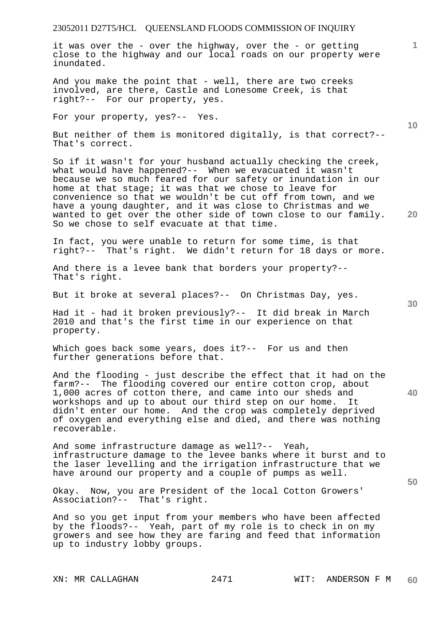it was over the - over the highway, over the - or getting close to the highway and our local roads on our property were inundated.

And you make the point that - well, there are two creeks involved, are there, Castle and Lonesome Creek, is that right?-- For our property, yes.

For your property, yes?-- Yes.

But neither of them is monitored digitally, is that correct?-- That's correct.

So if it wasn't for your husband actually checking the creek, what would have happened?-- When we evacuated it wasn't because we so much feared for our safety or inundation in our home at that stage; it was that we chose to leave for convenience so that we wouldn't be cut off from town, and we have a young daughter, and it was close to Christmas and we wanted to get over the other side of town close to our family. So we chose to self evacuate at that time.

In fact, you were unable to return for some time, is that right?-- That's right. We didn't return for 18 days or more.

And there is a levee bank that borders your property?-- That's right.

But it broke at several places?-- On Christmas Day, yes.

Had it - had it broken previously?-- It did break in March 2010 and that's the first time in our experience on that property.

Which goes back some years, does it?-- For us and then further generations before that.

**40**  And the flooding - just describe the effect that it had on the farm?-- The flooding covered our entire cotton crop, about 1,000 acres of cotton there, and came into our sheds and workshops and up to about our third step on our home. It didn't enter our home. And the crop was completely deprived of oxygen and everything else and died, and there was nothing recoverable.

And some infrastructure damage as well?-- Yeah, infrastructure damage to the levee banks where it burst and to the laser levelling and the irrigation infrastructure that we have around our property and a couple of pumps as well.

Okay. Now, you are President of the local Cotton Growers' Association?-- That's right.

And so you get input from your members who have been affected by the floods?-- Yeah, part of my role is to check in on my growers and see how they are faring and feed that information up to industry lobby groups.

**10** 

**20**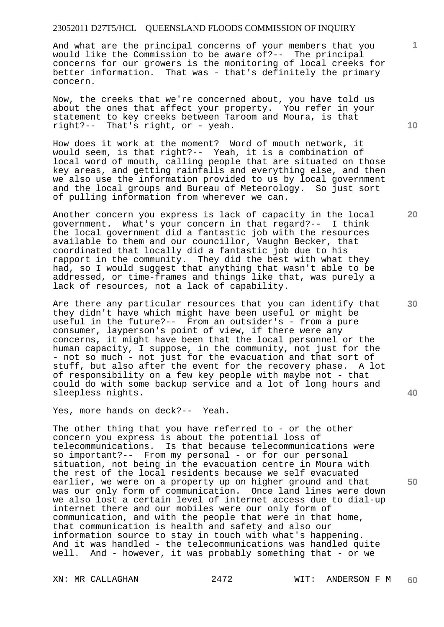And what are the principal concerns of your members that you would like the Commission to be aware of?-- The principal concerns for our growers is the monitoring of local creeks for better information. That was - that's definitely the primary concern.

Now, the creeks that we're concerned about, you have told us about the ones that affect your property. You refer in your statement to key creeks between Taroom and Moura, is that right?-- That's right, or - yeah.

How does it work at the moment? Word of mouth network, it would seem, is that right?-- Yeah, it is a combination of local word of mouth, calling people that are situated on those key areas, and getting rainfalls and everything else, and then we also use the information provided to us by local government and the local groups and Bureau of Meteorology. So just sort of pulling information from wherever we can.

Another concern you express is lack of capacity in the local government. What's your concern in that regard?-- I think the local government did a fantastic job with the resources available to them and our councillor, Vaughn Becker, that coordinated that locally did a fantastic job due to his rapport in the community. They did the best with what they had, so I would suggest that anything that wasn't able to be addressed, or time-frames and things like that, was purely a lack of resources, not a lack of capability.

Are there any particular resources that you can identify that they didn't have which might have been useful or might be useful in the future?-- From an outsider's - from a pure consumer, layperson's point of view, if there were any concerns, it might have been that the local personnel or the human capacity, I suppose, in the community, not just for the - not so much - not just for the evacuation and that sort of stuff, but also after the event for the recovery phase. A lot of responsibility on a few key people with maybe not - that could do with some backup service and a lot of long hours and sleepless nights.

Yes, more hands on deck?-- Yeah.

The other thing that you have referred to - or the other concern you express is about the potential loss of telecommunications. Is that because telecommunications were so important?-- From my personal - or for our personal situation, not being in the evacuation centre in Moura with the rest of the local residents because we self evacuated earlier, we were on a property up on higher ground and that was our only form of communication. Once land lines were down we also lost a certain level of internet access due to dial-up internet there and our mobiles were our only form of communication, and with the people that were in that home, that communication is health and safety and also our information source to stay in touch with what's happening. And it was handled - the telecommunications was handled quite well. And - however, it was probably something that - or we

**10** 

**1**

**20** 

**30** 

**40**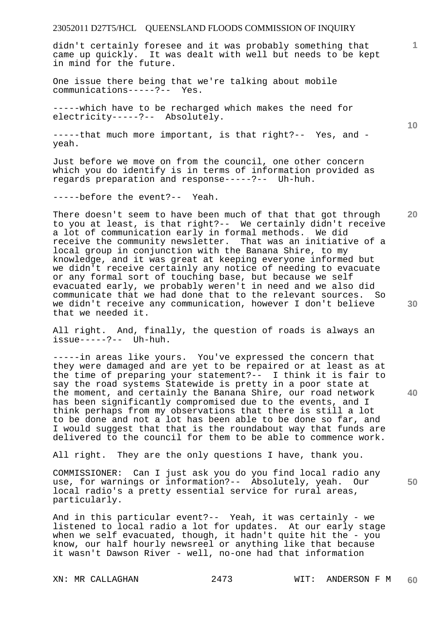didn't certainly foresee and it was probably something that came up quickly. It was dealt with well but needs to be kept in mind for the future.

One issue there being that we're talking about mobile communications-----?-- Yes.

-----which have to be recharged which makes the need for electricity-----?-- Absolutely.

-----that much more important, is that right?-- Yes, and yeah.

Just before we move on from the council, one other concern which you do identify is in terms of information provided as regards preparation and response-----?-- Uh-huh.

-----before the event?-- Yeah.

There doesn't seem to have been much of that that got through to you at least, is that right?-- We certainly didn't receive a lot of communication early in formal methods. We did receive the community newsletter. That was an initiative of a local group in conjunction with the Banana Shire, to my knowledge, and it was great at keeping everyone informed but we didn't receive certainly any notice of needing to evacuate or any formal sort of touching base, but because we self evacuated early, we probably weren't in need and we also did communicate that we had done that to the relevant sources. So we didn't receive any communication, however I don't believe that we needed it.

All right. And, finally, the question of roads is always an issue-----?-- Uh-huh.

-----in areas like yours. You've expressed the concern that they were damaged and are yet to be repaired or at least as at the time of preparing your statement?-- I think it is fair to say the road systems Statewide is pretty in a poor state at the moment, and certainly the Banana Shire, our road network has been significantly compromised due to the events, and I think perhaps from my observations that there is still a lot to be done and not a lot has been able to be done so far, and I would suggest that that is the roundabout way that funds are delivered to the council for them to be able to commence work.

All right. They are the only questions I have, thank you.

COMMISSIONER: Can I just ask you do you find local radio any use, for warnings or information?-- Absolutely, yeah. Our local radio's a pretty essential service for rural areas, particularly.

And in this particular event?-- Yeah, it was certainly - we listened to local radio a lot for updates. At our early stage when we self evacuated, though, it hadn't quite hit the - you know, our half hourly newsreel or anything like that because it wasn't Dawson River - well, no-one had that information

**10** 

**1**

**20** 

**40**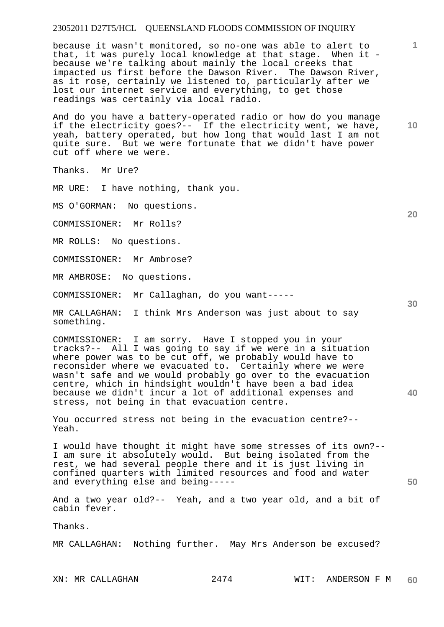because it wasn't monitored, so no-one was able to alert to that, it was purely local knowledge at that stage. When it because we're talking about mainly the local creeks that impacted us first before the Dawson River. The Dawson River, as it rose, certainly we listened to, particularly after we lost our internet service and everything, to get those readings was certainly via local radio.

And do you have a battery-operated radio or how do you manage if the electricity goes?-- If the electricity went, we have, yeah, battery operated, but how long that would last I am not quite sure. But we were fortunate that we didn't have power cut off where we were.

Thanks. Mr Ure?

MR URE: I have nothing, thank you.

MS O'GORMAN: No questions.

COMMISSIONER: Mr Rolls?

MR ROLLS: No questions.

COMMISSIONER: Mr Ambrose?

MR AMBROSE: No questions.

COMMISSIONER: Mr Callaghan, do you want-----

MR CALLAGHAN: I think Mrs Anderson was just about to say something.

COMMISSIONER: I am sorry. Have I stopped you in your tracks?-- All I was going to say if we were in a situation where power was to be cut off, we probably would have to reconsider where we evacuated to. Certainly where we were wasn't safe and we would probably go over to the evacuation centre, which in hindsight wouldn't have been a bad idea because we didn't incur a lot of additional expenses and stress, not being in that evacuation centre.

You occurred stress not being in the evacuation centre?-- Yeah.

I would have thought it might have some stresses of its own?-- I am sure it absolutely would. But being isolated from the rest, we had several people there and it is just living in confined quarters with limited resources and food and water and everything else and being-----

And a two year old?-- Yeah, and a two year old, and a bit of cabin fever.

Thanks.

MR CALLAGHAN: Nothing further. May Mrs Anderson be excused?

**10** 

**1**

**30** 

**20**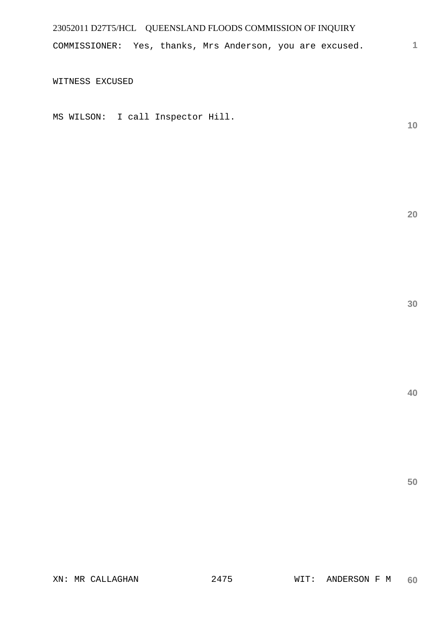COMMISSIONER: Yes, thanks, Mrs Anderson, you are excused.

WITNESS EXCUSED

MS WILSON: I call Inspector Hill.

**10** 

**1**

**20** 

**30**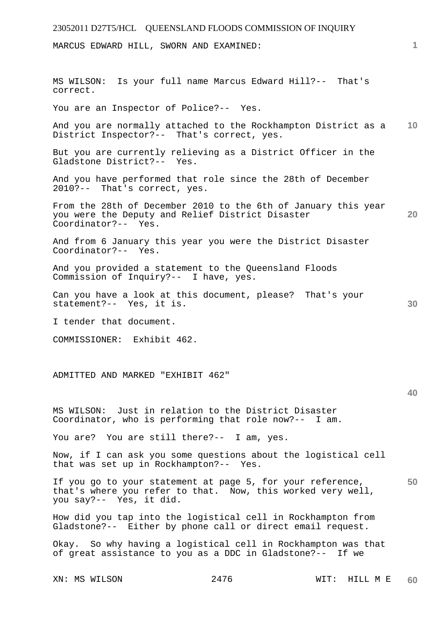MARCUS EDWARD HILL, SWORN AND EXAMINED:

**10 20 30 40 50**  MS WILSON: Is your full name Marcus Edward Hill?-- That's correct. You are an Inspector of Police?-- Yes. And you are normally attached to the Rockhampton District as a District Inspector?-- That's correct, yes. But you are currently relieving as a District Officer in the Gladstone District?-- Yes. And you have performed that role since the 28th of December 2010?-- That's correct, yes. From the 28th of December 2010 to the 6th of January this year you were the Deputy and Relief District Disaster Coordinator?-- Yes. And from 6 January this year you were the District Disaster Coordinator?-- Yes. And you provided a statement to the Queensland Floods Commission of Inquiry?-- I have, yes. Can you have a look at this document, please? That's your statement?-- Yes, it is. I tender that document. COMMISSIONER: Exhibit 462. ADMITTED AND MARKED "EXHIBIT 462" MS WILSON: Just in relation to the District Disaster Coordinator, who is performing that role now?-- I am. You are? You are still there?-- I am, yes. Now, if I can ask you some questions about the logistical cell that was set up in Rockhampton?-- Yes. If you go to your statement at page 5, for your reference, that's where you refer to that. Now, this worked very well, you say?-- Yes, it did. How did you tap into the logistical cell in Rockhampton from Gladstone?-- Either by phone call or direct email request. Okay. So why having a logistical cell in Rockhampton was that of great assistance to you as a DDC in Gladstone?-- If we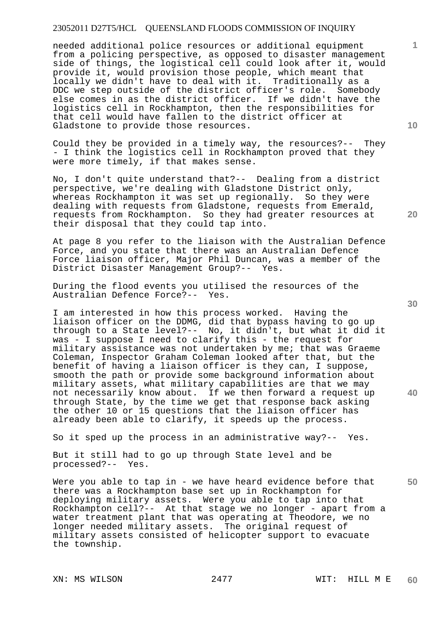needed additional police resources or additional equipment from a policing perspective, as opposed to disaster management side of things, the logistical cell could look after it, would provide it, would provision those people, which meant that locally we didn't have to deal with it. Traditionally as a DDC we step outside of the district officer's role. Somebody else comes in as the district officer. If we didn't have the logistics cell in Rockhampton, then the responsibilities for that cell would have fallen to the district officer at Gladstone to provide those resources.

Could they be provided in a timely way, the resources?-- They - I think the logistics cell in Rockhampton proved that they were more timely, if that makes sense.

No, I don't quite understand that?-- Dealing from a district perspective, we're dealing with Gladstone District only, whereas Rockhampton it was set up regionally. So they were dealing with requests from Gladstone, requests from Emerald, requests from Rockhampton. So they had greater resources at their disposal that they could tap into.

At page 8 you refer to the liaison with the Australian Defence Force, and you state that there was an Australian Defence Force liaison officer, Major Phil Duncan, was a member of the District Disaster Management Group?-- Yes.

During the flood events you utilised the resources of the Australian Defence Force?-- Yes.

I am interested in how this process worked. Having the liaison officer on the DDMG, did that bypass having to go up through to a State level?-- No, it didn't, but what it did it was - I suppose I need to clarify this - the request for military assistance was not undertaken by me; that was Graeme Coleman, Inspector Graham Coleman looked after that, but the benefit of having a liaison officer is they can, I suppose, smooth the path or provide some background information about military assets, what military capabilities are that we may not necessarily know about. If we then forward a request up through State, by the time we get that response back asking the other 10 or 15 questions that the liaison officer has already been able to clarify, it speeds up the process.

So it sped up the process in an administrative way?-- Yes.

But it still had to go up through State level and be processed?-- Yes.

Were you able to tap in - we have heard evidence before that there was a Rockhampton base set up in Rockhampton for deploying military assets. Were you able to tap into that Rockhampton cell?-- At that stage we no longer - apart from a water treatment plant that was operating at Theodore, we no longer needed military assets. The original request of military assets consisted of helicopter support to evacuate the township.

**10** 

**1**

**30** 

**40** 

**50**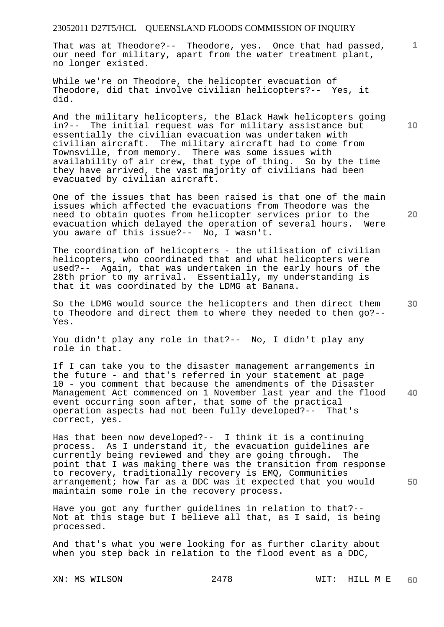That was at Theodore?-- Theodore, yes. Once that had passed, our need for military, apart from the water treatment plant, no longer existed.

While we're on Theodore, the helicopter evacuation of Theodore, did that involve civilian helicopters?-- Yes, it did.

And the military helicopters, the Black Hawk helicopters going in?-- The initial request was for military assistance but essentially the civilian evacuation was undertaken with civilian aircraft. The military aircraft had to come from Townsville, from memory. There was some issues with availability of air crew, that type of thing. So by the time they have arrived, the vast majority of civilians had been evacuated by civilian aircraft.

One of the issues that has been raised is that one of the main issues which affected the evacuations from Theodore was the need to obtain quotes from helicopter services prior to the evacuation which delayed the operation of several hours. Were you aware of this issue?-- No, I wasn't.

The coordination of helicopters - the utilisation of civilian helicopters, who coordinated that and what helicopters were used?-- Again, that was undertaken in the early hours of the 28th prior to my arrival. Essentially, my understanding is that it was coordinated by the LDMG at Banana.

So the LDMG would source the helicopters and then direct them to Theodore and direct them to where they needed to then go?-- Yes.

You didn't play any role in that?-- No, I didn't play any role in that.

**40**  If I can take you to the disaster management arrangements in the future - and that's referred in your statement at page 10 - you comment that because the amendments of the Disaster Management Act commenced on 1 November last year and the flood event occurring soon after, that some of the practical operation aspects had not been fully developed?-- That's correct, yes.

Has that been now developed?-- I think it is a continuing process. As I understand it, the evacuation guidelines are currently being reviewed and they are going through. The point that I was making there was the transition from response to recovery, traditionally recovery is EMQ, Communities arrangement; how far as a DDC was it expected that you would maintain some role in the recovery process.

Have you got any further guidelines in relation to that?-- Not at this stage but I believe all that, as I said, is being processed.

And that's what you were looking for as further clarity about when you step back in relation to the flood event as a DDC,

**10** 

**1**

**30** 

**50**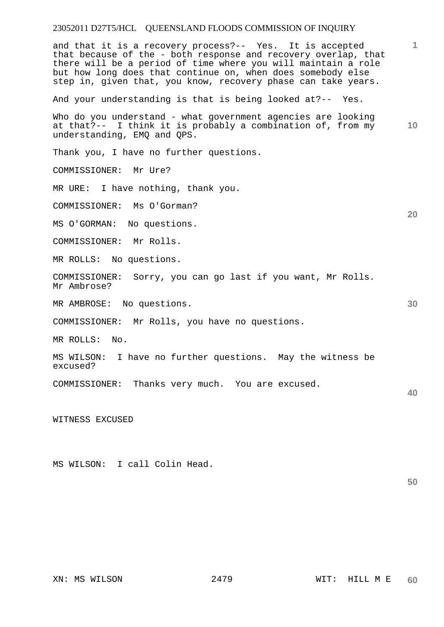**1 10 20 30 40**  and that it is a recovery process?-- Yes. It is accepted that because of the - both response and recovery overlap, that there will be a period of time where you will maintain a role but how long does that continue on, when does somebody else step in, given that, you know, recovery phase can take years. And your understanding is that is being looked at?-- Yes. Who do you understand - what government agencies are looking at that?-- I think it is probably a combination of, from my understanding, EMQ and QPS. Thank you, I have no further questions. COMMISSIONER: Mr Ure? MR URE: I have nothing, thank you. COMMISSIONER: Ms O'Gorman? MS O'GORMAN: No questions. COMMISSIONER: Mr Rolls. MR ROLLS: No questions. COMMISSIONER: Sorry, you can go last if you want, Mr Rolls. Mr Ambrose? MR AMBROSE: No questions. COMMISSIONER: Mr Rolls, you have no questions. MR ROLLS: No. MS WILSON: I have no further questions. May the witness be excused? COMMISSIONER: Thanks very much. You are excused. WITNESS EXCUSED

MS WILSON: I call Colin Head.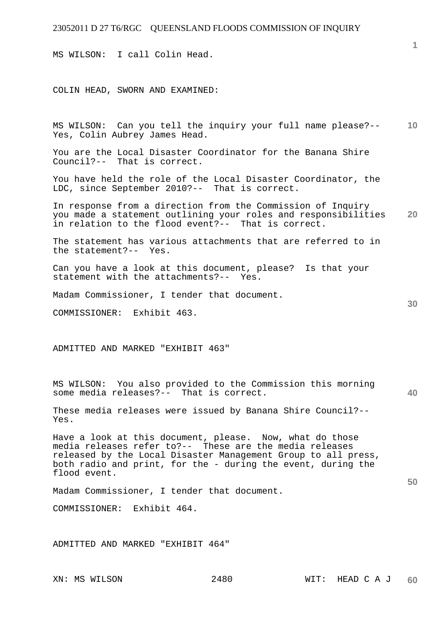MS WILSON: I call Colin Head.

COLIN HEAD, SWORN AND EXAMINED:

**10**  MS WILSON: Can you tell the inquiry your full name please?-- Yes, Colin Aubrey James Head.

You are the Local Disaster Coordinator for the Banana Shire Council?-- That is correct.

You have held the role of the Local Disaster Coordinator, the LDC, since September 2010?-- That is correct.

**20**  In response from a direction from the Commission of Inquiry you made a statement outlining your roles and responsibilities in relation to the flood event?-- That is correct.

The statement has various attachments that are referred to in<br>the statement?-- Yes. the statement? $--$ 

Can you have a look at this document, please? Is that your statement with the attachments?-- Yes.

Madam Commissioner, I tender that document.

COMMISSIONER: Exhibit 463.

ADMITTED AND MARKED "EXHIBIT 463"

MS WILSON: You also provided to the Commission this morning some media releases?-- That is correct.

These media releases were issued by Banana Shire Council?-- Yes.

Have a look at this document, please. Now, what do those media releases refer to?-- These are the media releases released by the Local Disaster Management Group to all press, both radio and print, for the - during the event, during the flood event.

Madam Commissioner, I tender that document.

COMMISSIONER: Exhibit 464.

ADMITTED AND MARKED "EXHIBIT 464"

**1**

**40**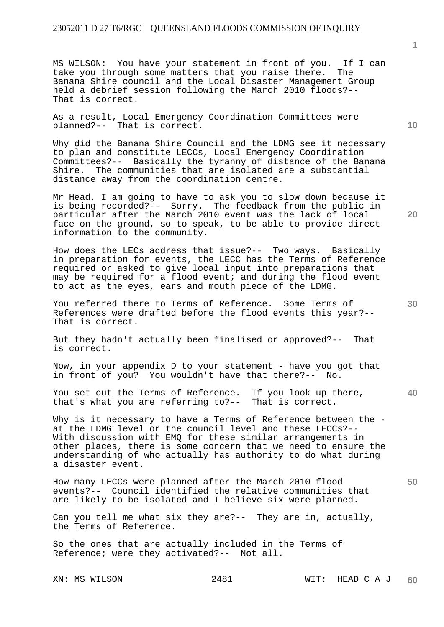MS WILSON: You have your statement in front of you. If I can take you through some matters that you raise there. The Banana Shire council and the Local Disaster Management Group held a debrief session following the March 2010 floods?-- That is correct.

As a result, Local Emergency Coordination Committees were planned?-- That is correct.

Why did the Banana Shire Council and the LDMG see it necessary to plan and constitute LECCs, Local Emergency Coordination Committees?-- Basically the tyranny of distance of the Banana Shire. The communities that are isolated are a substantial distance away from the coordination centre.

Mr Head, I am going to have to ask you to slow down because it is being recorded?-- Sorry. The feedback from the public in particular after the March 2010 event was the lack of local face on the ground, so to speak, to be able to provide direct information to the community.

How does the LECs address that issue?-- Two ways. Basically in preparation for events, the LECC has the Terms of Reference required or asked to give local input into preparations that may be required for a flood event; and during the flood event to act as the eyes, ears and mouth piece of the LDMG.

You referred there to Terms of Reference. Some Terms of References were drafted before the flood events this year?-- That is correct.

But they hadn't actually been finalised or approved?-- That is correct.

Now, in your appendix D to your statement - have you got that in front of you? You wouldn't have that there?-- No.

**40**  You set out the Terms of Reference. If you look up there, that's what you are referring to?-- That is correct.

Why is it necessary to have a Terms of Reference between the at the LDMG level or the council level and these LECCs?-- With discussion with EMQ for these similar arrangements in other places, there is some concern that we need to ensure the understanding of who actually has authority to do what during a disaster event.

How many LECCs were planned after the March 2010 flood events?-- Council identified the relative communities that are likely to be isolated and I believe six were planned.

Can you tell me what six they are?-- They are in, actually, the Terms of Reference.

So the ones that are actually included in the Terms of Reference; were they activated?-- Not all.

XN: MS WILSON 2481 WIT: HEAD C A J **60** 

**10** 

**20** 

**1**

**30**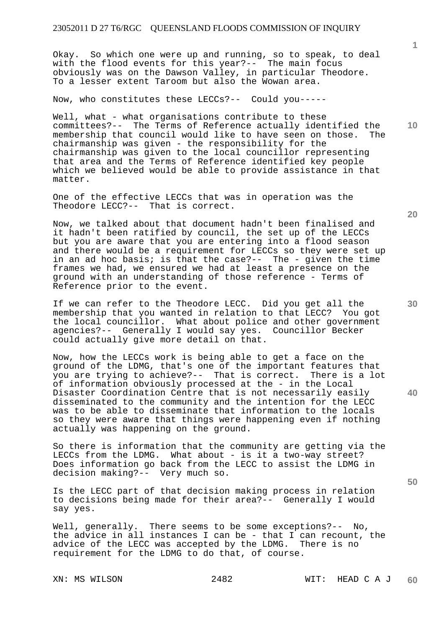Okay. So which one were up and running, so to speak, to deal with the flood events for this year?-- The main focus obviously was on the Dawson Valley, in particular Theodore. To a lesser extent Taroom but also the Wowan area.

Now, who constitutes these LECCs?-- Could you-----

Well, what - what organisations contribute to these committees?-- The Terms of Reference actually identified the membership that council would like to have seen on those. The chairmanship was given - the responsibility for the chairmanship was given to the local councillor representing that area and the Terms of Reference identified key people which we believed would be able to provide assistance in that matter.

One of the effective LECCs that was in operation was the Theodore LECC?-- That is correct.

Now, we talked about that document hadn't been finalised and it hadn't been ratified by council, the set up of the LECCs but you are aware that you are entering into a flood season and there would be a requirement for LECCs so they were set up in an ad hoc basis; is that the case?-- The - given the time frames we had, we ensured we had at least a presence on the ground with an understanding of those reference - Terms of Reference prior to the event.

If we can refer to the Theodore LECC. Did you get all the membership that you wanted in relation to that LECC? You got the local councillor. What about police and other government agencies?-- Generally I would say yes. Councillor Becker could actually give more detail on that.

Now, how the LECCs work is being able to get a face on the ground of the LDMG, that's one of the important features that you are trying to achieve?-- That is correct. There is a lot of information obviously processed at the - in the Local Disaster Coordination Centre that is not necessarily easily disseminated to the community and the intention for the LECC was to be able to disseminate that information to the locals so they were aware that things were happening even if nothing actually was happening on the ground.

So there is information that the community are getting via the LECCs from the LDMG. What about - is it a two-way street? Does information go back from the LECC to assist the LDMG in decision making?-- Very much so.

Is the LECC part of that decision making process in relation to decisions being made for their area?-- Generally I would say yes.

Well, generally. There seems to be some exceptions?-- No, the advice in all instances I can be - that I can recount, the advice of the LECC was accepted by the LDMG. There is no requirement for the LDMG to do that, of course.

**20** 

**10** 

**1**

**40**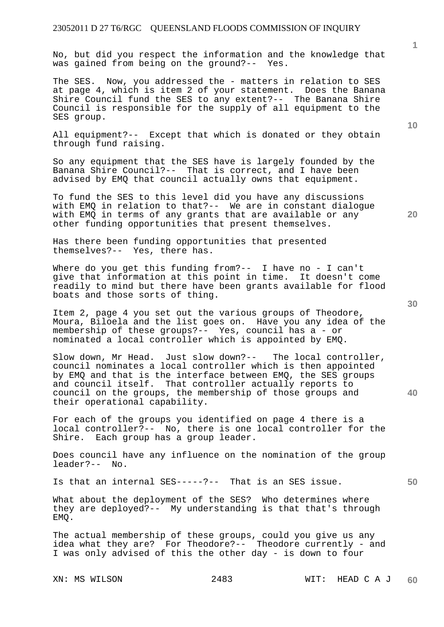No, but did you respect the information and the knowledge that was gained from being on the ground?-- Yes.

The SES. Now, you addressed the - matters in relation to SES at page 4, which is item 2 of your statement. Does the Banana Shire Council fund the SES to any extent?-- The Banana Shire Council is responsible for the supply of all equipment to the SES group.

All equipment?-- Except that which is donated or they obtain through fund raising.

So any equipment that the SES have is largely founded by the Banana Shire Council?-- That is correct, and I have been advised by EMQ that council actually owns that equipment.

To fund the SES to this level did you have any discussions with EMQ in relation to that?-- We are in constant dialogue with EMQ in terms of any grants that are available or any other funding opportunities that present themselves.

Has there been funding opportunities that presented themselves?-- Yes, there has.

Where do you get this funding from?-- I have no - I can't give that information at this point in time. It doesn't come readily to mind but there have been grants available for flood boats and those sorts of thing.

Item 2, page 4 you set out the various groups of Theodore, Moura, Biloela and the list goes on. Have you any idea of the membership of these groups?-- Yes, council has a - or nominated a local controller which is appointed by EMQ.

Slow down, Mr Head. Just slow down?-- The local controller, council nominates a local controller which is then appointed by EMQ and that is the interface between EMQ, the SES groups and council itself. That controller actually reports to council on the groups, the membership of those groups and their operational capability.

For each of the groups you identified on page 4 there is a local controller?-- No, there is one local controller for the Shire. Each group has a group leader.

Does council have any influence on the nomination of the group leader?-- No.

Is that an internal SES-----?-- That is an SES issue.

What about the deployment of the SES? Who determines where they are deployed?-- My understanding is that that's through EMQ.

The actual membership of these groups, could you give us any idea what they are? For Theodore?-- Theodore currently - and I was only advised of this the other day - is down to four

**10** 

**20** 

**40**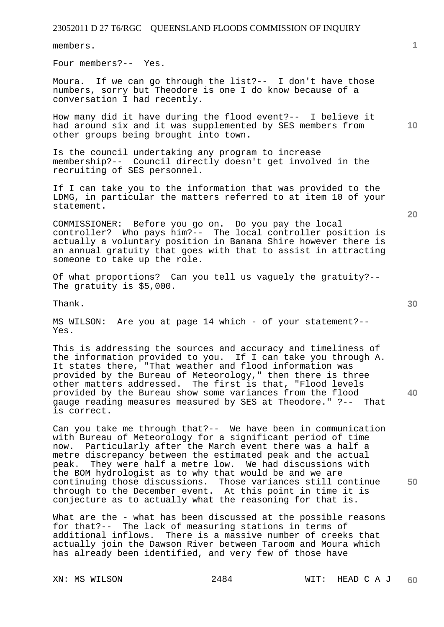members.

Four members?-- Yes.

Moura. If we can go through the list?-- I don't have those numbers, sorry but Theodore is one I do know because of a conversation I had recently.

How many did it have during the flood event?-- I believe it had around six and it was supplemented by SES members from other groups being brought into town.

Is the council undertaking any program to increase membership?-- Council directly doesn't get involved in the recruiting of SES personnel.

If I can take you to the information that was provided to the LDMG, in particular the matters referred to at item 10 of your statement.

COMMISSIONER: Before you go on. Do you pay the local controller? Who pays him?-- The local controller position is actually a voluntary position in Banana Shire however there is an annual gratuity that goes with that to assist in attracting someone to take up the role.

Of what proportions? Can you tell us vaguely the gratuity?-- The gratuity is \$5,000.

Thank.

MS WILSON: Are you at page 14 which - of your statement?-- Yes.

This is addressing the sources and accuracy and timeliness of the information provided to you. If I can take you through A. It states there, "That weather and flood information was provided by the Bureau of Meteorology," then there is three other matters addressed. The first is that, "Flood levels provided by the Bureau show some variances from the flood gauge reading measures measured by SES at Theodore." ?-- That is correct.

Can you take me through that?-- We have been in communication with Bureau of Meteorology for a significant period of time now. Particularly after the March event there was a half a metre discrepancy between the estimated peak and the actual peak. They were half a metre low. We had discussions with the BOM hydrologist as to why that would be and we are continuing those discussions. Those variances still continue through to the December event. At this point in time it is conjecture as to actually what the reasoning for that is.

What are the - what has been discussed at the possible reasons for that?-- The lack of measuring stations in terms of additional inflows. There is a massive number of creeks that actually join the Dawson River between Taroom and Moura which has already been identified, and very few of those have

**20** 

**30** 

**40** 

**50** 

**10**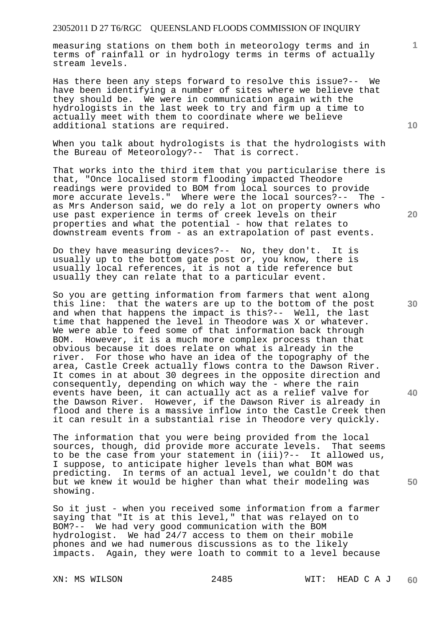measuring stations on them both in meteorology terms and in terms of rainfall or in hydrology terms in terms of actually stream levels.

Has there been any steps forward to resolve this issue?-- We have been identifying a number of sites where we believe that they should be. We were in communication again with the hydrologists in the last week to try and firm up a time to actually meet with them to coordinate where we believe additional stations are required.

When you talk about hydrologists is that the hydrologists with the Bureau of Meteorology?-- That is correct.

That works into the third item that you particularise there is that, "Once localised storm flooding impacted Theodore readings were provided to BOM from local sources to provide more accurate levels." Where were the local sources?-- The as Mrs Anderson said, we do rely a lot on property owners who use past experience in terms of creek levels on their properties and what the potential - how that relates to downstream events from - as an extrapolation of past events.

Do they have measuring devices?-- No, they don't. It is usually up to the bottom gate post or, you know, there is usually local references, it is not a tide reference but usually they can relate that to a particular event.

So you are getting information from farmers that went along this line: that the waters are up to the bottom of the post and when that happens the impact is this?-- Well, the last time that happened the level in Theodore was X or whatever. We were able to feed some of that information back through BOM. However, it is a much more complex process than that obvious because it does relate on what is already in the river. For those who have an idea of the topography of the area, Castle Creek actually flows contra to the Dawson River. It comes in at about 30 degrees in the opposite direction and consequently, depending on which way the - where the rain events have been, it can actually act as a relief valve for the Dawson River. However, if the Dawson River is already in flood and there is a massive inflow into the Castle Creek then it can result in a substantial rise in Theodore very quickly.

The information that you were being provided from the local sources, though, did provide more accurate levels. That seems to be the case from your statement in  $(iii)? --$  It allowed us, I suppose, to anticipate higher levels than what BOM was predicting. In terms of an actual level, we couldn't do that but we knew it would be higher than what their modeling was showing.

So it just - when you received some information from a farmer saying that "It is at this level," that was relayed on to BOM?-- We had very good communication with the BOM hydrologist. We had 24/7 access to them on their mobile phones and we had numerous discussions as to the likely impacts. Again, they were loath to commit to a level because

**10** 

**20** 

**1**

**30** 

**40**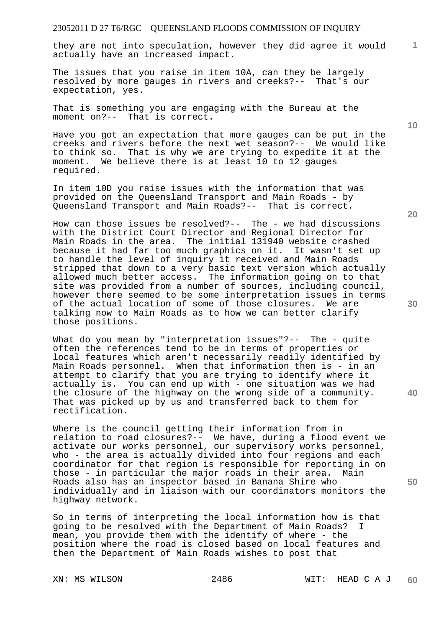they are not into speculation, however they did agree it would actually have an increased impact.

The issues that you raise in item 10A, can they be largely resolved by more gauges in rivers and creeks?-- That's our expectation, yes.

That is something you are engaging with the Bureau at the moment on?-- That is correct.

Have you got an expectation that more gauges can be put in the creeks and rivers before the next wet season?-- We would like to think so. That is why we are trying to expedite it at the moment. We believe there is at least 10 to 12 gauges required.

In item 10D you raise issues with the information that was provided on the Queensland Transport and Main Roads - by Queensland Transport and Main Roads?-- That is correct.

How can those issues be resolved?-- The - we had discussions with the District Court Director and Regional Director for Main Roads in the area. The initial 131940 website crashed because it had far too much graphics on it. It wasn't set up to handle the level of inquiry it received and Main Roads stripped that down to a very basic text version which actually allowed much better access. The information going on to that site was provided from a number of sources, including council, however there seemed to be some interpretation issues in terms of the actual location of some of those closures. We are talking now to Main Roads as to how we can better clarify those positions.

What do you mean by "interpretation issues"?-- The - quite often the references tend to be in terms of properties or local features which aren't necessarily readily identified by Main Roads personnel. When that information then is - in an attempt to clarify that you are trying to identify where it actually is. You can end up with - one situation was we had the closure of the highway on the wrong side of a community. That was picked up by us and transferred back to them for rectification.

Where is the council getting their information from in relation to road closures?-- We have, during a flood event we activate our works personnel, our supervisory works personnel, who - the area is actually divided into four regions and each coordinator for that region is responsible for reporting in on those - in particular the major roads in their area. Main Roads also has an inspector based in Banana Shire who individually and in liaison with our coordinators monitors the highway network.

So in terms of interpreting the local information how is that going to be resolved with the Department of Main Roads? I mean, you provide them with the identify of where - the position where the road is closed based on local features and then the Department of Main Roads wishes to post that

**20** 

**10** 

**1**

**30** 

**40**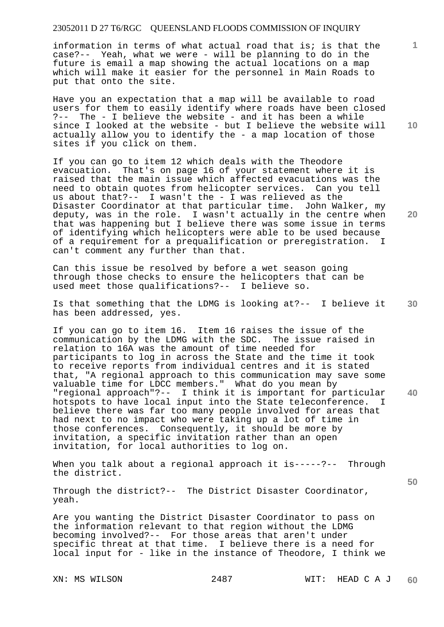information in terms of what actual road that is; is that the case?-- Yeah, what we were - will be planning to do in the future is email a map showing the actual locations on a map which will make it easier for the personnel in Main Roads to put that onto the site.

Have you an expectation that a map will be available to road users for them to easily identify where roads have been closed ?-- The - I believe the website - and it has been a while since I looked at the website - but I believe the website will actually allow you to identify the - a map location of those sites if you click on them.

If you can go to item 12 which deals with the Theodore evacuation. That's on page 16 of your statement where it is raised that the main issue which affected evacuations was the need to obtain quotes from helicopter services. Can you tell us about that?-- I wasn't the - I was relieved as the Disaster Coordinator at that particular time. John Walker, my deputy, was in the role. I wasn't actually in the centre when that was happening but I believe there was some issue in terms of identifying which helicopters were able to be used because of a requirement for a prequalification or preregistration. I can't comment any further than that.

Can this issue be resolved by before a wet season going through those checks to ensure the helicopters that can be used meet those qualifications?-- I believe so.

**30**  Is that something that the LDMG is looking at?-- I believe it has been addressed, yes.

If you can go to item 16. Item 16 raises the issue of the communication by the LDMG with the SDC. The issue raised in relation to 16A was the amount of time needed for participants to log in across the State and the time it took to receive reports from individual centres and it is stated that, "A regional approach to this communication may save some valuable time for LDCC members." What do you mean by "regional approach"?-- I think it is important for particular hotspots to have local input into the State teleconference. I believe there was far too many people involved for areas that had next to no impact who were taking up a lot of time in those conferences. Consequently, it should be more by invitation, a specific invitation rather than an open invitation, for local authorities to log on.

When you talk about a regional approach it is-----?-- Through the district.

Through the district?-- The District Disaster Coordinator, yeah.

Are you wanting the District Disaster Coordinator to pass on the information relevant to that region without the LDMG becoming involved?-- For those areas that aren't under specific threat at that time. I believe there is a need for local input for - like in the instance of Theodore, I think we

**10** 

**1**

**40** 

**50**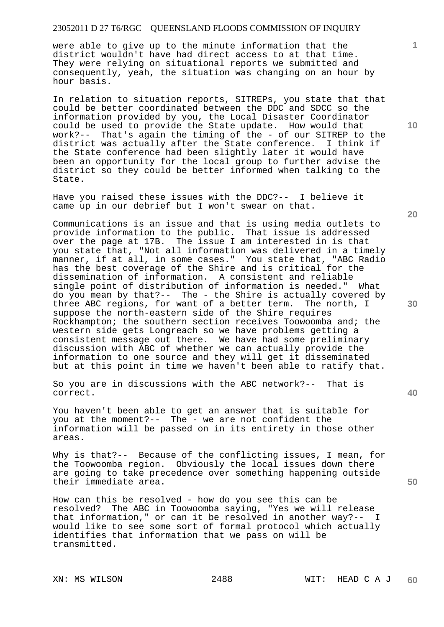were able to give up to the minute information that the district wouldn't have had direct access to at that time. They were relying on situational reports we submitted and consequently, yeah, the situation was changing on an hour by hour basis.

In relation to situation reports, SITREPs, you state that that could be better coordinated between the DDC and SDCC so the information provided by you, the Local Disaster Coordinator could be used to provide the State update. How would that work?-- That's again the timing of the - of our SITREP to the district was actually after the State conference. I think if the State conference had been slightly later it would have been an opportunity for the local group to further advise the district so they could be better informed when talking to the State.

Have you raised these issues with the DDC?-- I believe it came up in our debrief but I won't swear on that.

Communications is an issue and that is using media outlets to provide information to the public. That issue is addressed over the page at 17B. The issue I am interested in is that you state that, "Not all information was delivered in a timely manner, if at all, in some cases." You state that, "ABC Radio has the best coverage of the Shire and is critical for the dissemination of information. A consistent and reliable single point of distribution of information is needed." What do you mean by that?-- The - the Shire is actually covered by three ABC regions, for want of a better term. The north, I suppose the north-eastern side of the Shire requires Rockhampton; the southern section receives Toowoomba and; the western side gets Longreach so we have problems getting a consistent message out there. We have had some preliminary discussion with ABC of whether we can actually provide the information to one source and they will get it disseminated but at this point in time we haven't been able to ratify that.

So you are in discussions with the ABC network?-- That is correct.

You haven't been able to get an answer that is suitable for you at the moment?-- The - we are not confident the information will be passed on in its entirety in those other areas.

Why is that?-- Because of the conflicting issues, I mean, for the Toowoomba region. Obviously the local issues down there are going to take precedence over something happening outside their immediate area.

How can this be resolved - how do you see this can be resolved? The ABC in Toowoomba saying, "Yes we will release that information," or can it be resolved in another way?-- I would like to see some sort of formal protocol which actually identifies that information that we pass on will be transmitted.

**10** 

**1**

**20** 

**30** 

**40**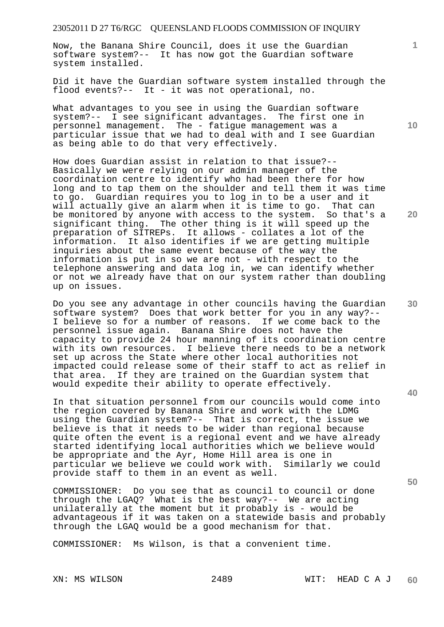Now, the Banana Shire Council, does it use the Guardian software system?-- It has now got the Guardian software system installed.

Did it have the Guardian software system installed through the flood events?-- It - it was not operational, no.

What advantages to you see in using the Guardian software system?-- I see significant advantages. The first one in personnel management. The - fatigue management was a particular issue that we had to deal with and I see Guardian as being able to do that very effectively.

How does Guardian assist in relation to that issue?-- Basically we were relying on our admin manager of the coordination centre to identify who had been there for how long and to tap them on the shoulder and tell them it was time to go. Guardian requires you to log in to be a user and it will actually give an alarm when it is time to go. That can be monitored by anyone with access to the system. So that's a significant thing. The other thing is it will speed up the preparation of SITREPs. It allows - collates a lot of the information. It also identifies if we are getting multiple inquiries about the same event because of the way the information is put in so we are not - with respect to the telephone answering and data log in, we can identify whether or not we already have that on our system rather than doubling up on issues.

Do you see any advantage in other councils having the Guardian software system? Does that work better for you in any way?-- I believe so for a number of reasons. If we come back to the personnel issue again. Banana Shire does not have the capacity to provide 24 hour manning of its coordination centre with its own resources. I believe there needs to be a network set up across the State where other local authorities not impacted could release some of their staff to act as relief in that area. If they are trained on the Guardian system that would expedite their ability to operate effectively.

In that situation personnel from our councils would come into the region covered by Banana Shire and work with the LDMG using the Guardian system?-- That is correct, the issue we believe is that it needs to be wider than regional because quite often the event is a regional event and we have already started identifying local authorities which we believe would be appropriate and the Ayr, Home Hill area is one in<br>particular we believe we could work with. Similarly we could particular we believe we could work with. provide staff to them in an event as well.

COMMISSIONER: Do you see that as council to council or done through the LGAQ? What is the best way?-- We are acting unilaterally at the moment but it probably is - would be advantageous if it was taken on a statewide basis and probably through the LGAQ would be a good mechanism for that.

COMMISSIONER: Ms Wilson, is that a convenient time.

**10** 

**1**

**20** 

**30** 

**50**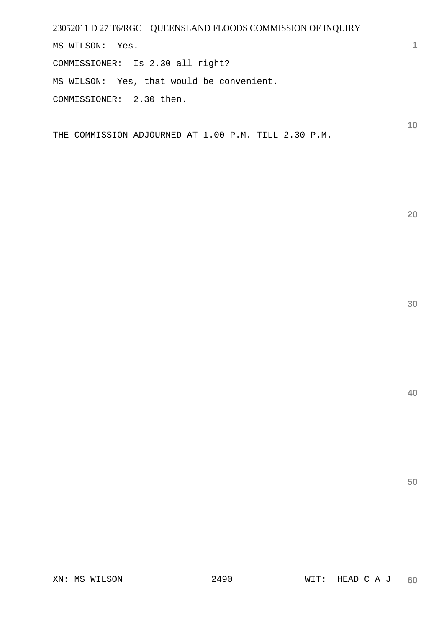23052011 D 27 T6/RGC QUEENSLAND FLOODS COMMISSION OF INQUIRY MS WILSON: Yes. COMMISSIONER: Is 2.30 all right? MS WILSON: Yes, that would be convenient.

COMMISSIONER: 2.30 then.

THE COMMISSION ADJOURNED AT 1.00 P.M. TILL 2.30 P.M.

**30** 

**20** 

**1**

**10**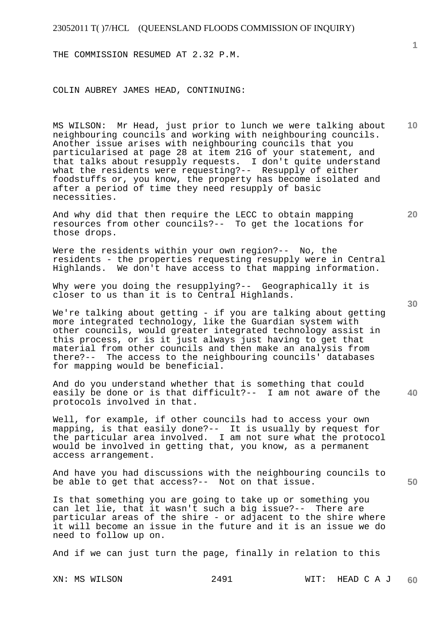THE COMMISSION RESUMED AT 2.32 P.M.

COLIN AUBREY JAMES HEAD, CONTINUING:

MS WILSON: Mr Head, just prior to lunch we were talking about neighbouring councils and working with neighbouring councils. Another issue arises with neighbouring councils that you particularised at page 28 at item 21G of your statement, and that talks about resupply requests. I don't quite understand what the residents were requesting?-- Resupply of either foodstuffs or, you know, the property has become isolated and after a period of time they need resupply of basic necessities.

And why did that then require the LECC to obtain mapping resources from other councils?-- To get the locations for those drops.

Were the residents within your own region?-- No, the residents - the properties requesting resupply were in Central Highlands. We don't have access to that mapping information.

Why were you doing the resupplying?-- Geographically it is closer to us than it is to Central Highlands.

We're talking about getting - if you are talking about getting more integrated technology, like the Guardian system with other councils, would greater integrated technology assist in this process, or is it just always just having to get that material from other councils and then make an analysis from there?-- The access to the neighbouring councils' databases for mapping would be beneficial.

**40**  And do you understand whether that is something that could easily be done or is that difficult?-- I am not aware of the protocols involved in that.

Well, for example, if other councils had to access your own mapping, is that easily done?-- It is usually by request for the particular area involved. I am not sure what the protocol would be involved in getting that, you know, as a permanent access arrangement.

And have you had discussions with the neighbouring councils to be able to get that access?-- Not on that issue.

Is that something you are going to take up or something you can let lie, that it wasn't such a big issue?-- There are particular areas of the shire - or adjacent to the shire where it will become an issue in the future and it is an issue we do need to follow up on.

And if we can just turn the page, finally in relation to this

**50** 

**20** 

**10**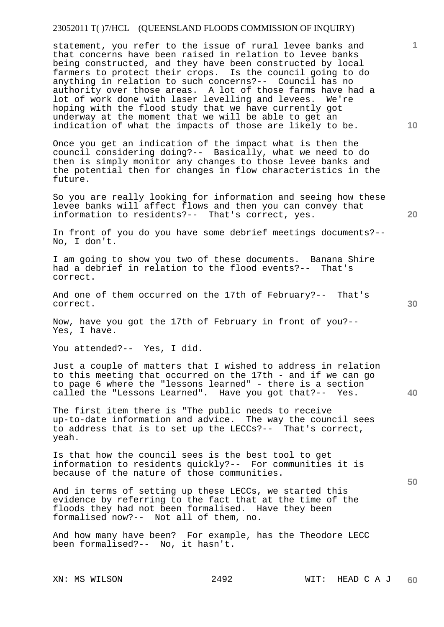statement, you refer to the issue of rural levee banks and that concerns have been raised in relation to levee banks being constructed, and they have been constructed by local farmers to protect their crops. Is the council going to do anything in relation to such concerns?-- Council has no authority over those areas. A lot of those farms have had a lot of work done with laser levelling and levees. We're hoping with the flood study that we have currently got underway at the moment that we will be able to get an indication of what the impacts of those are likely to be.

Once you get an indication of the impact what is then the council considering doing?-- Basically, what we need to do then is simply monitor any changes to those levee banks and the potential then for changes in flow characteristics in the future.

So you are really looking for information and seeing how these levee banks will affect flows and then you can convey that information to residents?-- That's correct, yes.

In front of you do you have some debrief meetings documents?-- No, I don't.

I am going to show you two of these documents. Banana Shire had a debrief in relation to the flood events?-- That's correct.

And one of them occurred on the 17th of February?-- That's correct.

Now, have you got the 17th of February in front of you?-- Yes, I have.

You attended?-- Yes, I did.

Just a couple of matters that I wished to address in relation to this meeting that occurred on the 17th - and if we can go to page 6 where the "lessons learned" - there is a section called the "Lessons Learned". Have you got that?-- Yes.

The first item there is "The public needs to receive up-to-date information and advice. The way the council sees to address that is to set up the LECCs?-- That's correct, yeah.

Is that how the council sees is the best tool to get information to residents quickly?-- For communities it is because of the nature of those communities.

And in terms of setting up these LECCs, we started this evidence by referring to the fact that at the time of the floods they had not been formalised. Have they been formalised now?-- Not all of them, no.

And how many have been? For example, has the Theodore LECC been formalised?-- No, it hasn't.

**10** 

**1**

**30** 

**20** 

**50**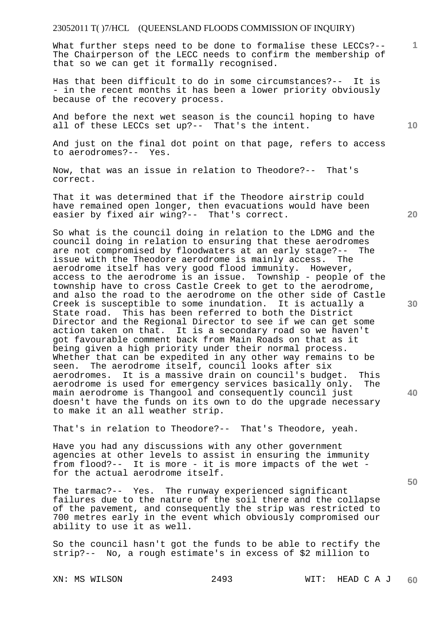What further steps need to be done to formalise these LECCs?--The Chairperson of the LECC needs to confirm the membership of that so we can get it formally recognised.

Has that been difficult to do in some circumstances?-- It is - in the recent months it has been a lower priority obviously because of the recovery process.

And before the next wet season is the council hoping to have all of these LECCs set up?-- That's the intent.

And just on the final dot point on that page, refers to access to aerodromes?-- Yes.

Now, that was an issue in relation to Theodore?-- That's correct.

That it was determined that if the Theodore airstrip could have remained open longer, then evacuations would have been easier by fixed air wing?-- That's correct.

So what is the council doing in relation to the LDMG and the council doing in relation to ensuring that these aerodromes are not compromised by floodwaters at an early stage?-- The issue with the Theodore aerodrome is mainly access. The aerodrome itself has very good flood immunity. However, access to the aerodrome is an issue. Township - people of the township have to cross Castle Creek to get to the aerodrome, and also the road to the aerodrome on the other side of Castle Creek is susceptible to some inundation. It is actually a State road. This has been referred to both the District Director and the Regional Director to see if we can get some action taken on that. It is a secondary road so we haven't got favourable comment back from Main Roads on that as it being given a high priority under their normal process. Whether that can be expedited in any other way remains to be seen. The aerodrome itself, council looks after six aerodromes. It is a massive drain on council's budget. This aerodrome is used for emergency services basically only. The main aerodrome is Thangool and consequently council just doesn't have the funds on its own to do the upgrade necessary to make it an all weather strip.

That's in relation to Theodore?-- That's Theodore, yeah.

Have you had any discussions with any other government agencies at other levels to assist in ensuring the immunity from flood?-- It is more - it is more impacts of the wet for the actual aerodrome itself.

The tarmac?-- Yes. The runway experienced significant failures due to the nature of the soil there and the collapse of the pavement, and consequently the strip was restricted to 700 metres early in the event which obviously compromised our ability to use it as well.

So the council hasn't got the funds to be able to rectify the strip?-- No, a rough estimate's in excess of \$2 million to

**10** 

**1**

**30** 

**20** 

**50**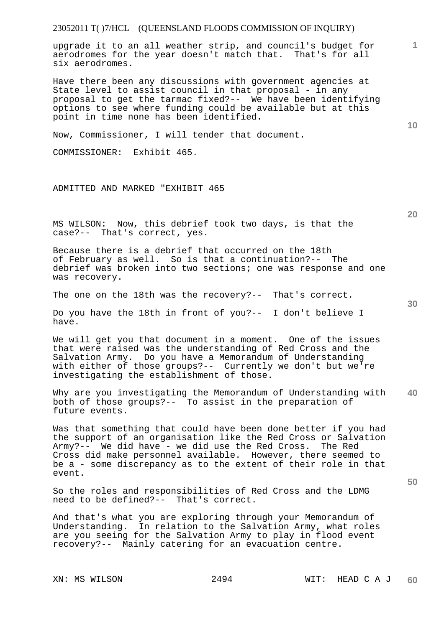upgrade it to an all weather strip, and council's budget for aerodromes for the year doesn't match that. That's for all six aerodromes.

Have there been any discussions with government agencies at State level to assist council in that proposal - in any proposal to get the tarmac fixed?-- We have been identifying options to see where funding could be available but at this point in time none has been identified.

Now, Commissioner, I will tender that document.

COMMISSIONER: Exhibit 465.

ADMITTED AND MARKED "EXHIBIT 465

MS WILSON: Now, this debrief took two days, is that the case?-- That's correct, yes.

Because there is a debrief that occurred on the 18th of February as well. So is that a continuation?-- The debrief was broken into two sections; one was response and one was recovery.

The one on the 18th was the recovery?-- That's correct.

Do you have the 18th in front of you?-- I don't believe I have.

We will get you that document in a moment. One of the issues that were raised was the understanding of Red Cross and the Salvation Army. Do you have a Memorandum of Understanding with either of those groups?-- Currently we don't but we're investigating the establishment of those.

**40**  Why are you investigating the Memorandum of Understanding with both of those groups?-- To assist in the preparation of future events.

Was that something that could have been done better if you had the support of an organisation like the Red Cross or Salvation Army?-- We did have - we did use the Red Cross. The Red Cross did make personnel available. However, there seemed to be a - some discrepancy as to the extent of their role in that event.

So the roles and responsibilities of Red Cross and the LDMG need to be defined?-- That's correct.

And that's what you are exploring through your Memorandum of Understanding. In relation to the Salvation Army, what roles are you seeing for the Salvation Army to play in flood event recovery?-- Mainly catering for an evacuation centre.

**20** 

**10** 

**1**

**30**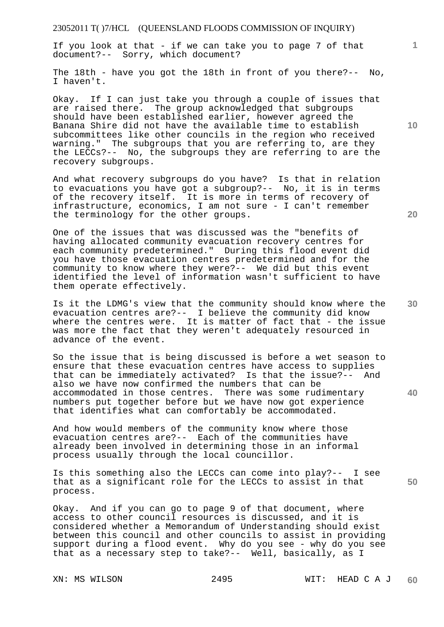If you look at that - if we can take you to page 7 of that document?-- Sorry, which document?

The 18th - have you got the 18th in front of you there?-- No, I haven't.

Okay. If I can just take you through a couple of issues that are raised there. The group acknowledged that subgroups should have been established earlier, however agreed the Banana Shire did not have the available time to establish subcommittees like other councils in the region who received warning." The subgroups that you are referring to, are they the LECCs?-- No, the subgroups they are referring to are the recovery subgroups.

And what recovery subgroups do you have? Is that in relation to evacuations you have got a subgroup?-- No, it is in terms of the recovery itself. It is more in terms of recovery of infrastructure, economics, I am not sure - I can't remember the terminology for the other groups.

One of the issues that was discussed was the "benefits of having allocated community evacuation recovery centres for each community predetermined." During this flood event did you have those evacuation centres predetermined and for the community to know where they were?-- We did but this event identified the level of information wasn't sufficient to have them operate effectively.

Is it the LDMG's view that the community should know where the evacuation centres are?-- I believe the community did know where the centres were. It is matter of fact that - the issue was more the fact that they weren't adequately resourced in advance of the event.

So the issue that is being discussed is before a wet season to ensure that these evacuation centres have access to supplies that can be immediately activated? Is that the issue?-- And also we have now confirmed the numbers that can be accommodated in those centres. There was some rudimentary numbers put together before but we have now got experience that identifies what can comfortably be accommodated.

And how would members of the community know where those evacuation centres are?-- Each of the communities have already been involved in determining those in an informal process usually through the local councillor.

Is this something also the LECCs can come into play?-- I see that as a significant role for the LECCs to assist in that process.

Okay. And if you can go to page 9 of that document, where access to other council resources is discussed, and it is considered whether a Memorandum of Understanding should exist between this council and other councils to assist in providing support during a flood event. Why do you see - why do you see that as a necessary step to take?-- Well, basically, as I

**10** 

**20** 

**1**

**30** 

**40**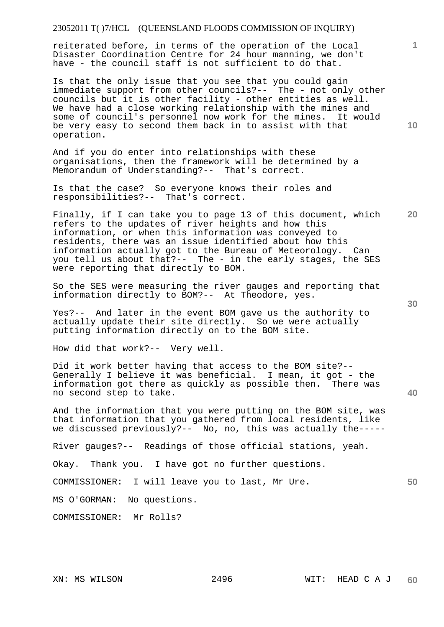reiterated before, in terms of the operation of the Local Disaster Coordination Centre for 24 hour manning, we don't have - the council staff is not sufficient to do that.

Is that the only issue that you see that you could gain immediate support from other councils?-- The - not only other councils but it is other facility - other entities as well. We have had a close working relationship with the mines and some of council's personnel now work for the mines. It would be very easy to second them back in to assist with that operation.

And if you do enter into relationships with these organisations, then the framework will be determined by a Memorandum of Understanding?-- That's correct.

Is that the case? So everyone knows their roles and responsibilities?-- That's correct.

**20**  Finally, if I can take you to page 13 of this document, which refers to the updates of river heights and how this information, or when this information was conveyed to residents, there was an issue identified about how this information actually got to the Bureau of Meteorology. Can you tell us about that?-- The - in the early stages, the SES were reporting that directly to BOM.

So the SES were measuring the river gauges and reporting that information directly to BOM?-- At Theodore, yes.

Yes?-- And later in the event BOM gave us the authority to actually update their site directly. So we were actually putting information directly on to the BOM site.

How did that work?-- Very well.

Did it work better having that access to the BOM site?-- Generally I believe it was beneficial. I mean, it got - the information got there as quickly as possible then. There was no second step to take.

And the information that you were putting on the BOM site, was that information that you gathered from local residents, like we discussed previously?-- No, no, this was actually the-----

River gauges?-- Readings of those official stations, yeah.

Okay. Thank you. I have got no further questions.

COMMISSIONER: I will leave you to last, Mr Ure.

MS O'GORMAN: No questions.

COMMISSIONER: Mr Rolls?

**1**

**40** 

**50**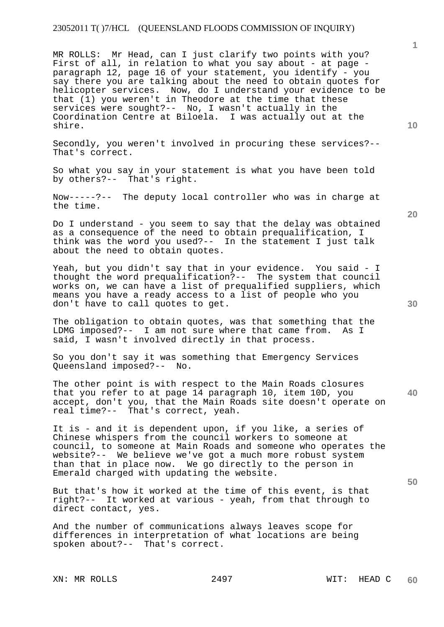MR ROLLS: Mr Head, can I just clarify two points with you? First of all, in relation to what you say about - at page paragraph 12, page 16 of your statement, you identify - you say there you are talking about the need to obtain quotes for helicopter services. Now, do I understand your evidence to be that (1) you weren't in Theodore at the time that these services were sought?-- No, I wasn't actually in the Coordination Centre at Biloela. I was actually out at the shire.

Secondly, you weren't involved in procuring these services?-- That's correct.

So what you say in your statement is what you have been told by others?-- That's right.

Now-----?-- The deputy local controller who was in charge at the time.

Do I understand - you seem to say that the delay was obtained as a consequence of the need to obtain prequalification, I think was the word you used?-- In the statement I just talk about the need to obtain quotes.

Yeah, but you didn't say that in your evidence. You said - I thought the word prequalification?-- The system that council works on, we can have a list of prequalified suppliers, which means you have a ready access to a list of people who you don't have to call quotes to get.

The obligation to obtain quotes, was that something that the<br>LDMG imposed?-- I am not sure where that came from. As I I am not sure where that came from. said, I wasn't involved directly in that process.

So you don't say it was something that Emergency Services Queensland imposed?-- No.

The other point is with respect to the Main Roads closures that you refer to at page 14 paragraph 10, item 10D, you accept, don't you, that the Main Roads site doesn't operate on real time?-- That's correct, yeah.

It is - and it is dependent upon, if you like, a series of Chinese whispers from the council workers to someone at council, to someone at Main Roads and someone who operates the website?-- We believe we've got a much more robust system than that in place now. We go directly to the person in Emerald charged with updating the website.

But that's how it worked at the time of this event, is that right?-- It worked at various - yeah, from that through to direct contact, yes.

And the number of communications always leaves scope for differences in interpretation of what locations are being spoken about?-- That's correct.

**20** 



**40** 

**50** 

**10**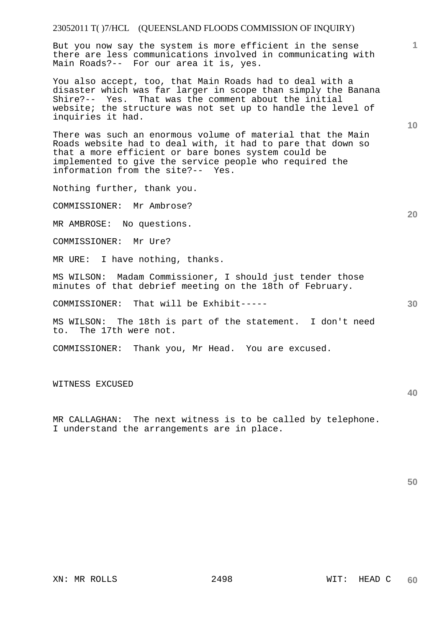But you now say the system is more efficient in the sense there are less communications involved in communicating with Main Roads?-- For our area it is, yes.

You also accept, too, that Main Roads had to deal with a disaster which was far larger in scope than simply the Banana Shire?-- Yes. That was the comment about the initial website; the structure was not set up to handle the level of inquiries it had.

There was such an enormous volume of material that the Main Roads website had to deal with, it had to pare that down so that a more efficient or bare bones system could be implemented to give the service people who required the information from the site?-- Yes.

Nothing further, thank you.

COMMISSIONER: Mr Ambrose?

MR AMBROSE: No questions.

COMMISSIONER: Mr Ure?

MR URE: I have nothing, thanks.

MS WILSON: Madam Commissioner, I should just tender those minutes of that debrief meeting on the 18th of February.

COMMISSIONER: That will be Exhibit-----

MS WILSON: The 18th is part of the statement. I don't need to. The 17th were not.

COMMISSIONER: Thank you, Mr Head. You are excused.

WITNESS EXCUSED

MR CALLAGHAN: The next witness is to be called by telephone. I understand the arrangements are in place.

**50** 

**40** 

**10** 

**1**

**30**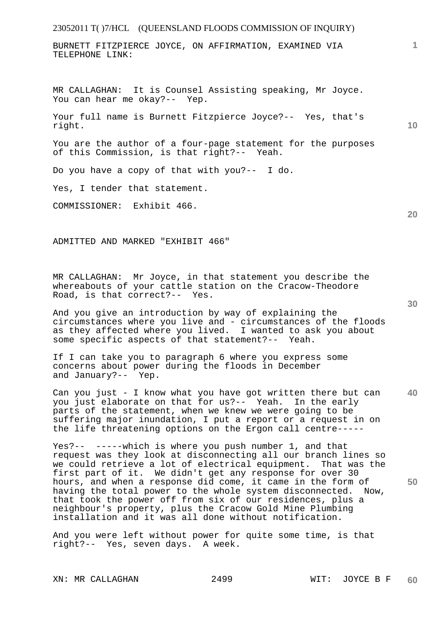BURNETT FITZPIERCE JOYCE, ON AFFIRMATION, EXAMINED VIA TELEPHONE LINK:

MR CALLAGHAN: It is Counsel Assisting speaking, Mr Joyce. You can hear me okay?-- Yep.

Your full name is Burnett Fitzpierce Joyce?-- Yes, that's right.

You are the author of a four-page statement for the purposes of this Commission, is that right?-- Yeah.

Do you have a copy of that with you?-- I do.

Yes, I tender that statement.

COMMISSIONER: Exhibit 466.

ADMITTED AND MARKED "EXHIBIT 466"

MR CALLAGHAN: Mr Joyce, in that statement you describe the whereabouts of your cattle station on the Cracow-Theodore Road, is that correct?-- Yes.

And you give an introduction by way of explaining the circumstances where you live and - circumstances of the floods as they affected where you lived. I wanted to ask you about some specific aspects of that statement?-- Yeah.

If I can take you to paragraph 6 where you express some concerns about power during the floods in December and January?-- Yep.

**40**  Can you just - I know what you have got written there but can you just elaborate on that for us?-- Yeah. In the early parts of the statement, when we knew we were going to be suffering major inundation, I put a report or a request in on the life threatening options on the Ergon call centre-----

**50**  Yes?-- -----which is where you push number 1, and that request was they look at disconnecting all our branch lines so we could retrieve a lot of electrical equipment. That was the first part of it. We didn't get any response for over 30 hours, and when a response did come, it came in the form of having the total power to the whole system disconnected. Now, that took the power off from six of our residences, plus a neighbour's property, plus the Cracow Gold Mine Plumbing installation and it was all done without notification.

And you were left without power for quite some time, is that right?-- Yes, seven days. A week.

**10** 

**1**

**30**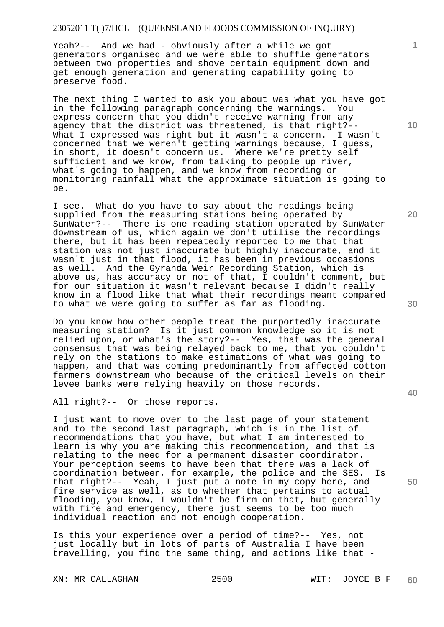Yeah?-- And we had - obviously after a while we got generators organised and we were able to shuffle generators between two properties and shove certain equipment down and get enough generation and generating capability going to preserve food.

The next thing I wanted to ask you about was what you have got in the following paragraph concerning the warnings. You express concern that you didn't receive warning from any agency that the district was threatened, is that right?-- What I expressed was right but it wasn't a concern. I wasn't concerned that we weren't getting warnings because, I guess, in short, it doesn't concern us. Where we're pretty self sufficient and we know, from talking to people up river, what's going to happen, and we know from recording or monitoring rainfall what the approximate situation is going to be.

I see. What do you have to say about the readings being supplied from the measuring stations being operated by SunWater?-- There is one reading station operated by SunWater downstream of us, which again we don't utilise the recordings there, but it has been repeatedly reported to me that that station was not just inaccurate but highly inaccurate, and it wasn't just in that flood, it has been in previous occasions as well. And the Gyranda Weir Recording Station, which is above us, has accuracy or not of that, I couldn't comment, but for our situation it wasn't relevant because I didn't really know in a flood like that what their recordings meant compared to what we were going to suffer as far as flooding.

Do you know how other people treat the purportedly inaccurate measuring station? Is it just common knowledge so it is not relied upon, or what's the story?-- Yes, that was the general consensus that was being relayed back to me, that you couldn't rely on the stations to make estimations of what was going to happen, and that was coming predominantly from affected cotton farmers downstream who because of the critical levels on their levee banks were relying heavily on those records.

All right?-- Or those reports.

I just want to move over to the last page of your statement and to the second last paragraph, which is in the list of recommendations that you have, but what I am interested to learn is why you are making this recommendation, and that is relating to the need for a permanent disaster coordinator. Your perception seems to have been that there was a lack of coordination between, for example, the police and the SES. Is that right?-- Yeah, I just put a note in my copy here, and fire service as well, as to whether that pertains to actual flooding, you know, I wouldn't be firm on that, but generally with fire and emergency, there just seems to be too much individual reaction and not enough cooperation.

Is this your experience over a period of time?-- Yes, not just locally but in lots of parts of Australia I have been travelling, you find the same thing, and actions like that -

XN: MR CALLAGHAN 2500 WIT: JOYCE B F

**10** 

**1**

**20** 

**30** 

**40**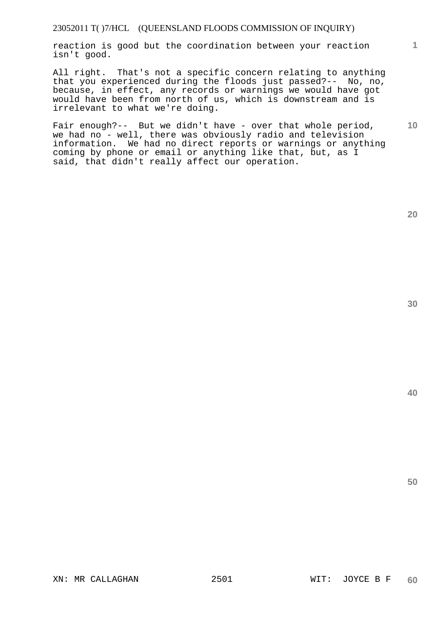reaction is good but the coordination between your reaction isn't good.

All right. That's not a specific concern relating to anything that you experienced during the floods just passed?-- No, no, because, in effect, any records or warnings we would have got would have been from north of us, which is downstream and is irrelevant to what we're doing.

Fair enough?-- But we didn't have - over that whole period, we had no - well, there was obviously radio and television information. We had no direct reports or warnings or anything coming by phone or email or anything like that, but, as I said, that didn't really affect our operation.

**20** 

**1**

**10** 

**40**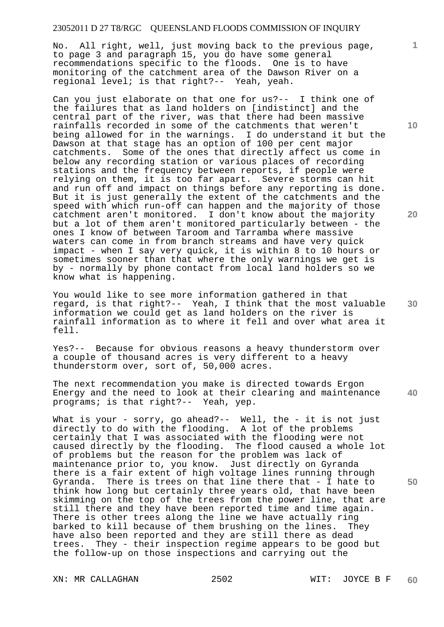No. All right, well, just moving back to the previous page, to page 3 and paragraph 15, you do have some general recommendations specific to the floods. One is to have monitoring of the catchment area of the Dawson River on a regional level; is that right?-- Yeah, yeah.

Can you just elaborate on that one for us?-- I think one of the failures that as land holders on [indistinct] and the central part of the river, was that there had been massive rainfalls recorded in some of the catchments that weren't being allowed for in the warnings. I do understand it but the Dawson at that stage has an option of 100 per cent major catchments. Some of the ones that directly affect us come in below any recording station or various places of recording stations and the frequency between reports, if people were relying on them, it is too far apart. Severe storms can hit and run off and impact on things before any reporting is done. But it is just generally the extent of the catchments and the speed with which run-off can happen and the majority of those catchment aren't monitored. I don't know about the majority but a lot of them aren't monitored particularly between - the ones I know of between Taroom and Tarramba where massive waters can come in from branch streams and have very quick impact - when I say very quick, it is within 8 to 10 hours or sometimes sooner than that where the only warnings we get is by - normally by phone contact from local land holders so we know what is happening.

You would like to see more information gathered in that regard, is that right?-- Yeah, I think that the most valuable information we could get as land holders on the river is rainfall information as to where it fell and over what area it fell.

Yes?-- Because for obvious reasons a heavy thunderstorm over a couple of thousand acres is very different to a heavy thunderstorm over, sort of, 50,000 acres.

**40**  The next recommendation you make is directed towards Ergon Energy and the need to look at their clearing and maintenance programs; is that right?-- Yeah, yep.

What is your - sorry, go ahead?-- Well, the - it is not just directly to do with the flooding. A lot of the problems certainly that I was associated with the flooding were not caused directly by the flooding. The flood caused a whole lot of problems but the reason for the problem was lack of maintenance prior to, you know. Just directly on Gyranda there is a fair extent of high voltage lines running through Gyranda. There is trees on that line there that - I hate to think how long but certainly three years old, that have been skimming on the top of the trees from the power line, that are still there and they have been reported time and time again. There is other trees along the line we have actually ring barked to kill because of them brushing on the lines. They have also been reported and they are still there as dead trees. They - their inspection regime appears to be good but the follow-up on those inspections and carrying out the

XN: MR CALLAGHAN 2502 WIT: JOYCE B F

**10** 

**1**

**20** 

**30**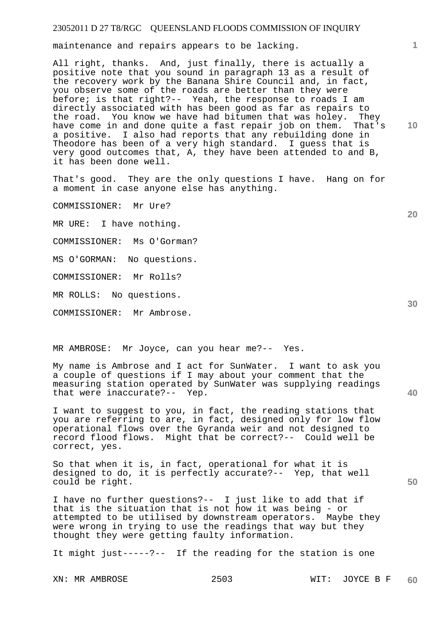maintenance and repairs appears to be lacking.

All right, thanks. And, just finally, there is actually a positive note that you sound in paragraph 13 as a result of the recovery work by the Banana Shire Council and, in fact, you observe some of the roads are better than they were before; is that right?-- Yeah, the response to roads I am directly associated with has been good as far as repairs to the road. You know we have had bitumen that was holey. They have come in and done quite a fast repair job on them. That's a positive. I also had reports that any rebuilding done in Theodore has been of a very high standard. I guess that is very good outcomes that, A, they have been attended to and B, it has been done well.

That's good. They are the only questions I have. Hang on for a moment in case anyone else has anything.

COMMISSIONER: Mr Ure?

MR URE: I have nothing.

COMMISSIONER: Ms O'Gorman?

MS O'GORMAN: No questions.

COMMISSIONER: Mr Rolls?

MR ROLLS: No questions.

COMMISSIONER: Mr Ambrose.

MR AMBROSE: Mr Joyce, can you hear me?-- Yes.

My name is Ambrose and I act for SunWater. I want to ask you a couple of questions if I may about your comment that the measuring station operated by SunWater was supplying readings that were inaccurate?-- Yep.

I want to suggest to you, in fact, the reading stations that you are referring to are, in fact, designed only for low flow operational flows over the Gyranda weir and not designed to record flood flows. Might that be correct?-- Could well be correct, yes.

So that when it is, in fact, operational for what it is designed to do, it is perfectly accurate?-- Yep, that well could be right.

I have no further questions?-- I just like to add that if that is the situation that is not how it was being - or attempted to be utilised by downstream operators. Maybe they were wrong in trying to use the readings that way but they thought they were getting faulty information.

It might just-----?-- If the reading for the station is one

**10** 

**1**

**20** 

**40**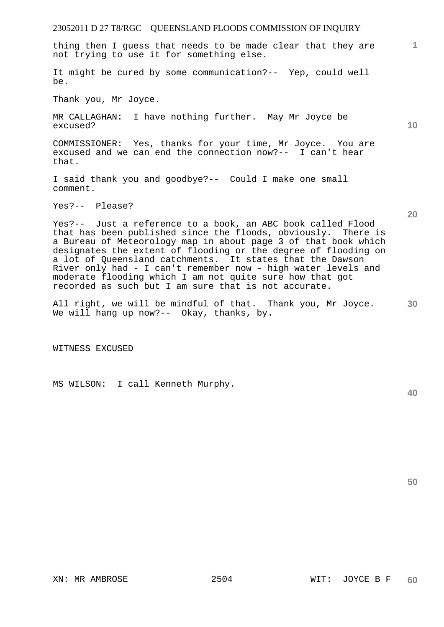thing then I guess that needs to be made clear that they are not trying to use it for something else.

It might be cured by some communication?-- Yep, could well be.

Thank you, Mr Joyce.

MR CALLAGHAN: I have nothing further. May Mr Joyce be excused?

COMMISSIONER: Yes, thanks for your time, Mr Joyce. You are excused and we can end the connection now?-- I can't hear that.

I said thank you and goodbye?-- Could I make one small comment.

Yes?-- Please?

Yes?-- Just a reference to a book, an ABC book called Flood that has been published since the floods, obviously. There is a Bureau of Meteorology map in about page 3 of that book which designates the extent of flooding or the degree of flooding on a lot of Queensland catchments. It states that the Dawson River only had - I can't remember now - high water levels and moderate flooding which I am not quite sure how that got recorded as such but I am sure that is not accurate.

**30**  All right, we will be mindful of that. Thank you, Mr Joyce. We will hang up now?-- Okay, thanks, by.

WITNESS EXCUSED

MS WILSON: I call Kenneth Murphy.

**40** 

**10** 

**20** 

**1**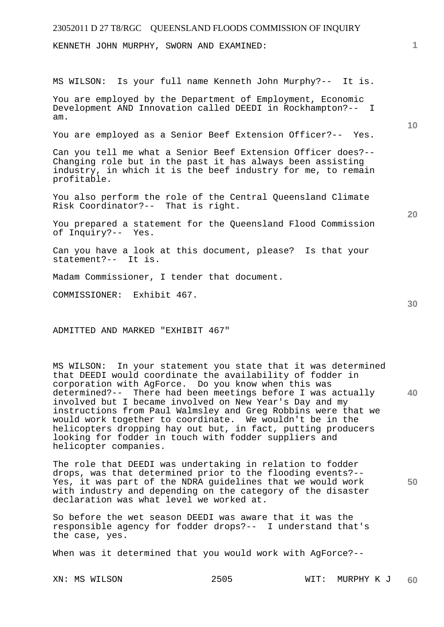# 23052011 D 27 T8/RGC QUEENSLAND FLOODS COMMISSION OF INQUIRY **1 10 20 30**  KENNETH JOHN MURPHY, SWORN AND EXAMINED: MS WILSON: Is your full name Kenneth John Murphy?-- It is. You are employed by the Department of Employment, Economic Development AND Innovation called DEEDI in Rockhampton?-- I am. You are employed as a Senior Beef Extension Officer?-- Yes. Can you tell me what a Senior Beef Extension Officer does?-- Changing role but in the past it has always been assisting industry, in which it is the beef industry for me, to remain profitable. You also perform the role of the Central Queensland Climate Risk Coordinator?-- That is right. You prepared a statement for the Queensland Flood Commission of Inquiry?-- Yes. Can you have a look at this document, please? Is that your statement?-- It is. Madam Commissioner, I tender that document. COMMISSIONER: Exhibit 467.

ADMITTED AND MARKED "EXHIBIT 467"

**40**  MS WILSON: In your statement you state that it was determined that DEEDI would coordinate the availability of fodder in corporation with AgForce. Do you know when this was determined?-- There had been meetings before I was actually involved but I became involved on New Year's Day and my instructions from Paul Walmsley and Greg Robbins were that we would work together to coordinate. We wouldn't be in the helicopters dropping hay out but, in fact, putting producers looking for fodder in touch with fodder suppliers and helicopter companies.

The role that DEEDI was undertaking in relation to fodder drops, was that determined prior to the flooding events?-- Yes, it was part of the NDRA guidelines that we would work with industry and depending on the category of the disaster declaration was what level we worked at.

So before the wet season DEEDI was aware that it was the responsible agency for fodder drops?-- I understand that's the case, yes.

When was it determined that you would work with AgForce?--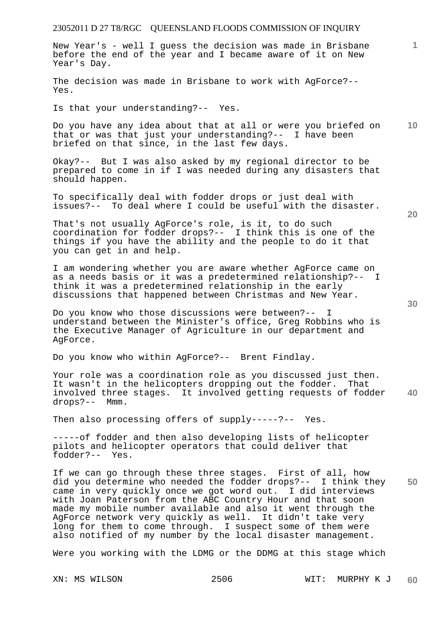| 23052011 D 27 T8/RGC QUEENSLAND FLOODS COMMISSION OF INQUIRY                                                                                                                                                                                                                                                                                                                                                                                                                                                        |                 |
|---------------------------------------------------------------------------------------------------------------------------------------------------------------------------------------------------------------------------------------------------------------------------------------------------------------------------------------------------------------------------------------------------------------------------------------------------------------------------------------------------------------------|-----------------|
| New Year's - well I guess the decision was made in Brisbane<br>before the end of the year and I became aware of it on New<br>Year's Day.                                                                                                                                                                                                                                                                                                                                                                            |                 |
| The decision was made in Brisbane to work with AgForce?--<br>Yes.                                                                                                                                                                                                                                                                                                                                                                                                                                                   |                 |
| Is that your understanding?-- Yes.                                                                                                                                                                                                                                                                                                                                                                                                                                                                                  |                 |
| Do you have any idea about that at all or were you briefed on<br>that or was that just your understanding?-- I have been<br>briefed on that since, in the last few days.                                                                                                                                                                                                                                                                                                                                            | 10 <sup>°</sup> |
| Okay?-- But I was also asked by my regional director to be<br>prepared to come in if I was needed during any disasters that<br>should happen.                                                                                                                                                                                                                                                                                                                                                                       |                 |
| To specifically deal with fodder drops or just deal with<br>issues?-- To deal where I could be useful with the disaster.                                                                                                                                                                                                                                                                                                                                                                                            | 20              |
| That's not usually AgForce's role, is it, to do such<br>coordination for fodder drops?-- I think this is one of the<br>things if you have the ability and the people to do it that<br>you can get in and help.                                                                                                                                                                                                                                                                                                      |                 |
| I am wondering whether you are aware whether AgForce came on<br>as a needs basis or it was a predetermined relationship?-- I<br>think it was a predetermined relationship in the early<br>discussions that happened between Christmas and New Year.                                                                                                                                                                                                                                                                 | 30              |
| Do you know who those discussions were between?-- I<br>understand between the Minister's office, Greg Robbins who is<br>the Executive Manager of Agriculture in our department and<br>AgForce.                                                                                                                                                                                                                                                                                                                      |                 |
| Do you know who within AgForce?-- Brent Findlay.                                                                                                                                                                                                                                                                                                                                                                                                                                                                    |                 |
| Your role was a coordination role as you discussed just then.<br>It wasn't in the helicopters dropping out the fodder. That<br>involved three stages. It involved getting requests of fodder<br>drops?-- Mmm.                                                                                                                                                                                                                                                                                                       | 40              |
| Then also processing offers of supply-----?-- Yes.                                                                                                                                                                                                                                                                                                                                                                                                                                                                  |                 |
| -----of fodder and then also developing lists of helicopter<br>pilots and helicopter operators that could deliver that<br>fodder?-- Yes.                                                                                                                                                                                                                                                                                                                                                                            |                 |
| If we can go through these three stages. First of all, how<br>did you determine who needed the fodder drops?-- I think they<br>came in very quickly once we got word out. I did interviews<br>with Joan Paterson from the ABC Country Hour and that soon<br>made my mobile number available and also it went through the<br>AgForce network very quickly as well. It didn't take very<br>long for them to come through. I suspect some of them were<br>also notified of my number by the local disaster management. | 50              |
| Were you working with the LDMG or the DDMG at this stage which                                                                                                                                                                                                                                                                                                                                                                                                                                                      |                 |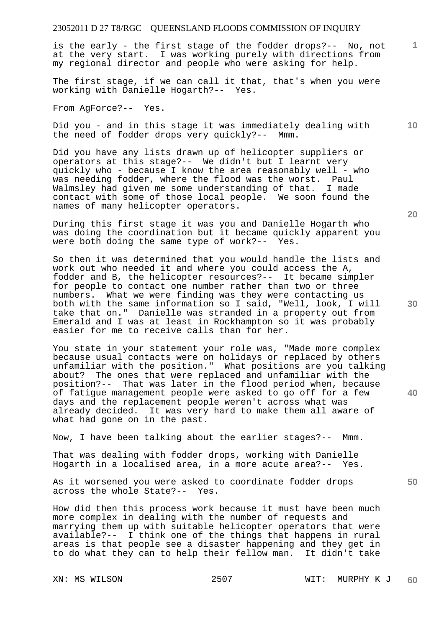is the early - the first stage of the fodder drops?-- No, not at the very start. I was working purely with directions from my regional director and people who were asking for help.

The first stage, if we can call it that, that's when you were working with Danielle Hogarth?-- Yes.

From AgForce?-- Yes.

Did you - and in this stage it was immediately dealing with the need of fodder drops very quickly?-- Mmm.

Did you have any lists drawn up of helicopter suppliers or operators at this stage?-- We didn't but I learnt very quickly who - because I know the area reasonably well - who was needing fodder, where the flood was the worst. Paul Walmsley had given me some understanding of that. I made contact with some of those local people. We soon found the names of many helicopter operators.

During this first stage it was you and Danielle Hogarth who was doing the coordination but it became quickly apparent you were both doing the same type of work?-- Yes.

So then it was determined that you would handle the lists and work out who needed it and where you could access the A, fodder and B, the helicopter resources?-- It became simpler for people to contact one number rather than two or three numbers. What we were finding was they were contacting us both with the same information so I said, "Well, look, I will take that on." Danielle was stranded in a property out from Emerald and I was at least in Rockhampton so it was probably easier for me to receive calls than for her.

You state in your statement your role was, "Made more complex because usual contacts were on holidays or replaced by others unfamiliar with the position." What positions are you talking about? The ones that were replaced and unfamiliar with the position?-- That was later in the flood period when, because of fatigue management people were asked to go off for a few days and the replacement people weren't across what was already decided. It was very hard to make them all aware of what had gone on in the past.

Now, I have been talking about the earlier stages?-- Mmm.

That was dealing with fodder drops, working with Danielle Hogarth in a localised area, in a more acute area?-- Yes.

As it worsened you were asked to coordinate fodder drops across the whole State?-- Yes.

How did then this process work because it must have been much more complex in dealing with the number of requests and marrying them up with suitable helicopter operators that were available?-- I think one of the things that happens in rural areas is that people see a disaster happening and they get in to do what they can to help their fellow man. It didn't take

**20** 

**30** 

**40** 

**50** 

**10**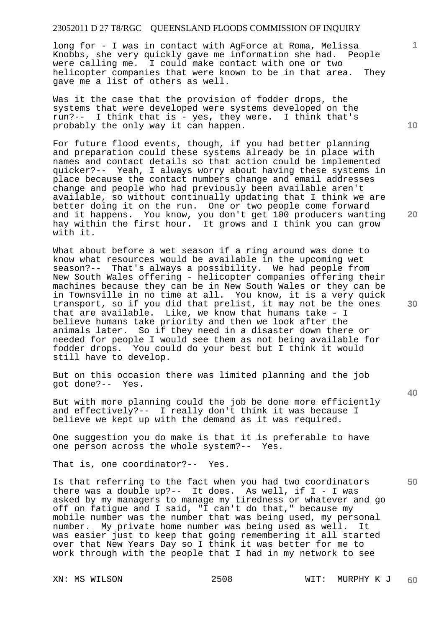long for - I was in contact with AgForce at Roma, Melissa Knobbs, she very quickly gave me information she had. People were calling me. I could make contact with one or two helicopter companies that were known to be in that area. They gave me a list of others as well.

Was it the case that the provision of fodder drops, the systems that were developed were systems developed on the run?-- I think that is - yes, they were. I think that's probably the only way it can happen.

For future flood events, though, if you had better planning and preparation could these systems already be in place with names and contact details so that action could be implemented quicker?-- Yeah, I always worry about having these systems in place because the contact numbers change and email addresses change and people who had previously been available aren't available, so without continually updating that I think we are better doing it on the run. One or two people come forward and it happens. You know, you don't get 100 producers wanting hay within the first hour. It grows and I think you can grow with it.

What about before a wet season if a ring around was done to know what resources would be available in the upcoming wet season?-- That's always a possibility. We had people from New South Wales offering - helicopter companies offering their machines because they can be in New South Wales or they can be in Townsville in no time at all. You know, it is a very quick transport, so if you did that prelist, it may not be the ones that are available. Like, we know that humans take - I believe humans take priority and then we look after the animals later. So if they need in a disaster down there or needed for people I would see them as not being available for fodder drops. You could do your best but I think it would still have to develop.

But on this occasion there was limited planning and the job got done?-- Yes.

But with more planning could the job be done more efficiently and effectively?-- I really don't think it was because I believe we kept up with the demand as it was required.

One suggestion you do make is that it is preferable to have one person across the whole system?-- Yes.

That is, one coordinator?-- Yes.

Is that referring to the fact when you had two coordinators there was a double up?-- It does. As well, if  $I - I$  was asked by my managers to manage my tiredness or whatever and go off on fatigue and I said, "I can't do that," because my mobile number was the number that was being used, my personal number. My private home number was being used as well. It was easier just to keep that going remembering it all started over that New Years Day so I think it was better for me to work through with the people that I had in my network to see

**10** 

**1**

**20** 

**40** 

**50**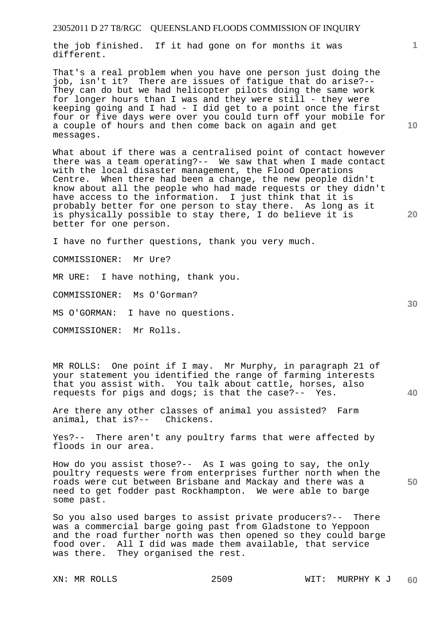the job finished. If it had gone on for months it was different.

That's a real problem when you have one person just doing the job, isn't it? There are issues of fatigue that do arise?-- They can do but we had helicopter pilots doing the same work for longer hours than I was and they were still - they were keeping going and I had - I did get to a point once the first four or five days were over you could turn off your mobile for a couple of hours and then come back on again and get messages.

What about if there was a centralised point of contact however there was a team operating?-- We saw that when I made contact with the local disaster management, the Flood Operations Centre. When there had been a change, the new people didn't know about all the people who had made requests or they didn't have access to the information. I just think that it is probably better for one person to stay there. As long as it is physically possible to stay there, I do believe it is better for one person.

I have no further questions, thank you very much.

COMMISSIONER: Mr Ure?

MR URE: I have nothing, thank you.

COMMISSIONER: Ms O'Gorman?

MS O'GORMAN: I have no questions.

COMMISSIONER: Mr Rolls.

MR ROLLS: One point if I may. Mr Murphy, in paragraph 21 of your statement you identified the range of farming interests that you assist with. You talk about cattle, horses, also requests for pigs and dogs; is that the case?-- Yes.

Are there any other classes of animal you assisted? Farm animal, that is?-- Chickens. animal, that is?--

Yes?-- There aren't any poultry farms that were affected by floods in our area.

How do you assist those?-- As I was going to say, the only poultry requests were from enterprises further north when the roads were cut between Brisbane and Mackay and there was a need to get fodder past Rockhampton. We were able to barge some past.

So you also used barges to assist private producers?-- There was a commercial barge going past from Gladstone to Yeppoon and the road further north was then opened so they could barge food over. All I did was made them available, that service was there. They organised the rest.

**1**

**20** 

**40**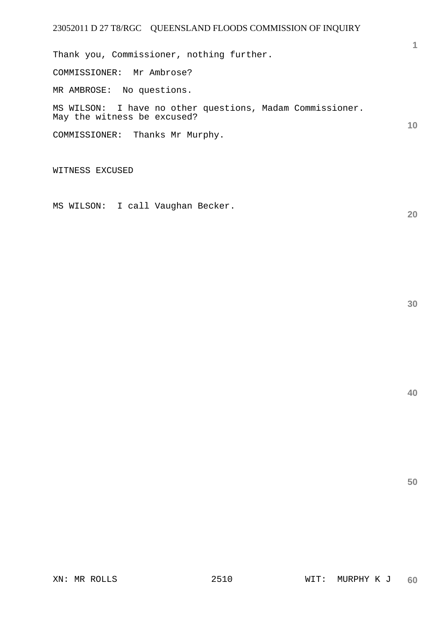**1 10**  Thank you, Commissioner, nothing further. COMMISSIONER: Mr Ambrose? MR AMBROSE: No questions. MS WILSON: I have no other questions, Madam Commissioner. May the witness be excused? COMMISSIONER: Thanks Mr Murphy.

WITNESS EXCUSED

MS WILSON: I call Vaughan Becker.

**30** 

**20**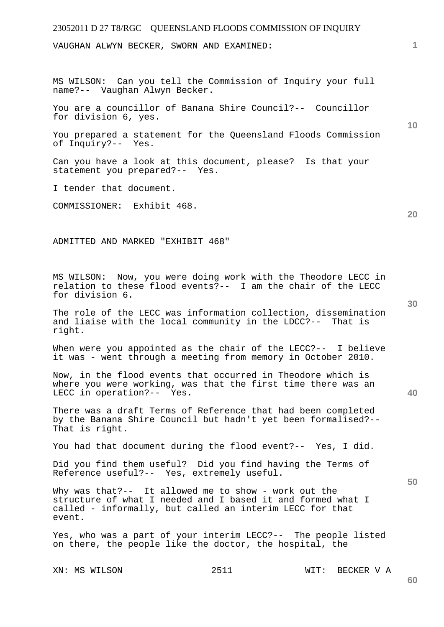VAUGHAN ALWYN BECKER, SWORN AND EXAMINED:

MS WILSON: Can you tell the Commission of Inquiry your full name?-- Vaughan Alwyn Becker.

You are a councillor of Banana Shire Council?-- Councillor for division 6, yes.

You prepared a statement for the Queensland Floods Commission of Inquiry?-- Yes.

Can you have a look at this document, please? Is that your statement you prepared?-- Yes.

I tender that document.

COMMISSIONER: Exhibit 468.

ADMITTED AND MARKED "EXHIBIT 468"

MS WILSON: Now, you were doing work with the Theodore LECC in relation to these flood events?-- I am the chair of the LECC for division 6.

The role of the LECC was information collection, dissemination and liaise with the local community in the LDCC?-- That is right.

When were you appointed as the chair of the LECC?-- I believe it was - went through a meeting from memory in October 2010.

Now, in the flood events that occurred in Theodore which is where you were working, was that the first time there was an LECC in operation?-- Yes.

There was a draft Terms of Reference that had been completed by the Banana Shire Council but hadn't yet been formalised?-- That is right.

You had that document during the flood event?-- Yes, I did.

Did you find them useful? Did you find having the Terms of Reference useful?-- Yes, extremely useful.

Why was that?-- It allowed me to show - work out the structure of what I needed and I based it and formed what I called - informally, but called an interim LECC for that event.

Yes, who was a part of your interim LECC?-- The people listed on there, the people like the doctor, the hospital, the

XN: MS WILSON 2511 WIT: BECKER V A

**30** 

**50** 

**10** 

**20**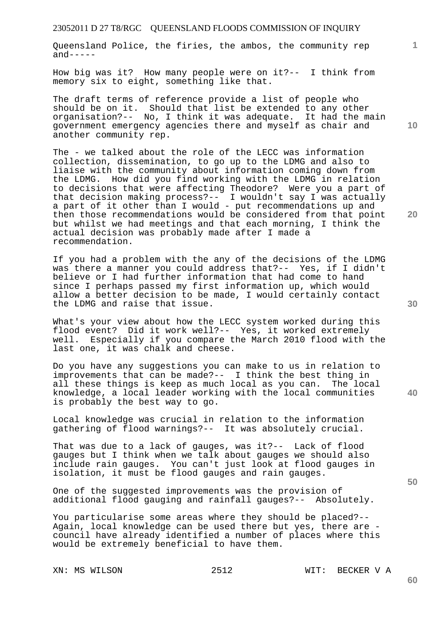Queensland Police, the firies, the ambos, the community rep  $and----$ 

How big was it? How many people were on it?-- I think from memory six to eight, something like that.

The draft terms of reference provide a list of people who should be on it. Should that list be extended to any other organisation?-- No, I think it was adequate. It had the main government emergency agencies there and myself as chair and another community rep.

The - we talked about the role of the LECC was information collection, dissemination, to go up to the LDMG and also to liaise with the community about information coming down from the LDMG. How did you find working with the LDMG in relation to decisions that were affecting Theodore? Were you a part of that decision making process?-- I wouldn't say I was actually a part of it other than I would - put recommendations up and then those recommendations would be considered from that point but whilst we had meetings and that each morning, I think the actual decision was probably made after I made a recommendation.

If you had a problem with the any of the decisions of the LDMG was there a manner you could address that?-- Yes, if I didn't believe or I had further information that had come to hand since I perhaps passed my first information up, which would allow a better decision to be made, I would certainly contact the LDMG and raise that issue.

What's your view about how the LECC system worked during this flood event? Did it work well?-- Yes, it worked extremely well. Especially if you compare the March 2010 flood with the last one, it was chalk and cheese.

Do you have any suggestions you can make to us in relation to improvements that can be made?-- I think the best thing in all these things is keep as much local as you can. The local knowledge, a local leader working with the local communities is probably the best way to go.

Local knowledge was crucial in relation to the information gathering of flood warnings?-- It was absolutely crucial.

That was due to a lack of gauges, was it?-- Lack of flood gauges but I think when we talk about gauges we should also include rain gauges. You can't just look at flood gauges in isolation, it must be flood gauges and rain gauges.

One of the suggested improvements was the provision of additional flood gauging and rainfall gauges?-- Absolutely.

You particularise some areas where they should be placed?-- Again, local knowledge can be used there but yes, there are council have already identified a number of places where this would be extremely beneficial to have them.

XN: MS WILSON 2512 WIT: BECKER V A

**20** 

**50** 

**40** 

**1**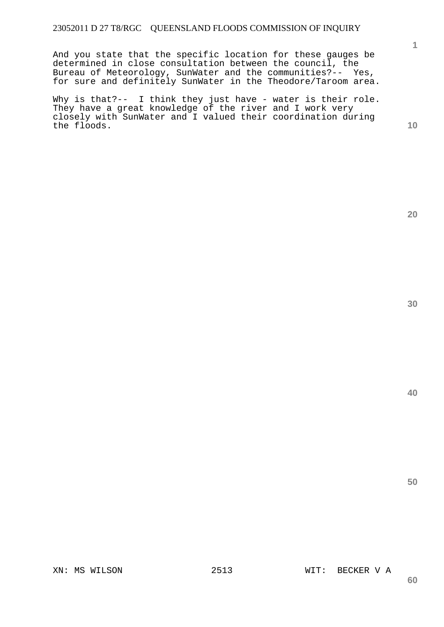And you state that the specific location for these gauges be determined in close consultation between the council, the Bureau of Meteorology, SunWater and the communities?-- Yes, for sure and definitely SunWater in the Theodore/Taroom area.

Why is that?-- I think they just have - water is their role. They have a great knowledge of the river and I work very closely with SunWater and I valued their coordination during the floods.

**20** 

**1**

**10** 

**30**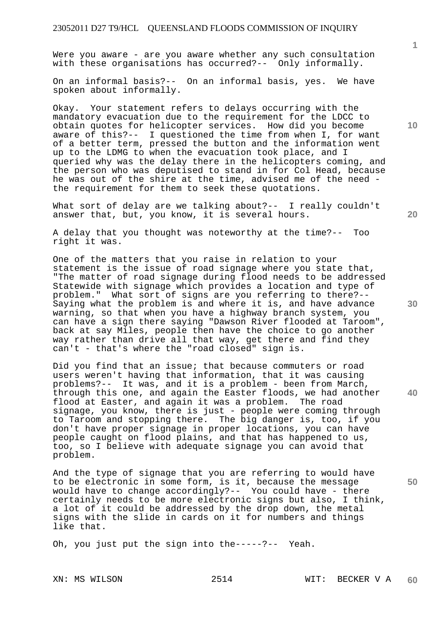Were you aware - are you aware whether any such consultation with these organisations has occurred?-- Only informally.

On an informal basis?-- On an informal basis, yes. We have spoken about informally.

Okay. Your statement refers to delays occurring with the mandatory evacuation due to the requirement for the LDCC to obtain quotes for helicopter services. How did you become aware of this?-- I questioned the time from when I, for want of a better term, pressed the button and the information went up to the LDMG to when the evacuation took place, and I queried why was the delay there in the helicopters coming, and the person who was deputised to stand in for Col Head, because he was out of the shire at the time, advised me of the need the requirement for them to seek these quotations.

What sort of delay are we talking about?-- I really couldn't answer that, but, you know, it is several hours.

A delay that you thought was noteworthy at the time?-- Too right it was.

One of the matters that you raise in relation to your statement is the issue of road signage where you state that, "The matter of road signage during flood needs to be addressed Statewide with signage which provides a location and type of problem." What sort of signs are you referring to there?-- Saying what the problem is and where it is, and have advance warning, so that when you have a highway branch system, you can have a sign there saying "Dawson River flooded at Taroom", back at say Miles, people then have the choice to go another way rather than drive all that way, get there and find they can't - that's where the "road closed" sign is.

Did you find that an issue; that because commuters or road users weren't having that information, that it was causing problems?-- It was, and it is a problem - been from March, through this one, and again the Easter floods, we had another flood at Easter, and again it was a problem. The road signage, you know, there is just - people were coming through to Taroom and stopping there. The big danger is, too, if you don't have proper signage in proper locations, you can have people caught on flood plains, and that has happened to us, too, so I believe with adequate signage you can avoid that problem.

And the type of signage that you are referring to would have to be electronic in some form, is it, because the message would have to change accordingly?-- You could have - there certainly needs to be more electronic signs but also, I think, a lot of it could be addressed by the drop down, the metal signs with the slide in cards on it for numbers and things like that.

Oh, you just put the sign into the-----?-- Yeah.

**20** 

**10** 

**30** 

**50**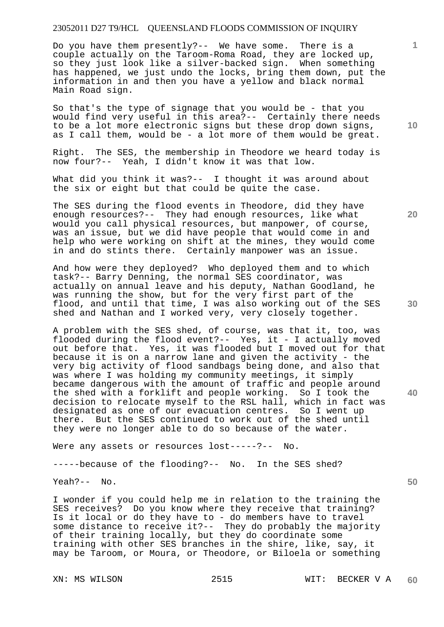Do you have them presently?-- We have some. There is a couple actually on the Taroom-Roma Road, they are locked up, so they just look like a silver-backed sign. When something has happened, we just undo the locks, bring them down, put the information in and then you have a yellow and black normal Main Road sign.

So that's the type of signage that you would be - that you would find very useful in this area?-- Certainly there needs to be a lot more electronic signs but these drop down signs, as I call them, would be - a lot more of them would be great.

Right. The SES, the membership in Theodore we heard today is now four?-- Yeah, I didn't know it was that low.

What did you think it was?-- I thought it was around about the six or eight but that could be quite the case.

The SES during the flood events in Theodore, did they have enough resources?-- They had enough resources, like what would you call physical resources, but manpower, of course, was an issue, but we did have people that would come in and help who were working on shift at the mines, they would come in and do stints there. Certainly manpower was an issue.

And how were they deployed? Who deployed them and to which task?-- Barry Denning, the normal SES coordinator, was actually on annual leave and his deputy, Nathan Goodland, he was running the show, but for the very first part of the flood, and until that time, I was also working out of the SES shed and Nathan and I worked very, very closely together.

A problem with the SES shed, of course, was that it, too, was flooded during the flood event?-- Yes, it - I actually moved out before that. Yes, it was flooded but I moved out for that because it is on a narrow lane and given the activity - the very big activity of flood sandbags being done, and also that was where I was holding my community meetings, it simply became dangerous with the amount of traffic and people around the shed with a forklift and people working. So I took the decision to relocate myself to the RSL hall, which in fact was designated as one of our evacuation centres. So I went up there. But the SES continued to work out of the shed until they were no longer able to do so because of the water.

Were any assets or resources lost-----?-- No.

-----because of the flooding?-- No. In the SES shed?

Yeah?-- No.

I wonder if you could help me in relation to the training the SES receives? Do you know where they receive that training? Is it local or do they have to - do members have to travel some distance to receive it?-- They do probably the majority of their training locally, but they do coordinate some training with other SES branches in the shire, like, say, it may be Taroom, or Moura, or Theodore, or Biloela or something

**10** 

**1**

**20** 

**30** 

**40**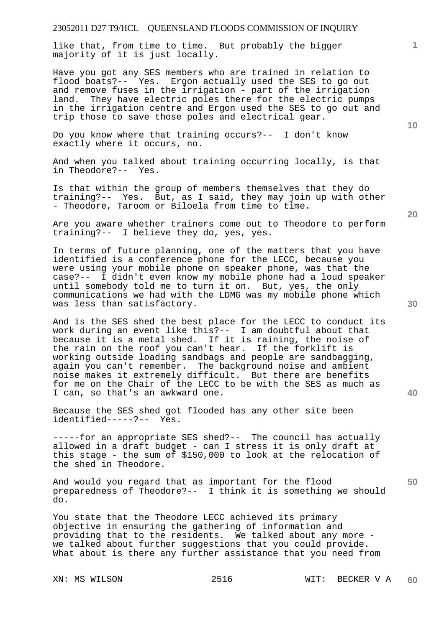like that, from time to time. But probably the bigger majority of it is just locally.

Have you got any SES members who are trained in relation to flood boats?-- Yes. Ergon actually used the SES to go out and remove fuses in the irrigation - part of the irrigation land. They have electric poles there for the electric pumps in the irrigation centre and Ergon used the SES to go out and trip those to save those poles and electrical gear.

Do you know where that training occurs?-- I don't know exactly where it occurs, no.

And when you talked about training occurring locally, is that in Theodore?-- Yes.

Is that within the group of members themselves that they do training?-- Yes. But, as I said, they may join up with other - Theodore, Taroom or Biloela from time to time.

Are you aware whether trainers come out to Theodore to perform training?-- I believe they do, yes, yes.

In terms of future planning, one of the matters that you have identified is a conference phone for the LECC, because you were using your mobile phone on speaker phone, was that the case?-- I didn't even know my mobile phone had a loud speaker until somebody told me to turn it on. But, yes, the only communications we had with the LDMG was my mobile phone which was less than satisfactory.

And is the SES shed the best place for the LECC to conduct its work during an event like this?-- I am doubtful about that because it is a metal shed. If it is raining, the noise of the rain on the roof you can't hear. If the forklift is working outside loading sandbags and people are sandbagging, again you can't remember. The background noise and ambient noise makes it extremely difficult. But there are benefits for me on the Chair of the LECC to be with the SES as much as I can, so that's an awkward one.

Because the SES shed got flooded has any other site been identified-----?-- Yes.

-----for an appropriate SES shed?-- The council has actually allowed in a draft budget - can I stress it is only draft at this stage - the sum of \$150,000 to look at the relocation of the shed in Theodore.

And would you regard that as important for the flood preparedness of Theodore?-- I think it is something we should do.

You state that the Theodore LECC achieved its primary objective in ensuring the gathering of information and providing that to the residents. We talked about any more we talked about further suggestions that you could provide. What about is there any further assistance that you need from

**10** 

**1**

**40**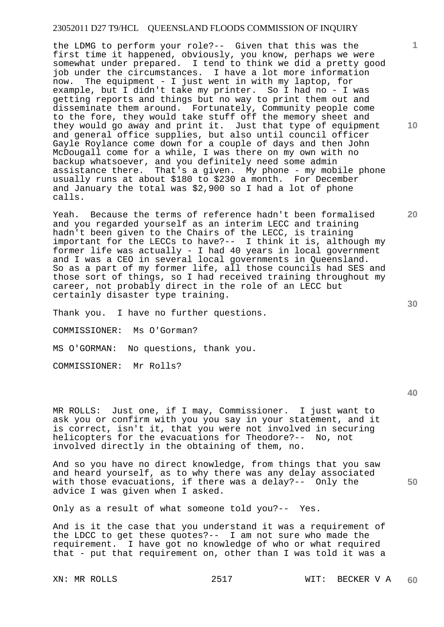the LDMG to perform your role?-- Given that this was the first time it happened, obviously, you know, perhaps we were somewhat under prepared. I tend to think we did a pretty good job under the circumstances. I have a lot more information now. The equipment - I just went in with my laptop, for example, but I didn't take my printer. So I had no - I was getting reports and things but no way to print them out and disseminate them around. Fortunately, Community people come to the fore, they would take stuff off the memory sheet and they would go away and print it. Just that type of equipment and general office supplies, but also until council officer Gayle Roylance come down for a couple of days and then John McDougall come for a while, I was there on my own with no backup whatsoever, and you definitely need some admin assistance there. That's a given. My phone - my mobile phone usually runs at about \$180 to \$230 a month. For December and January the total was \$2,900 so I had a lot of phone calls.

Yeah. Because the terms of reference hadn't been formalised and you regarded yourself as an interim LECC and training hadn't been given to the Chairs of the LECC, is training important for the LECCs to have?-- I think it is, although my former life was actually - I had 40 years in local government and I was a CEO in several local governments in Queensland. So as a part of my former life, all those councils had SES and those sort of things, so I had received training throughout my career, not probably direct in the role of an LECC but certainly disaster type training.

Thank you. I have no further questions.

COMMISSIONER: Ms O'Gorman?

MS O'GORMAN: No questions, thank you.

COMMISSIONER: Mr Rolls?

MR ROLLS: Just one, if I may, Commissioner. I just want to ask you or confirm with you you say in your statement, and it is correct, isn't it, that you were not involved in securing helicopters for the evacuations for Theodore?-- No, not involved directly in the obtaining of them, no.

And so you have no direct knowledge, from things that you saw and heard yourself, as to why there was any delay associated with those evacuations, if there was a delay?-- Only the advice I was given when I asked.

Only as a result of what someone told you?-- Yes.

And is it the case that you understand it was a requirement of the LDCC to get these quotes?-- I am not sure who made the requirement. I have got no knowledge of who or what required that - put that requirement on, other than I was told it was a

**1**

**20** 

**40**